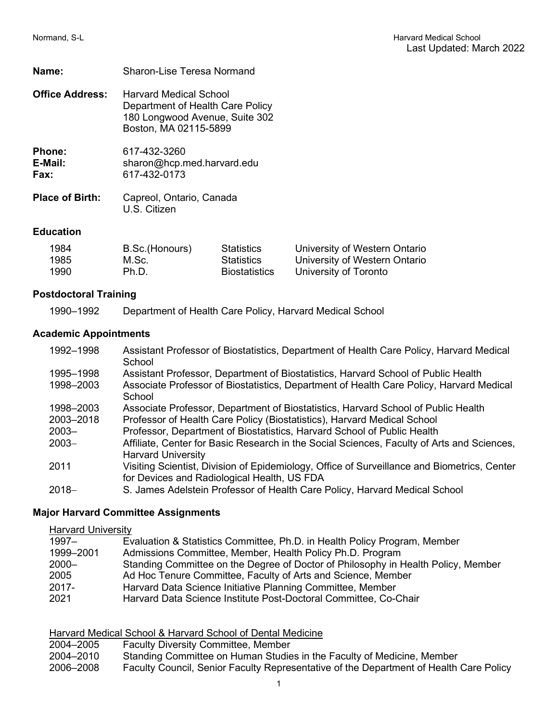| <b>Sharon-Lise Teresa Normand</b> |
|-----------------------------------|
|                                   |

| <b>Office Address:</b> | <b>Harvard Medical School</b><br>Department of Health Care Policy<br>180 Longwood Avenue, Suite 302<br>Boston, MA 02115-5899 |
|------------------------|------------------------------------------------------------------------------------------------------------------------------|
| <b>Phone:</b>          | 617-432-3260                                                                                                                 |

E-Mail: sharon@hcp.med.harvard.edu<br>**Fax:** 617-432-0173 **Fax:** 617-432-0173

| <b>Place of Birth:</b> | Capreol, Ontario, Canada |
|------------------------|--------------------------|
|                        | U.S. Citizen             |

## **Education**

| 1984 | B.Sc.(Honours) | <b>Statistics</b>    | University of Western Ontario |
|------|----------------|----------------------|-------------------------------|
| 1985 | M.Sc.          | <b>Statistics</b>    | University of Western Ontario |
| 1990 | Ph.D.          | <b>Biostatistics</b> | University of Toronto         |

## **Postdoctoral Training**

1990–1992 Department of Health Care Policy, Harvard Medical School

## **Academic Appointments**

| 1992-1998 | Assistant Professor of Biostatistics, Department of Health Care Policy, Harvard Medical<br>School                                          |
|-----------|--------------------------------------------------------------------------------------------------------------------------------------------|
| 1995-1998 | Assistant Professor, Department of Biostatistics, Harvard School of Public Health                                                          |
| 1998-2003 | Associate Professor of Biostatistics, Department of Health Care Policy, Harvard Medical<br>School                                          |
| 1998-2003 | Associate Professor, Department of Biostatistics, Harvard School of Public Health                                                          |
| 2003-2018 | Professor of Health Care Policy (Biostatistics), Harvard Medical School                                                                    |
| $2003 -$  | Professor, Department of Biostatistics, Harvard School of Public Health                                                                    |
| $2003 -$  | Affiliate, Center for Basic Research in the Social Sciences, Faculty of Arts and Sciences,<br><b>Harvard University</b>                    |
| 2011      | Visiting Scientist, Division of Epidemiology, Office of Surveillance and Biometrics, Center<br>for Devices and Radiological Health, US FDA |
| $2018-$   | S. James Adelstein Professor of Health Care Policy, Harvard Medical School                                                                 |

## **Major Harvard Committee Assignments**

**Harvard University** 

| $1997 -$  | Evaluation & Statistics Committee, Ph.D. in Health Policy Program, Member         |
|-----------|-----------------------------------------------------------------------------------|
| 1999-2001 | Admissions Committee, Member, Health Policy Ph.D. Program                         |
| $2000 -$  | Standing Committee on the Degree of Doctor of Philosophy in Health Policy, Member |
| 2005      | Ad Hoc Tenure Committee, Faculty of Arts and Science, Member                      |
| $2017 -$  | Harvard Data Science Initiative Planning Committee, Member                        |
| 2021      | Harvard Data Science Institute Post-Doctoral Committee, Co-Chair                  |

|           | Harvard Medical School & Harvard School of Dental Medicine                             |
|-----------|----------------------------------------------------------------------------------------|
| 2004-2005 | <b>Faculty Diversity Committee, Member</b>                                             |
| 2004-2010 | Standing Committee on Human Studies in the Faculty of Medicine, Member                 |
| 2006-2008 | Faculty Council, Senior Faculty Representative of the Department of Health Care Policy |
|           |                                                                                        |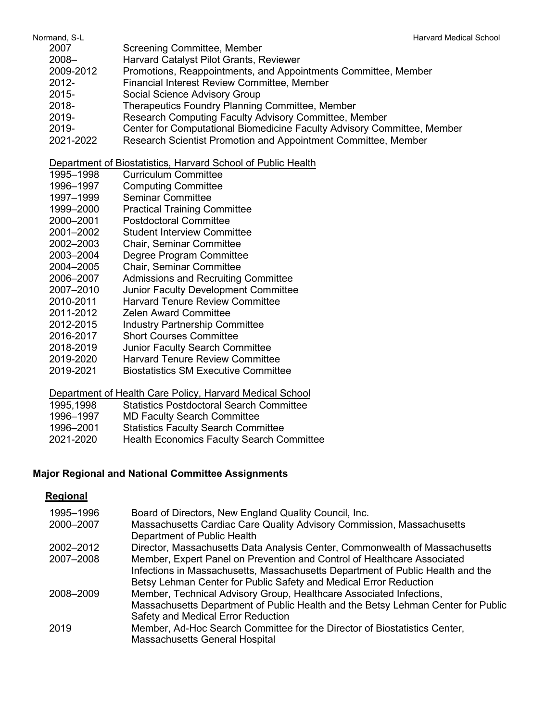- 2007 Screening Committee, Member
- Harvard Catalyst Pilot Grants, Reviewer
- 2009-2012 Promotions, Reappointments, and Appointments Committee, Member
- 2012- Financial Interest Review Committee, Member
- 2015- Social Science Advisory Group
- 2018- Therapeutics Foundry Planning Committee, Member
- 2019- Research Computing Faculty Advisory Committee, Member
- 2019- Center for Computational Biomedicine Faculty Advisory Committee, Member
- 2021-2022 Research Scientist Promotion and Appointment Committee, Member

Department of Biostatistics, Harvard School of Public Health

- 1995–1998 Curriculum Committee
- 1996–1997 Computing Committee
- 1997–1999 Seminar Committee
- 1999–2000 Practical Training Committee
- Postdoctoral Committee
- 2001–2002 Student Interview Committee
- 2002–2003 Chair, Seminar Committee
- 2003–2004 Degree Program Committee
- 2004–2005 Chair, Seminar Committee
- 2006–2007 Admissions and Recruiting Committee
- 2007–2010 Junior Faculty Development Committee
- 2010-2011 Harvard Tenure Review Committee
- 2011-2012 Zelen Award Committee
- 2012-2015 Industry Partnership Committee
- 2016-2017 Short Courses Committee
- 2018-2019 Junior Faculty Search Committee
- 2019-2020 Harvard Tenure Review Committee
- 2019-2021 Biostatistics SM Executive Committee

## Department of Health Care Policy, Harvard Medical School

| 1995,1998 | <b>Statistics Postdoctoral Search Committee</b> |
|-----------|-------------------------------------------------|
|           |                                                 |

- 1996–1997 MD Faculty Search Committee
- 1996–2001 Statistics Faculty Search Committee
- 2021-2020 Health Economics Faculty Search Committee

## **Major Regional and National Committee Assignments**

## **Regional**

| 1995-1996 | Board of Directors, New England Quality Council, Inc.                                                |
|-----------|------------------------------------------------------------------------------------------------------|
| 2000-2007 | Massachusetts Cardiac Care Quality Advisory Commission, Massachusetts<br>Department of Public Health |
| 2002-2012 | Director, Massachusetts Data Analysis Center, Commonwealth of Massachusetts                          |
| 2007-2008 | Member, Expert Panel on Prevention and Control of Healthcare Associated                              |
|           | Infections in Massachusetts, Massachusetts Department of Public Health and the                       |
|           | Betsy Lehman Center for Public Safety and Medical Error Reduction                                    |
| 2008-2009 | Member, Technical Advisory Group, Healthcare Associated Infections,                                  |
|           | Massachusetts Department of Public Health and the Betsy Lehman Center for Public                     |
|           | Safety and Medical Error Reduction                                                                   |
| 2019      | Member, Ad-Hoc Search Committee for the Director of Biostatistics Center,                            |
|           | Massachusetts General Hospital                                                                       |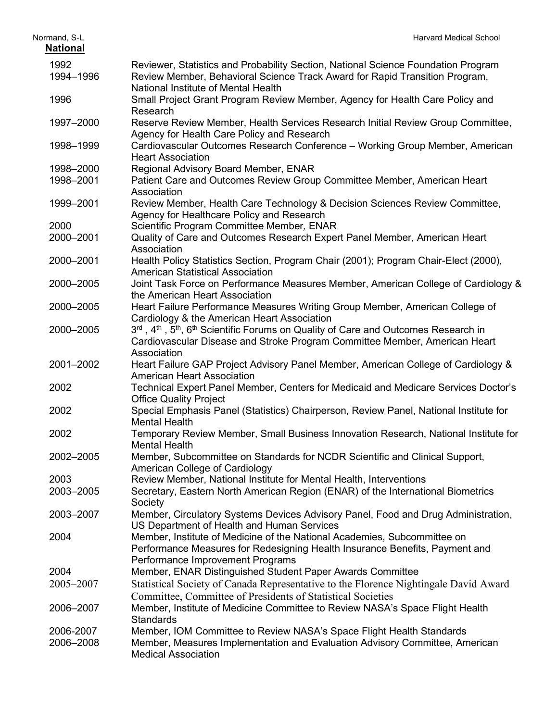| Normand, S-L           | <b>Harvard Medical School</b>                                                                                                                                                                                       |
|------------------------|---------------------------------------------------------------------------------------------------------------------------------------------------------------------------------------------------------------------|
| <b>National</b>        |                                                                                                                                                                                                                     |
| 1992<br>1994-1996      | Reviewer, Statistics and Probability Section, National Science Foundation Program<br>Review Member, Behavioral Science Track Award for Rapid Transition Program,<br>National Institute of Mental Health             |
| 1996                   | Small Project Grant Program Review Member, Agency for Health Care Policy and<br>Research                                                                                                                            |
| 1997-2000              | Reserve Review Member, Health Services Research Initial Review Group Committee,<br>Agency for Health Care Policy and Research                                                                                       |
| 1998-1999              | Cardiovascular Outcomes Research Conference - Working Group Member, American<br><b>Heart Association</b>                                                                                                            |
| 1998-2000              | Regional Advisory Board Member, ENAR                                                                                                                                                                                |
| 1998-2001              | Patient Care and Outcomes Review Group Committee Member, American Heart<br>Association                                                                                                                              |
| 1999-2001              | Review Member, Health Care Technology & Decision Sciences Review Committee,<br>Agency for Healthcare Policy and Research                                                                                            |
| 2000                   | Scientific Program Committee Member, ENAR                                                                                                                                                                           |
| 2000-2001              | Quality of Care and Outcomes Research Expert Panel Member, American Heart<br>Association                                                                                                                            |
| 2000-2001              | Health Policy Statistics Section, Program Chair (2001); Program Chair-Elect (2000),<br><b>American Statistical Association</b>                                                                                      |
| 2000-2005              | Joint Task Force on Performance Measures Member, American College of Cardiology &<br>the American Heart Association                                                                                                 |
| 2000-2005              | Heart Failure Performance Measures Writing Group Member, American College of<br>Cardiology & the American Heart Association                                                                                         |
| 2000-2005              | 3rd, 4 <sup>th</sup> , 5 <sup>th</sup> , 6 <sup>th</sup> Scientific Forums on Quality of Care and Outcomes Research in<br>Cardiovascular Disease and Stroke Program Committee Member, American Heart<br>Association |
| 2001-2002              | Heart Failure GAP Project Advisory Panel Member, American College of Cardiology &<br><b>American Heart Association</b>                                                                                              |
| 2002                   | Technical Expert Panel Member, Centers for Medicaid and Medicare Services Doctor's<br><b>Office Quality Project</b>                                                                                                 |
| 2002                   | Special Emphasis Panel (Statistics) Chairperson, Review Panel, National Institute for<br><b>Mental Health</b>                                                                                                       |
| 2002                   | Temporary Review Member, Small Business Innovation Research, National Institute for<br><b>Mental Health</b>                                                                                                         |
| 2002-2005              | Member, Subcommittee on Standards for NCDR Scientific and Clinical Support,<br>American College of Cardiology                                                                                                       |
| 2003                   | Review Member, National Institute for Mental Health, Interventions                                                                                                                                                  |
| 2003-2005              | Secretary, Eastern North American Region (ENAR) of the International Biometrics<br>Society                                                                                                                          |
| 2003-2007              | Member, Circulatory Systems Devices Advisory Panel, Food and Drug Administration,<br>US Department of Health and Human Services                                                                                     |
| 2004                   | Member, Institute of Medicine of the National Academies, Subcommittee on<br>Performance Measures for Redesigning Health Insurance Benefits, Payment and<br>Performance Improvement Programs                         |
| 2004                   | Member, ENAR Distinguished Student Paper Awards Committee                                                                                                                                                           |
| 2005-2007              | Statistical Society of Canada Representative to the Florence Nightingale David Award<br>Committee, Committee of Presidents of Statistical Societies                                                                 |
| 2006-2007              | Member, Institute of Medicine Committee to Review NASA's Space Flight Health<br><b>Standards</b>                                                                                                                    |
| 2006-2007<br>2006-2008 | Member, IOM Committee to Review NASA's Space Flight Health Standards<br>Member, Measures Implementation and Evaluation Advisory Committee, American<br><b>Medical Association</b>                                   |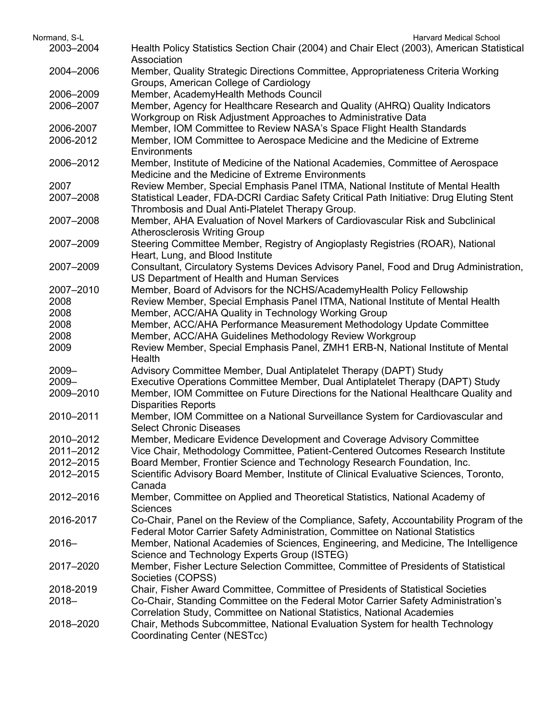| Normand, S-L | <b>Harvard Medical School</b>                                                              |
|--------------|--------------------------------------------------------------------------------------------|
| 2003-2004    | Health Policy Statistics Section Chair (2004) and Chair Elect (2003), American Statistical |
|              | Association                                                                                |
| 2004-2006    | Member, Quality Strategic Directions Committee, Appropriateness Criteria Working           |
|              | Groups, American College of Cardiology                                                     |
| 2006-2009    | Member, AcademyHealth Methods Council                                                      |
| 2006-2007    | Member, Agency for Healthcare Research and Quality (AHRQ) Quality Indicators               |
|              | Workgroup on Risk Adjustment Approaches to Administrative Data                             |
| 2006-2007    | Member, IOM Committee to Review NASA's Space Flight Health Standards                       |
| 2006-2012    | Member, IOM Committee to Aerospace Medicine and the Medicine of Extreme                    |
|              | Environments                                                                               |
| 2006-2012    | Member, Institute of Medicine of the National Academies, Committee of Aerospace            |
|              | Medicine and the Medicine of Extreme Environments                                          |
| 2007         | Review Member, Special Emphasis Panel ITMA, National Institute of Mental Health            |
| 2007-2008    | Statistical Leader, FDA-DCRI Cardiac Safety Critical Path Initiative: Drug Eluting Stent   |
|              | Thrombosis and Dual Anti-Platelet Therapy Group.                                           |
| 2007-2008    | Member, AHA Evaluation of Novel Markers of Cardiovascular Risk and Subclinical             |
|              | <b>Atherosclerosis Writing Group</b>                                                       |
| 2007-2009    | Steering Committee Member, Registry of Angioplasty Registries (ROAR), National             |
|              | Heart, Lung, and Blood Institute                                                           |
| 2007-2009    | Consultant, Circulatory Systems Devices Advisory Panel, Food and Drug Administration,      |
|              | US Department of Health and Human Services                                                 |
| 2007-2010    | Member, Board of Advisors for the NCHS/AcademyHealth Policy Fellowship                     |
| 2008         | Review Member, Special Emphasis Panel ITMA, National Institute of Mental Health            |
| 2008         | Member, ACC/AHA Quality in Technology Working Group                                        |
| 2008         | Member, ACC/AHA Performance Measurement Methodology Update Committee                       |
| 2008         | Member, ACC/AHA Guidelines Methodology Review Workgroup                                    |
| 2009         | Review Member, Special Emphasis Panel, ZMH1 ERB-N, National Institute of Mental            |
|              | Health                                                                                     |
| $2009 -$     | Advisory Committee Member, Dual Antiplatelet Therapy (DAPT) Study                          |
| $2009 -$     | Executive Operations Committee Member, Dual Antiplatelet Therapy (DAPT) Study              |
| 2009-2010    | Member, IOM Committee on Future Directions for the National Healthcare Quality and         |
|              | <b>Disparities Reports</b>                                                                 |
| 2010-2011    | Member, IOM Committee on a National Surveillance System for Cardiovascular and             |
|              | <b>Select Chronic Diseases</b>                                                             |
| 2010-2012    | Member, Medicare Evidence Development and Coverage Advisory Committee                      |
| 2011-2012    | Vice Chair, Methodology Committee, Patient-Centered Outcomes Research Institute            |
| 2012-2015    | Board Member, Frontier Science and Technology Research Foundation, Inc.                    |
| 2012-2015    | Scientific Advisory Board Member, Institute of Clinical Evaluative Sciences, Toronto,      |
|              | Canada                                                                                     |
| 2012-2016    | Member, Committee on Applied and Theoretical Statistics, National Academy of               |
|              | <b>Sciences</b>                                                                            |
| 2016-2017    | Co-Chair, Panel on the Review of the Compliance, Safety, Accountability Program of the     |
|              | Federal Motor Carrier Safety Administration, Committee on National Statistics              |
| $2016 -$     | Member, National Academies of Sciences, Engineering, and Medicine, The Intelligence        |
|              | Science and Technology Experts Group (ISTEG)                                               |
| 2017-2020    | Member, Fisher Lecture Selection Committee, Committee of Presidents of Statistical         |
|              | Societies (COPSS)                                                                          |
| 2018-2019    | Chair, Fisher Award Committee, Committee of Presidents of Statistical Societies            |
| $2018 -$     | Co-Chair, Standing Committee on the Federal Motor Carrier Safety Administration's          |
|              | Correlation Study, Committee on National Statistics, National Academies                    |
| 2018-2020    | Chair, Methods Subcommittee, National Evaluation System for health Technology              |
|              | Coordinating Center (NESTcc)                                                               |
|              |                                                                                            |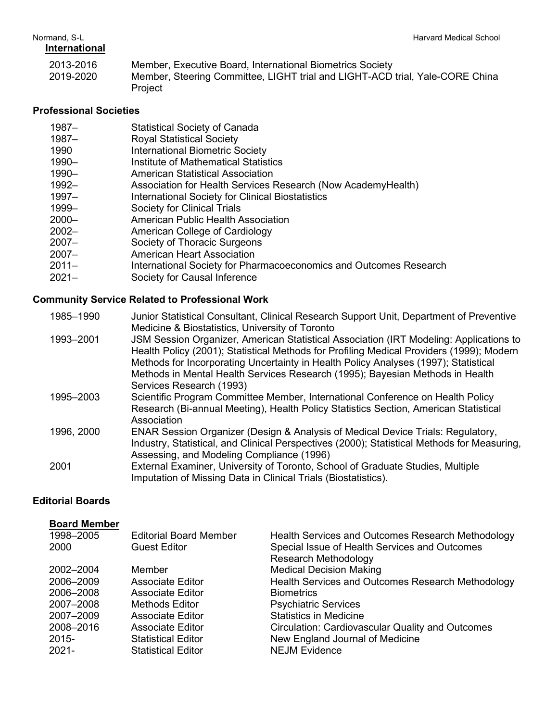### **International**

2013-2016 Member, Executive Board, International Biometrics Society 2019-2020 Member, Steering Committee, LIGHT trial and LIGHT-ACD trial, Yale-CORE China **Project** 

### **Professional Societies**

- 1987– Statistical Society of Canada
- 1987– Royal Statistical Society
- 1990 International Biometric Society
- 1990– Institute of Mathematical Statistics
- 1990– American Statistical Association
- 1992– Association for Health Services Research (Now AcademyHealth)
- 1997– International Society for Clinical Biostatistics
- 1999– Society for Clinical Trials
- 2000– American Public Health Association
- American College of Cardiology
- 2007– Society of Thoracic Surgeons
- 2007– American Heart Association
- 2011– International Society for Pharmacoeconomics and Outcomes Research
- 2021– Society for Causal Inference

### **Community Service Related to Professional Work**

- 1985–1990 Junior Statistical Consultant, Clinical Research Support Unit, Department of Preventive Medicine & Biostatistics, University of Toronto 1993–2001 JSM Session Organizer, American Statistical Association (IRT Modeling: Applications to Health Policy (2001); Statistical Methods for Profiling Medical Providers (1999); Modern Methods for Incorporating Uncertainty in Health Policy Analyses (1997); Statistical Methods in Mental Health Services Research (1995); Bayesian Methods in Health Services Research (1993) 1995–2003 Scientific Program Committee Member, International Conference on Health Policy Research (Bi-annual Meeting), Health Policy Statistics Section, American Statistical Association 1996, 2000 ENAR Session Organizer (Design & Analysis of Medical Device Trials: Regulatory, Industry, Statistical, and Clinical Perspectives (2000); Statistical Methods for Measuring, Assessing, and Modeling Compliance (1996) 2001 External Examiner, University of Toronto, School of Graduate Studies, Multiple
- Imputation of Missing Data in Clinical Trials (Biostatistics).

## **Editorial Boards**

### **Board Member**

| 1998-2005<br>2000 | <b>Editorial Board Member</b><br><b>Guest Editor</b> | Health Services and Outcomes Research Methodology<br>Special Issue of Health Services and Outcomes<br><b>Research Methodology</b> |
|-------------------|------------------------------------------------------|-----------------------------------------------------------------------------------------------------------------------------------|
| 2002-2004         | Member                                               | <b>Medical Decision Making</b>                                                                                                    |
| 2006-2009         | <b>Associate Editor</b>                              | Health Services and Outcomes Research Methodology                                                                                 |
| 2006-2008         | <b>Associate Editor</b>                              | <b>Biometrics</b>                                                                                                                 |
| 2007-2008         | <b>Methods Editor</b>                                | <b>Psychiatric Services</b>                                                                                                       |
| 2007-2009         | <b>Associate Editor</b>                              | <b>Statistics in Medicine</b>                                                                                                     |
| 2008-2016         | <b>Associate Editor</b>                              | <b>Circulation: Cardiovascular Quality and Outcomes</b>                                                                           |
| $2015 -$          | <b>Statistical Editor</b>                            | New England Journal of Medicine                                                                                                   |
| $2021 -$          | <b>Statistical Editor</b>                            | <b>NEJM Evidence</b>                                                                                                              |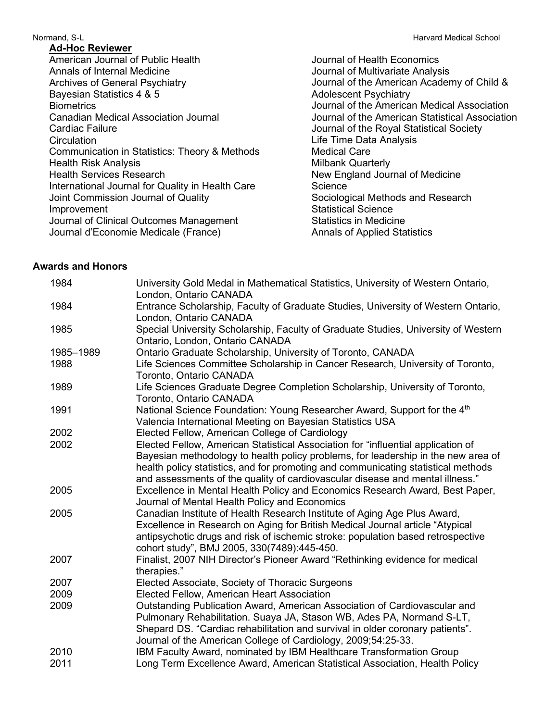### **Ad-Hoc Reviewer**

American Journal of Public Health Annals of Internal Medicine Archives of General Psychiatry Bayesian Statistics 4 & 5 **Biometrics** Canadian Medical Association Journal Cardiac Failure **Circulation** Communication in Statistics: Theory & Methods Health Risk Analysis Health Services Research International Journal for Quality in Health Care Joint Commission Journal of Quality Improvement Journal of Clinical Outcomes Management Journal d'Economie Medicale (France)

Normand, S-L

Journal of Health Economics Journal of Multivariate Analysis Journal of the American Academy of Child & Adolescent Psychiatry Journal of the American Medical Association Journal of the American Statistical Association Journal of the Royal Statistical Society Life Time Data Analysis Medical Care Milbank Quarterly New England Journal of Medicine **Science** Sociological Methods and Research Statistical Science Statistics in Medicine Annals of Applied Statistics

### **Awards and Honors**

| 1984      | University Gold Medal in Mathematical Statistics, University of Western Ontario,<br>London, Ontario CANADA                                                            |
|-----------|-----------------------------------------------------------------------------------------------------------------------------------------------------------------------|
| 1984      | Entrance Scholarship, Faculty of Graduate Studies, University of Western Ontario,<br>London, Ontario CANADA                                                           |
| 1985      | Special University Scholarship, Faculty of Graduate Studies, University of Western<br>Ontario, London, Ontario CANADA                                                 |
| 1985-1989 | Ontario Graduate Scholarship, University of Toronto, CANADA                                                                                                           |
| 1988      | Life Sciences Committee Scholarship in Cancer Research, University of Toronto,<br>Toronto, Ontario CANADA                                                             |
| 1989      | Life Sciences Graduate Degree Completion Scholarship, University of Toronto,<br>Toronto, Ontario CANADA                                                               |
| 1991      | National Science Foundation: Young Researcher Award, Support for the 4 <sup>th</sup><br>Valencia International Meeting on Bayesian Statistics USA                     |
| 2002      | Elected Fellow, American College of Cardiology                                                                                                                        |
| 2002      | Elected Fellow, American Statistical Association for "influential application of<br>Bayesian methodology to health policy problems, for leadership in the new area of |
|           | health policy statistics, and for promoting and communicating statistical methods                                                                                     |
|           | and assessments of the quality of cardiovascular disease and mental illness."                                                                                         |
| 2005      | Excellence in Mental Health Policy and Economics Research Award, Best Paper,<br>Journal of Mental Health Policy and Economics                                         |
| 2005      | Canadian Institute of Health Research Institute of Aging Age Plus Award,<br>Excellence in Research on Aging for British Medical Journal article "Atypical             |
|           | antipsychotic drugs and risk of ischemic stroke: population based retrospective                                                                                       |
|           | cohort study", BMJ 2005, 330(7489):445-450.                                                                                                                           |
| 2007      | Finalist, 2007 NIH Director's Pioneer Award "Rethinking evidence for medical<br>therapies."                                                                           |
| 2007      | Elected Associate, Society of Thoracic Surgeons                                                                                                                       |
| 2009      | Elected Fellow, American Heart Association                                                                                                                            |
| 2009      | Outstanding Publication Award, American Association of Cardiovascular and                                                                                             |
|           | Pulmonary Rehabilitation. Suaya JA, Stason WB, Ades PA, Normand S-LT,                                                                                                 |
|           | Shepard DS. "Cardiac rehabilitation and survival in older coronary patients".                                                                                         |
|           | Journal of the American College of Cardiology, 2009;54:25-33.                                                                                                         |
| 2010      | IBM Faculty Award, nominated by IBM Healthcare Transformation Group                                                                                                   |
| 2011      | Long Term Excellence Award, American Statistical Association, Health Policy                                                                                           |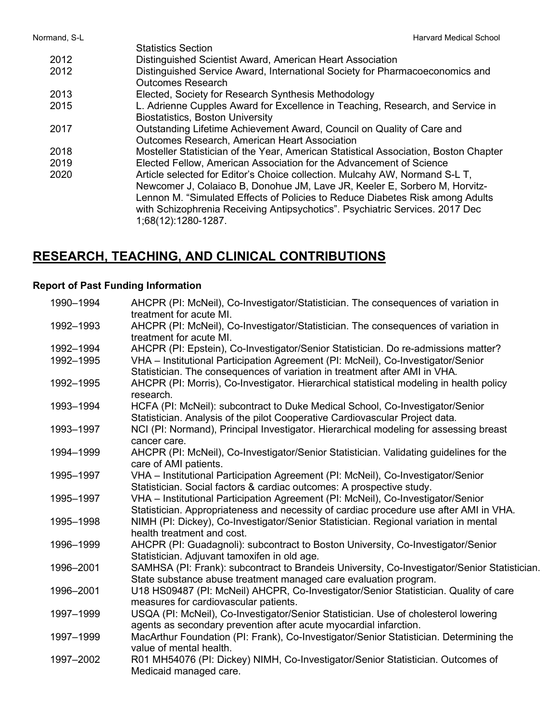Statistics Section 2012 Distinguished Scientist Award, American Heart Association 2012 Distinguished Service Award, International Society for Pharmacoeconomics and Outcomes Research 2013 Elected, Society for Research Synthesis Methodology 2015 L. Adrienne Cupples Award for Excellence in Teaching, Research, and Service in Biostatistics, Boston University 2017 Outstanding Lifetime Achievement Award, Council on Quality of Care and Outcomes Research, American Heart Association 2018 2019 2020 Mosteller Statistician of the Year, American Statistical Association, Boston Chapter Elected Fellow, American Association for the Advancement of Science Article selected for Editor's Choice collection. Mulcahy AW, Normand S-L T, Newcomer J, Colaiaco B, Donohue JM, Lave JR, Keeler E, Sorbero M, Horvitz-Lennon M. "Simulated Effects of Policies to Reduce Diabetes Risk among Adults with Schizophrenia Receiving Antipsychotics". Psychiatric Services. 2017 Dec 1;68(12):1280-1287.

# **RESEARCH, TEACHING, AND CLINICAL CONTRIBUTIONS**

### **Report of Past Funding Information**

| 1990-1994 | AHCPR (PI: McNeil), Co-Investigator/Statistician. The consequences of variation in           |
|-----------|----------------------------------------------------------------------------------------------|
|           | treatment for acute MI.                                                                      |
| 1992-1993 | AHCPR (PI: McNeil), Co-Investigator/Statistician. The consequences of variation in           |
|           | treatment for acute MI.                                                                      |
| 1992-1994 | AHCPR (PI: Epstein), Co-Investigator/Senior Statistician. Do re-admissions matter?           |
| 1992-1995 | VHA - Institutional Participation Agreement (PI: McNeil), Co-Investigator/Senior             |
|           | Statistician. The consequences of variation in treatment after AMI in VHA.                   |
| 1992-1995 | AHCPR (PI: Morris), Co-Investigator. Hierarchical statistical modeling in health policy      |
|           | research.                                                                                    |
| 1993-1994 | HCFA (PI: McNeil): subcontract to Duke Medical School, Co-Investigator/Senior                |
|           | Statistician. Analysis of the pilot Cooperative Cardiovascular Project data.                 |
| 1993-1997 | NCI (PI: Normand), Principal Investigator. Hierarchical modeling for assessing breast        |
|           | cancer care.                                                                                 |
| 1994-1999 | AHCPR (PI: McNeil), Co-Investigator/Senior Statistician. Validating guidelines for the       |
|           | care of AMI patients.                                                                        |
| 1995-1997 | VHA - Institutional Participation Agreement (PI: McNeil), Co-Investigator/Senior             |
|           | Statistician. Social factors & cardiac outcomes: A prospective study.                        |
| 1995-1997 | VHA - Institutional Participation Agreement (PI: McNeil), Co-Investigator/Senior             |
|           | Statistician. Appropriateness and necessity of cardiac procedure use after AMI in VHA.       |
| 1995-1998 | NIMH (PI: Dickey), Co-Investigator/Senior Statistician. Regional variation in mental         |
|           | health treatment and cost.                                                                   |
| 1996-1999 | AHCPR (PI: Guadagnoli): subcontract to Boston University, Co-Investigator/Senior             |
|           | Statistician. Adjuvant tamoxifen in old age.                                                 |
| 1996-2001 | SAMHSA (PI: Frank): subcontract to Brandeis University, Co-Investigator/Senior Statistician. |
|           | State substance abuse treatment managed care evaluation program.                             |
| 1996-2001 | U18 HS09487 (PI: McNeil) AHCPR, Co-Investigator/Senior Statistician. Quality of care         |
|           | measures for cardiovascular patients.                                                        |
| 1997-1999 | USQA (PI: McNeil), Co-Investigator/Senior Statistician. Use of cholesterol lowering          |
|           | agents as secondary prevention after acute myocardial infarction.                            |
| 1997-1999 | MacArthur Foundation (PI: Frank), Co-Investigator/Senior Statistician. Determining the       |
|           | value of mental health.                                                                      |
| 1997-2002 | R01 MH54076 (PI: Dickey) NIMH, Co-Investigator/Senior Statistician. Outcomes of              |
|           | Medicaid managed care.                                                                       |
|           |                                                                                              |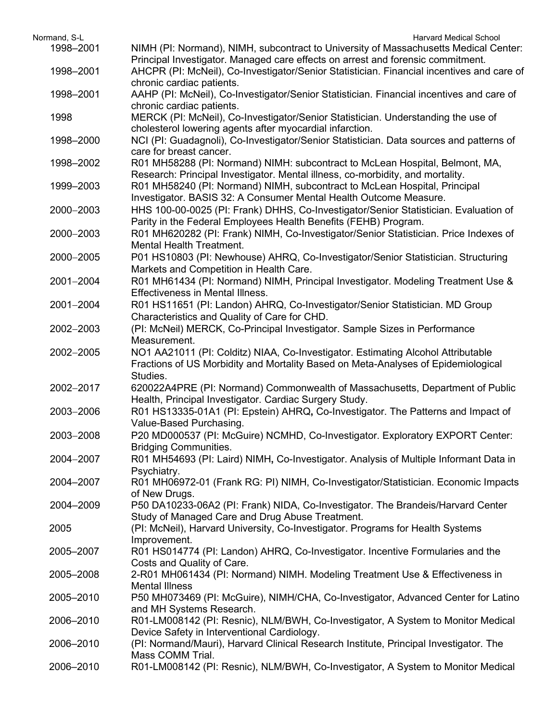| Normand, S-L | <b>Harvard Medical School</b>                                                                                                                                           |
|--------------|-------------------------------------------------------------------------------------------------------------------------------------------------------------------------|
| 1998-2001    | NIMH (PI: Normand), NIMH, subcontract to University of Massachusetts Medical Center:<br>Principal Investigator. Managed care effects on arrest and forensic commitment. |
| 1998-2001    | AHCPR (PI: McNeil), Co-Investigator/Senior Statistician. Financial incentives and care of                                                                               |
|              | chronic cardiac patients.                                                                                                                                               |
| 1998-2001    | AAHP (PI: McNeil), Co-Investigator/Senior Statistician. Financial incentives and care of                                                                                |
|              | chronic cardiac patients.                                                                                                                                               |
| 1998         | MERCK (PI: McNeil), Co-Investigator/Senior Statistician. Understanding the use of                                                                                       |
|              | cholesterol lowering agents after myocardial infarction.                                                                                                                |
| 1998-2000    | NCI (PI: Guadagnoli), Co-Investigator/Senior Statistician. Data sources and patterns of                                                                                 |
|              | care for breast cancer.                                                                                                                                                 |
| 1998-2002    | R01 MH58288 (PI: Normand) NIMH: subcontract to McLean Hospital, Belmont, MA,                                                                                            |
|              | Research: Principal Investigator. Mental illness, co-morbidity, and mortality.                                                                                          |
| 1999-2003    | R01 MH58240 (PI: Normand) NIMH, subcontract to McLean Hospital, Principal                                                                                               |
|              | Investigator. BASIS 32: A Consumer Mental Health Outcome Measure.                                                                                                       |
| 2000-2003    | HHS 100-00-0025 (PI: Frank) DHHS, Co-Investigator/Senior Statistician. Evaluation of                                                                                    |
|              | Parity in the Federal Employees Health Benefits (FEHB) Program.                                                                                                         |
| 2000-2003    | R01 MH620282 (PI: Frank) NIMH, Co-Investigator/Senior Statistician. Price Indexes of                                                                                    |
|              | <b>Mental Health Treatment.</b>                                                                                                                                         |
| 2000-2005    | P01 HS10803 (PI: Newhouse) AHRQ, Co-Investigator/Senior Statistician. Structuring                                                                                       |
|              | Markets and Competition in Health Care.                                                                                                                                 |
| 2001-2004    | R01 MH61434 (PI: Normand) NIMH, Principal Investigator. Modeling Treatment Use &                                                                                        |
|              | <b>Effectiveness in Mental Illness.</b>                                                                                                                                 |
| 2001-2004    | R01 HS11651 (PI: Landon) AHRQ, Co-Investigator/Senior Statistician. MD Group                                                                                            |
|              | Characteristics and Quality of Care for CHD.                                                                                                                            |
| 2002-2003    | (PI: McNeil) MERCK, Co-Principal Investigator. Sample Sizes in Performance                                                                                              |
|              | Measurement.                                                                                                                                                            |
| 2002-2005    | NO1 AA21011 (PI: Colditz) NIAA, Co-Investigator. Estimating Alcohol Attributable                                                                                        |
|              | Fractions of US Morbidity and Mortality Based on Meta-Analyses of Epidemiological                                                                                       |
|              | Studies.                                                                                                                                                                |
| 2002-2017    | 620022A4PRE (PI: Normand) Commonwealth of Massachusetts, Department of Public                                                                                           |
|              | Health, Principal Investigator. Cardiac Surgery Study.                                                                                                                  |
| 2003-2006    | R01 HS13335-01A1 (PI: Epstein) AHRQ, Co-Investigator. The Patterns and Impact of                                                                                        |
|              | Value-Based Purchasing.                                                                                                                                                 |
| 2003-2008    | P20 MD000537 (PI: McGuire) NCMHD, Co-Investigator. Exploratory EXPORT Center:                                                                                           |
|              | <b>Bridging Communities.</b>                                                                                                                                            |
| 2004-2007    | R01 MH54693 (PI: Laird) NIMH, Co-Investigator. Analysis of Multiple Informant Data in                                                                                   |
|              | Psychiatry.                                                                                                                                                             |
| 2004-2007    | R01 MH06972-01 (Frank RG: PI) NIMH, Co-Investigator/Statistician. Economic Impacts                                                                                      |
| 2004-2009    | of New Drugs.<br>P50 DA10233-06A2 (PI: Frank) NIDA, Co-Investigator. The Brandeis/Harvard Center                                                                        |
|              | Study of Managed Care and Drug Abuse Treatment.                                                                                                                         |
| 2005         | (PI: McNeil), Harvard University, Co-Investigator. Programs for Health Systems                                                                                          |
|              | Improvement.                                                                                                                                                            |
| 2005-2007    | R01 HS014774 (PI: Landon) AHRQ, Co-Investigator. Incentive Formularies and the                                                                                          |
|              | Costs and Quality of Care.                                                                                                                                              |
| 2005-2008    | 2-R01 MH061434 (PI: Normand) NIMH. Modeling Treatment Use & Effectiveness in                                                                                            |
|              | <b>Mental Illness</b>                                                                                                                                                   |
| 2005-2010    | P50 MH073469 (PI: McGuire), NIMH/CHA, Co-Investigator, Advanced Center for Latino                                                                                       |
|              | and MH Systems Research.                                                                                                                                                |
| 2006-2010    | R01-LM008142 (PI: Resnic), NLM/BWH, Co-Investigator, A System to Monitor Medical                                                                                        |
|              | Device Safety in Interventional Cardiology.                                                                                                                             |
| 2006-2010    | (PI: Normand/Mauri), Harvard Clinical Research Institute, Principal Investigator. The                                                                                   |
|              | Mass COMM Trial.                                                                                                                                                        |
| 2006-2010    | R01-LM008142 (PI: Resnic), NLM/BWH, Co-Investigator, A System to Monitor Medical                                                                                        |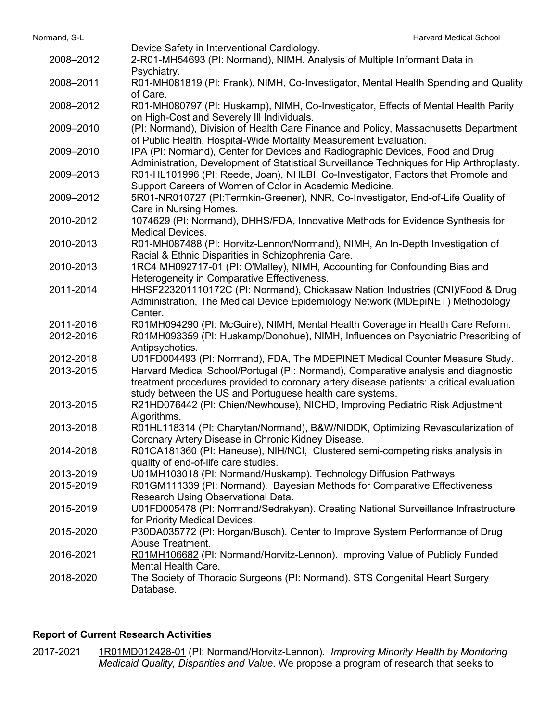|           | Device Safety in Interventional Cardiology.                                              |
|-----------|------------------------------------------------------------------------------------------|
| 2008-2012 | 2-R01-MH54693 (PI: Normand), NIMH. Analysis of Multiple Informant Data in                |
|           | Psychiatry.                                                                              |
| 2008-2011 | R01-MH081819 (PI: Frank), NIMH, Co-Investigator, Mental Health Spending and Quality      |
|           | of Care.                                                                                 |
| 2008-2012 | R01-MH080797 (PI: Huskamp), NIMH, Co-Investigator, Effects of Mental Health Parity       |
|           | on High-Cost and Severely III Individuals.                                               |
| 2009-2010 |                                                                                          |
|           | (PI: Normand), Division of Health Care Finance and Policy, Massachusetts Department      |
|           | of Public Health, Hospital-Wide Mortality Measurement Evaluation.                        |
| 2009-2010 | IPA (PI: Normand), Center for Devices and Radiographic Devices, Food and Drug            |
|           | Administration, Development of Statistical Surveillance Techniques for Hip Arthroplasty. |
| 2009-2013 | R01-HL101996 (PI: Reede, Joan), NHLBI, Co-Investigator, Factors that Promote and         |
|           | Support Careers of Women of Color in Academic Medicine.                                  |
| 2009-2012 | 5R01-NR010727 (PI:Termkin-Greener), NNR, Co-Investigator, End-of-Life Quality of         |
|           | Care in Nursing Homes.                                                                   |
| 2010-2012 | 1074629 (PI: Normand), DHHS/FDA, Innovative Methods for Evidence Synthesis for           |
|           | <b>Medical Devices.</b>                                                                  |
| 2010-2013 | R01-MH087488 (PI: Horvitz-Lennon/Normand), NIMH, An In-Depth Investigation of            |
|           | Racial & Ethnic Disparities in Schizophrenia Care.                                       |
| 2010-2013 | 1RC4 MH092717-01 (PI: O'Malley), NIMH, Accounting for Confounding Bias and               |
|           | Heterogeneity in Comparative Effectiveness.                                              |
| 2011-2014 | HHSF223201110172C (PI: Normand), Chickasaw Nation Industries (CNI)/Food & Drug           |
|           | Administration, The Medical Device Epidemiology Network (MDEpiNET) Methodology           |
|           | Center.                                                                                  |
| 2011-2016 | R01MH094290 (PI: McGuire), NIMH, Mental Health Coverage in Health Care Reform.           |
| 2012-2016 | R01MH093359 (PI: Huskamp/Donohue), NIMH, Influences on Psychiatric Prescribing of        |
|           | Antipsychotics.                                                                          |
| 2012-2018 | U01FD004493 (PI: Normand), FDA, The MDEPINET Medical Counter Measure Study.              |
| 2013-2015 | Harvard Medical School/Portugal (PI: Normand), Comparative analysis and diagnostic       |
|           | treatment procedures provided to coronary artery disease patients: a critical evaluation |
|           | study between the US and Portuguese health care systems.                                 |
| 2013-2015 | R21HD076442 (PI: Chien/Newhouse), NICHD, Improving Pediatric Risk Adjustment             |
|           | Algorithms.                                                                              |
| 2013-2018 | R01HL118314 (PI: Charytan/Normand), B&W/NIDDK, Optimizing Revascularization of           |
|           |                                                                                          |
|           | Coronary Artery Disease in Chronic Kidney Disease.                                       |
| 2014-2018 | R01CA181360 (PI: Haneuse), NIH/NCI, Clustered semi-competing risks analysis in           |
|           | quality of end-of-life care studies.                                                     |
| 2013-2019 | U01MH103018 (PI: Normand/Huskamp). Technology Diffusion Pathways                         |
| 2015-2019 | R01GM111339 (PI: Normand). Bayesian Methods for Comparative Effectiveness                |
|           | Research Using Observational Data.                                                       |
| 2015-2019 | U01FD005478 (PI: Normand/Sedrakyan). Creating National Surveillance Infrastructure       |
|           | for Priority Medical Devices.                                                            |
| 2015-2020 | P30DA035772 (PI: Horgan/Busch). Center to Improve System Performance of Drug             |
|           | Abuse Treatment.                                                                         |
| 2016-2021 | R01MH106682 (PI: Normand/Horvitz-Lennon). Improving Value of Publicly Funded             |
|           | <b>Mental Health Care.</b>                                                               |
| 2018-2020 | The Society of Thoracic Surgeons (PI: Normand). STS Congenital Heart Surgery             |
|           | Database.                                                                                |
|           |                                                                                          |

## **Report of Current Research Activities**

2017-2021 1R01MD012428-01 (PI: Normand/Horvitz-Lennon). *Improving Minority Health by Monitoring Medicaid Quality, Disparities and Value*. We propose a program of research that seeks to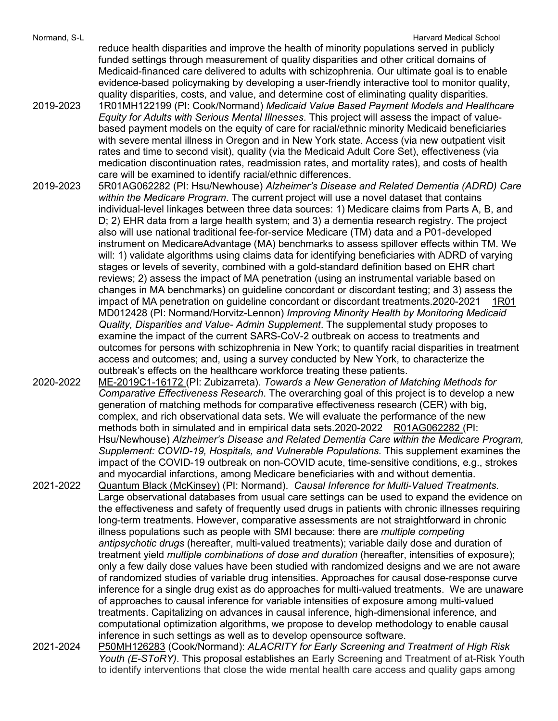Normand, S-L **Normand, S-L** Harvard Medical School and The School and The School and The School and The School and The School and The School and The School and The School and The School and The School and The School and Th

reduce health disparities and improve the health of minority populations served in publicly funded settings through measurement of quality disparities and other critical domains of Medicaid-financed care delivered to adults with schizophrenia. Our ultimate goal is to enable evidence-based policymaking by developing a user-friendly interactive tool to monitor quality, quality disparities, costs, and value, and determine cost of eliminating quality disparities.

- 2019-2023 1R01MH122199 (PI: Cook/Normand) *Medicaid Value Based Payment Models and Healthcare Equity for Adults with Serious Mental Illnesses*. This project will assess the impact of valuebased payment models on the equity of care for racial/ethnic minority Medicaid beneficiaries with severe mental illness in Oregon and in New York state. Access (via new outpatient visit rates and time to second visit), quality (via the Medicaid Adult Core Set), effectiveness (via medication discontinuation rates, readmission rates, and mortality rates), and costs of health care will be examined to identify racial/ethnic differences.
- 2019-2023 5R01AG062282 (PI: Hsu/Newhouse) *Alzheimer's Disease and Related Dementia (ADRD) Care within the Medicare Program*. The current project will use a novel dataset that contains individual-level linkages between three data sources: 1) Medicare claims from Parts A, B, and D; 2) EHR data from a large health system; and 3) a dementia research registry. The project also will use national traditional fee-for-service Medicare (TM) data and a P01-developed instrument on MedicareAdvantage (MA) benchmarks to assess spillover effects within TM. We will: 1) validate algorithms using claims data for identifying beneficiaries with ADRD of varying stages or levels of severity, combined with a gold-standard definition based on EHR chart reviews; 2) assess the impact of MA penetration (using an instrumental variable based on changes in MA benchmarks) on guideline concordant or discordant testing; and 3) assess the impact of MA penetration on guideline concordant or discordant treatments.2020-2021 1R01 MD012428 (PI: Normand/Horvitz-Lennon) *Improving Minority Health by Monitoring Medicaid Quality, Disparities and Value- Admin Supplement*. The supplemental study proposes to examine the impact of the current SARS-CoV-2 outbreak on access to treatments and outcomes for persons with schizophrenia in New York; to quantify racial disparities in treatment access and outcomes; and, using a survey conducted by New York, to characterize the outbreak's effects on the healthcare workforce treating these patients.
- 2020-2022 ME-2019C1-16172 (PI: Zubizarreta). *Towards a New Generation of Matching Methods for Comparative Effectiveness Research*. The overarching goal of this project is to develop a new generation of matching methods for comparative effectiveness research (CER) with big, complex, and rich observational data sets. We will evaluate the performance of the new methods both in simulated and in empirical data sets.2020-2022 R01AG062282 (PI: Hsu/Newhouse) *Alzheimer's Disease and Related Dementia Care within the Medicare Program, Supplement: COVID-19, Hospitals, and Vulnerable Populations.* This supplement examines the impact of the COVID-19 outbreak on non-COVID acute, time-sensitive conditions, e.g., strokes and myocardial infarctions, among Medicare beneficiaries with and without dementia.
- 2021-2022 Quantum Black (McKinsey) (PI: Normand). *Causal Inference for Multi-Valued Treatments.*  Large observational databases from usual care settings can be used to expand the evidence on the effectiveness and safety of frequently used drugs in patients with chronic illnesses requiring long-term treatments. However, comparative assessments are not straightforward in chronic illness populations such as people with SMI because: there are *multiple competing antipsychotic drugs* (hereafter, multi-valued treatments); variable daily dose and duration of treatment yield *multiple combinations of dose and duration* (hereafter, intensities of exposure); only a few daily dose values have been studied with randomized designs and we are not aware of randomized studies of variable drug intensities. Approaches for causal dose-response curve inference for a single drug exist as do approaches for multi-valued treatments. We are unaware of approaches to causal inference for variable intensities of exposure among multi-valued treatments. Capitalizing on advances in causal inference, high-dimensional inference, and computational optimization algorithms, we propose to develop methodology to enable causal inference in such settings as well as to develop opensource software.
- 2021-2024 P50MH126283 (Cook/Normand): *ALACRITY for Early Screening and Treatment of High Risk Youth (E-SToRY)*. This proposal establishes an Early Screening and Treatment of at-Risk Youth to identify interventions that close the wide mental health care access and quality gaps among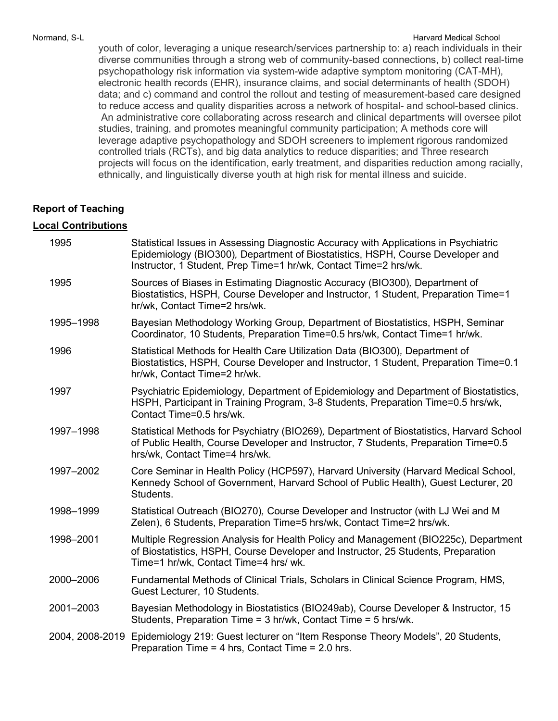### Normand, S-L **Normand, S-L** Harvard Medical School and The School and The School and The School and The School and The School and The School and The School and The School and The School and The School and The School and Th

youth of color, leveraging a unique research/services partnership to: a) reach individuals in their diverse communities through a strong web of community-based connections, b) collect real-time psychopathology risk information via system-wide adaptive symptom monitoring (CAT-MH), electronic health records (EHR), insurance claims, and social determinants of health (SDOH) data; and c) command and control the rollout and testing of measurement-based care designed to reduce access and quality disparities across a network of hospital- and school-based clinics. An administrative core collaborating across research and clinical departments will oversee pilot studies, training, and promotes meaningful community participation; A methods core will leverage adaptive psychopathology and SDOH screeners to implement rigorous randomized controlled trials (RCTs), and big data analytics to reduce disparities; and Three research projects will focus on the identification, early treatment, and disparities reduction among racially, ethnically, and linguistically diverse youth at high risk for mental illness and suicide.

### **Report of Teaching**

### **Local Contributions**

| 1995            | Statistical Issues in Assessing Diagnostic Accuracy with Applications in Psychiatric<br>Epidemiology (BIO300), Department of Biostatistics, HSPH, Course Developer and<br>Instructor, 1 Student, Prep Time=1 hr/wk, Contact Time=2 hrs/wk. |
|-----------------|--------------------------------------------------------------------------------------------------------------------------------------------------------------------------------------------------------------------------------------------|
| 1995            | Sources of Biases in Estimating Diagnostic Accuracy (BIO300), Department of<br>Biostatistics, HSPH, Course Developer and Instructor, 1 Student, Preparation Time=1<br>hr/wk, Contact Time=2 hrs/wk.                                        |
| 1995-1998       | Bayesian Methodology Working Group, Department of Biostatistics, HSPH, Seminar<br>Coordinator, 10 Students, Preparation Time=0.5 hrs/wk, Contact Time=1 hr/wk.                                                                             |
| 1996            | Statistical Methods for Health Care Utilization Data (BIO300), Department of<br>Biostatistics, HSPH, Course Developer and Instructor, 1 Student, Preparation Time=0.1<br>hr/wk, Contact Time=2 hr/wk.                                      |
| 1997            | Psychiatric Epidemiology, Department of Epidemiology and Department of Biostatistics,<br>HSPH, Participant in Training Program, 3-8 Students, Preparation Time=0.5 hrs/wk,<br>Contact Time=0.5 hrs/wk.                                     |
| 1997-1998       | Statistical Methods for Psychiatry (BIO269), Department of Biostatistics, Harvard School<br>of Public Health, Course Developer and Instructor, 7 Students, Preparation Time=0.5<br>hrs/wk, Contact Time=4 hrs/wk.                          |
| 1997-2002       | Core Seminar in Health Policy (HCP597), Harvard University (Harvard Medical School,<br>Kennedy School of Government, Harvard School of Public Health), Guest Lecturer, 20<br>Students.                                                     |
| 1998-1999       | Statistical Outreach (BIO270), Course Developer and Instructor (with LJ Wei and M<br>Zelen), 6 Students, Preparation Time=5 hrs/wk, Contact Time=2 hrs/wk.                                                                                 |
| 1998-2001       | Multiple Regression Analysis for Health Policy and Management (BIO225c), Department<br>of Biostatistics, HSPH, Course Developer and Instructor, 25 Students, Preparation<br>Time=1 hr/wk, Contact Time=4 hrs/ wk.                          |
| 2000-2006       | Fundamental Methods of Clinical Trials, Scholars in Clinical Science Program, HMS,<br>Guest Lecturer, 10 Students.                                                                                                                         |
| 2001-2003       | Bayesian Methodology in Biostatistics (BIO249ab), Course Developer & Instructor, 15<br>Students, Preparation Time = 3 hr/wk, Contact Time = 5 hrs/wk.                                                                                      |
| 2004, 2008-2019 | Epidemiology 219: Guest lecturer on "Item Response Theory Models", 20 Students,<br>Preparation Time = 4 hrs, Contact Time = 2.0 hrs.                                                                                                       |
|                 |                                                                                                                                                                                                                                            |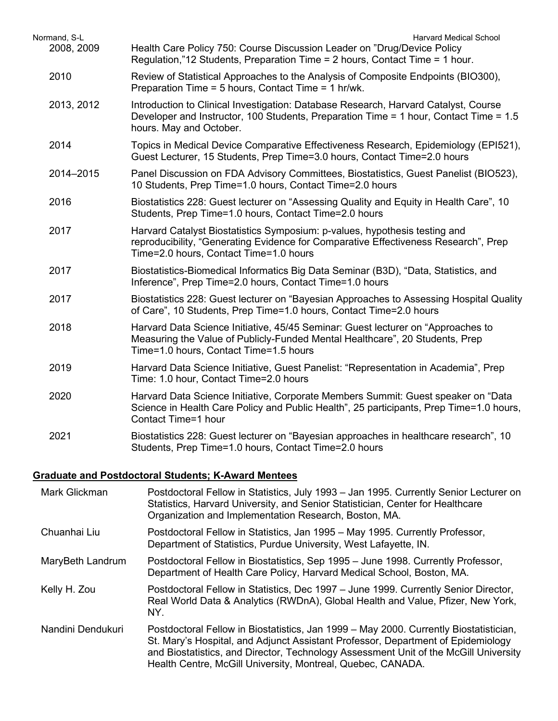| Normand, S-L | <b>Harvard Medical School</b>                                                                                                                                                                               |
|--------------|-------------------------------------------------------------------------------------------------------------------------------------------------------------------------------------------------------------|
| 2008, 2009   | Health Care Policy 750: Course Discussion Leader on "Drug/Device Policy<br>Regulation,"12 Students, Preparation Time = 2 hours, Contact Time = 1 hour.                                                      |
| 2010         | Review of Statistical Approaches to the Analysis of Composite Endpoints (BIO300),<br>Preparation Time = 5 hours, Contact Time = 1 hr/wk.                                                                    |
| 2013, 2012   | Introduction to Clinical Investigation: Database Research, Harvard Catalyst, Course<br>Developer and Instructor, 100 Students, Preparation Time = 1 hour, Contact Time = 1.5<br>hours. May and October.     |
| 2014         | Topics in Medical Device Comparative Effectiveness Research, Epidemiology (EPI521),<br>Guest Lecturer, 15 Students, Prep Time=3.0 hours, Contact Time=2.0 hours                                             |
| 2014-2015    | Panel Discussion on FDA Advisory Committees, Biostatistics, Guest Panelist (BIO523),<br>10 Students, Prep Time=1.0 hours, Contact Time=2.0 hours                                                            |
| 2016         | Biostatistics 228: Guest lecturer on "Assessing Quality and Equity in Health Care", 10<br>Students, Prep Time=1.0 hours, Contact Time=2.0 hours                                                             |
| 2017         | Harvard Catalyst Biostatistics Symposium: p-values, hypothesis testing and<br>reproducibility, "Generating Evidence for Comparative Effectiveness Research", Prep<br>Time=2.0 hours, Contact Time=1.0 hours |
| 2017         | Biostatistics-Biomedical Informatics Big Data Seminar (B3D), "Data, Statistics, and<br>Inference", Prep Time=2.0 hours, Contact Time=1.0 hours                                                              |
| 2017         | Biostatistics 228: Guest lecturer on "Bayesian Approaches to Assessing Hospital Quality<br>of Care", 10 Students, Prep Time=1.0 hours, Contact Time=2.0 hours                                               |
| 2018         | Harvard Data Science Initiative, 45/45 Seminar: Guest lecturer on "Approaches to<br>Measuring the Value of Publicly-Funded Mental Healthcare", 20 Students, Prep<br>Time=1.0 hours, Contact Time=1.5 hours  |
| 2019         | Harvard Data Science Initiative, Guest Panelist: "Representation in Academia", Prep<br>Time: 1.0 hour, Contact Time=2.0 hours                                                                               |
| 2020         | Harvard Data Science Initiative, Corporate Members Summit: Guest speaker on "Data<br>Science in Health Care Policy and Public Health", 25 participants, Prep Time=1.0 hours,<br>Contact Time=1 hour         |
| 2021         | Biostatistics 228: Guest lecturer on "Bayesian approaches in healthcare research", 10<br>Students, Prep Time=1.0 hours, Contact Time=2.0 hours                                                              |
|              |                                                                                                                                                                                                             |

## **Graduate and Postdoctoral Students; K-Award Mentees**

| Mark Glickman     | Postdoctoral Fellow in Statistics, July 1993 - Jan 1995. Currently Senior Lecturer on<br>Statistics, Harvard University, and Senior Statistician, Center for Healthcare<br>Organization and Implementation Research, Boston, MA.                                                                                                 |
|-------------------|----------------------------------------------------------------------------------------------------------------------------------------------------------------------------------------------------------------------------------------------------------------------------------------------------------------------------------|
| Chuanhai Liu      | Postdoctoral Fellow in Statistics, Jan 1995 – May 1995. Currently Professor,<br>Department of Statistics, Purdue University, West Lafayette, IN.                                                                                                                                                                                 |
| MaryBeth Landrum  | Postdoctoral Fellow in Biostatistics, Sep 1995 – June 1998. Currently Professor,<br>Department of Health Care Policy, Harvard Medical School, Boston, MA.                                                                                                                                                                        |
| Kelly H. Zou      | Postdoctoral Fellow in Statistics, Dec 1997 – June 1999. Currently Senior Director,<br>Real World Data & Analytics (RWDnA), Global Health and Value, Pfizer, New York,<br>NY.                                                                                                                                                    |
| Nandini Dendukuri | Postdoctoral Fellow in Biostatistics, Jan 1999 – May 2000. Currently Biostatistician,<br>St. Mary's Hospital, and Adjunct Assistant Professor, Department of Epidemiology<br>and Biostatistics, and Director, Technology Assessment Unit of the McGill University<br>Health Centre, McGill University, Montreal, Quebec, CANADA. |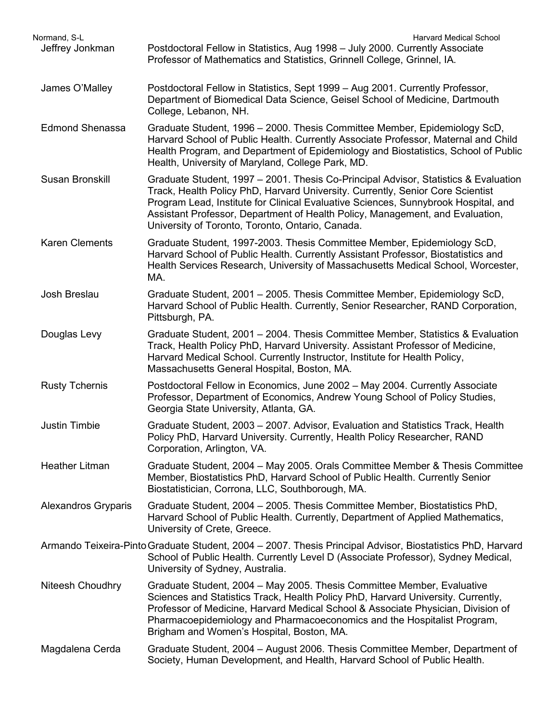| Normand, S-L               | <b>Harvard Medical School</b>                                                                                                                                                                                                                                                                                                                                                                    |
|----------------------------|--------------------------------------------------------------------------------------------------------------------------------------------------------------------------------------------------------------------------------------------------------------------------------------------------------------------------------------------------------------------------------------------------|
| Jeffrey Jonkman            | Postdoctoral Fellow in Statistics, Aug 1998 - July 2000. Currently Associate<br>Professor of Mathematics and Statistics, Grinnell College, Grinnel, IA.                                                                                                                                                                                                                                          |
| James O'Malley             | Postdoctoral Fellow in Statistics, Sept 1999 - Aug 2001. Currently Professor,<br>Department of Biomedical Data Science, Geisel School of Medicine, Dartmouth<br>College, Lebanon, NH.                                                                                                                                                                                                            |
| <b>Edmond Shenassa</b>     | Graduate Student, 1996 - 2000. Thesis Committee Member, Epidemiology ScD,<br>Harvard School of Public Health. Currently Associate Professor, Maternal and Child<br>Health Program, and Department of Epidemiology and Biostatistics, School of Public<br>Health, University of Maryland, College Park, MD.                                                                                       |
| Susan Bronskill            | Graduate Student, 1997 - 2001. Thesis Co-Principal Advisor, Statistics & Evaluation<br>Track, Health Policy PhD, Harvard University. Currently, Senior Core Scientist<br>Program Lead, Institute for Clinical Evaluative Sciences, Sunnybrook Hospital, and<br>Assistant Professor, Department of Health Policy, Management, and Evaluation,<br>University of Toronto, Toronto, Ontario, Canada. |
| <b>Karen Clements</b>      | Graduate Student, 1997-2003. Thesis Committee Member, Epidemiology ScD,<br>Harvard School of Public Health. Currently Assistant Professor, Biostatistics and<br>Health Services Research, University of Massachusetts Medical School, Worcester,<br>MA.                                                                                                                                          |
| Josh Breslau               | Graduate Student, 2001 - 2005. Thesis Committee Member, Epidemiology ScD,<br>Harvard School of Public Health. Currently, Senior Researcher, RAND Corporation,<br>Pittsburgh, PA.                                                                                                                                                                                                                 |
| Douglas Levy               | Graduate Student, 2001 - 2004. Thesis Committee Member, Statistics & Evaluation<br>Track, Health Policy PhD, Harvard University. Assistant Professor of Medicine,<br>Harvard Medical School. Currently Instructor, Institute for Health Policy,<br>Massachusetts General Hospital, Boston, MA.                                                                                                   |
| <b>Rusty Tchernis</b>      | Postdoctoral Fellow in Economics, June 2002 - May 2004. Currently Associate<br>Professor, Department of Economics, Andrew Young School of Policy Studies,<br>Georgia State University, Atlanta, GA.                                                                                                                                                                                              |
| <b>Justin Timbie</b>       | Graduate Student, 2003 – 2007. Advisor, Evaluation and Statistics Track, Health<br>Policy PhD, Harvard University. Currently, Health Policy Researcher, RAND<br>Corporation, Arlington, VA.                                                                                                                                                                                                      |
| <b>Heather Litman</b>      | Graduate Student, 2004 - May 2005. Orals Committee Member & Thesis Committee<br>Member, Biostatistics PhD, Harvard School of Public Health. Currently Senior<br>Biostatistician, Corrona, LLC, Southborough, MA.                                                                                                                                                                                 |
| <b>Alexandros Gryparis</b> | Graduate Student, 2004 - 2005. Thesis Committee Member, Biostatistics PhD,<br>Harvard School of Public Health. Currently, Department of Applied Mathematics,<br>University of Crete, Greece.                                                                                                                                                                                                     |
|                            | Armando Teixeira-Pinto Graduate Student, 2004 – 2007. Thesis Principal Advisor, Biostatistics PhD, Harvard<br>School of Public Health. Currently Level D (Associate Professor), Sydney Medical,<br>University of Sydney, Australia.                                                                                                                                                              |
| Niteesh Choudhry           | Graduate Student, 2004 - May 2005. Thesis Committee Member, Evaluative<br>Sciences and Statistics Track, Health Policy PhD, Harvard University. Currently,<br>Professor of Medicine, Harvard Medical School & Associate Physician, Division of<br>Pharmacoepidemiology and Pharmacoeconomics and the Hospitalist Program,<br>Brigham and Women's Hospital, Boston, MA.                           |
| Magdalena Cerda            | Graduate Student, 2004 - August 2006. Thesis Committee Member, Department of<br>Society, Human Development, and Health, Harvard School of Public Health.                                                                                                                                                                                                                                         |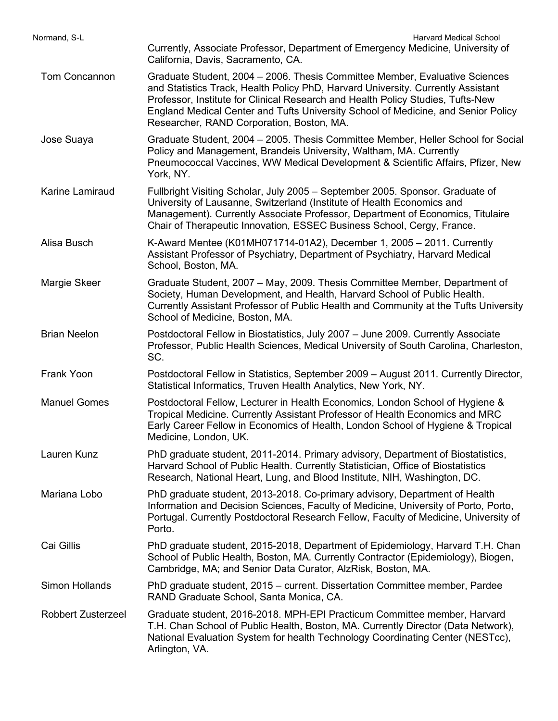| Normand, S-L              | <b>Harvard Medical School</b>                                                                                                                                                                                                                                                                                                                                                        |
|---------------------------|--------------------------------------------------------------------------------------------------------------------------------------------------------------------------------------------------------------------------------------------------------------------------------------------------------------------------------------------------------------------------------------|
|                           | Currently, Associate Professor, Department of Emergency Medicine, University of<br>California, Davis, Sacramento, CA.                                                                                                                                                                                                                                                                |
| <b>Tom Concannon</b>      | Graduate Student, 2004 - 2006. Thesis Committee Member, Evaluative Sciences<br>and Statistics Track, Health Policy PhD, Harvard University. Currently Assistant<br>Professor, Institute for Clinical Research and Health Policy Studies, Tufts-New<br>England Medical Center and Tufts University School of Medicine, and Senior Policy<br>Researcher, RAND Corporation, Boston, MA. |
| Jose Suaya                | Graduate Student, 2004 - 2005. Thesis Committee Member, Heller School for Social<br>Policy and Management, Brandeis University, Waltham, MA. Currently<br>Pneumococcal Vaccines, WW Medical Development & Scientific Affairs, Pfizer, New<br>York, NY.                                                                                                                               |
| Karine Lamiraud           | Fullbright Visiting Scholar, July 2005 - September 2005. Sponsor. Graduate of<br>University of Lausanne, Switzerland (Institute of Health Economics and<br>Management). Currently Associate Professor, Department of Economics, Titulaire<br>Chair of Therapeutic Innovation, ESSEC Business School, Cergy, France.                                                                  |
| Alisa Busch               | K-Award Mentee (K01MH071714-01A2), December 1, 2005 - 2011. Currently<br>Assistant Professor of Psychiatry, Department of Psychiatry, Harvard Medical<br>School, Boston, MA.                                                                                                                                                                                                         |
| Margie Skeer              | Graduate Student, 2007 - May, 2009. Thesis Committee Member, Department of<br>Society, Human Development, and Health, Harvard School of Public Health.<br>Currently Assistant Professor of Public Health and Community at the Tufts University<br>School of Medicine, Boston, MA.                                                                                                    |
| <b>Brian Neelon</b>       | Postdoctoral Fellow in Biostatistics, July 2007 - June 2009. Currently Associate<br>Professor, Public Health Sciences, Medical University of South Carolina, Charleston,<br>SC.                                                                                                                                                                                                      |
| Frank Yoon                | Postdoctoral Fellow in Statistics, September 2009 - August 2011. Currently Director,<br>Statistical Informatics, Truven Health Analytics, New York, NY.                                                                                                                                                                                                                              |
| <b>Manuel Gomes</b>       | Postdoctoral Fellow, Lecturer in Health Economics, London School of Hygiene &<br>Tropical Medicine. Currently Assistant Professor of Health Economics and MRC<br>Early Career Fellow in Economics of Health, London School of Hygiene & Tropical<br>Medicine, London, UK.                                                                                                            |
| Lauren Kunz               | PhD graduate student, 2011-2014. Primary advisory, Department of Biostatistics,<br>Harvard School of Public Health. Currently Statistician, Office of Biostatistics<br>Research, National Heart, Lung, and Blood Institute, NIH, Washington, DC.                                                                                                                                     |
| Mariana Lobo              | PhD graduate student, 2013-2018. Co-primary advisory, Department of Health<br>Information and Decision Sciences, Faculty of Medicine, University of Porto, Porto,<br>Portugal. Currently Postdoctoral Research Fellow, Faculty of Medicine, University of<br>Porto.                                                                                                                  |
| Cai Gillis                | PhD graduate student, 2015-2018, Department of Epidemiology, Harvard T.H. Chan<br>School of Public Health, Boston, MA. Currently Contractor (Epidemiology), Biogen,<br>Cambridge, MA; and Senior Data Curator, AlzRisk, Boston, MA.                                                                                                                                                  |
| <b>Simon Hollands</b>     | PhD graduate student, 2015 – current. Dissertation Committee member, Pardee<br>RAND Graduate School, Santa Monica, CA.                                                                                                                                                                                                                                                               |
| <b>Robbert Zusterzeel</b> | Graduate student, 2016-2018. MPH-EPI Practicum Committee member, Harvard<br>T.H. Chan School of Public Health, Boston, MA. Currently Director (Data Network),<br>National Evaluation System for health Technology Coordinating Center (NESTcc),<br>Arlington, VA.                                                                                                                    |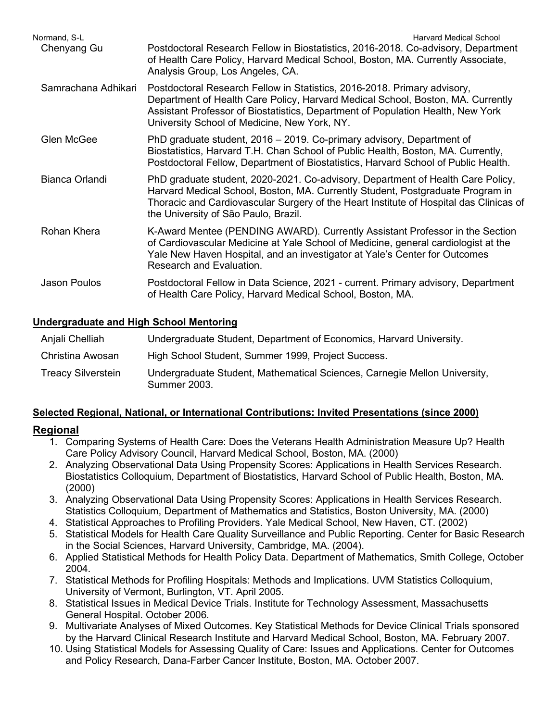| Normand. S-L        | <b>Harvard Medical School</b>                                                                                                                                                                                                                                                                       |
|---------------------|-----------------------------------------------------------------------------------------------------------------------------------------------------------------------------------------------------------------------------------------------------------------------------------------------------|
| Chenyang Gu         | Postdoctoral Research Fellow in Biostatistics, 2016-2018. Co-advisory, Department<br>of Health Care Policy, Harvard Medical School, Boston, MA. Currently Associate,<br>Analysis Group, Los Angeles, CA.                                                                                            |
| Samrachana Adhikari | Postdoctoral Research Fellow in Statistics, 2016-2018. Primary advisory,<br>Department of Health Care Policy, Harvard Medical School, Boston, MA. Currently<br>Assistant Professor of Biostatistics, Department of Population Health, New York<br>University School of Medicine, New York, NY.      |
| <b>Glen McGee</b>   | PhD graduate student, 2016 - 2019. Co-primary advisory, Department of<br>Biostatistics, Harvard T.H. Chan School of Public Health, Boston, MA. Currently,<br>Postdoctoral Fellow, Department of Biostatistics, Harvard School of Public Health.                                                     |
| Bianca Orlandi      | PhD graduate student, 2020-2021. Co-advisory, Department of Health Care Policy,<br>Harvard Medical School, Boston, MA. Currently Student, Postgraduate Program in<br>Thoracic and Cardiovascular Surgery of the Heart Institute of Hospital das Clinicas of<br>the University of São Paulo, Brazil. |
| Rohan Khera         | K-Award Mentee (PENDING AWARD). Currently Assistant Professor in the Section<br>of Cardiovascular Medicine at Yale School of Medicine, general cardiologist at the<br>Yale New Haven Hospital, and an investigator at Yale's Center for Outcomes<br>Research and Evaluation.                        |
| Jason Poulos        | Postdoctoral Fellow in Data Science, 2021 - current. Primary advisory, Department<br>of Health Care Policy, Harvard Medical School, Boston, MA.                                                                                                                                                     |

### **Undergraduate and High School Mentoring**

| Anjali Chelliah           | Undergraduate Student, Department of Economics, Harvard University.                              |
|---------------------------|--------------------------------------------------------------------------------------------------|
| Christina Awosan          | High School Student, Summer 1999, Project Success.                                               |
| <b>Treacy Silverstein</b> | Undergraduate Student, Mathematical Sciences, Carnegie Mellon University,<br><b>Summer 2003.</b> |

## **Selected Regional, National, or International Contributions: Invited Presentations (since 2000)**

## **Regional**

- 1. Comparing Systems of Health Care: Does the Veterans Health Administration Measure Up? Health Care Policy Advisory Council, Harvard Medical School, Boston, MA. (2000)
- 2. Analyzing Observational Data Using Propensity Scores: Applications in Health Services Research. Biostatistics Colloquium, Department of Biostatistics, Harvard School of Public Health, Boston, MA. (2000)
- 3. Analyzing Observational Data Using Propensity Scores: Applications in Health Services Research. Statistics Colloquium, Department of Mathematics and Statistics, Boston University, MA. (2000)
- 4. Statistical Approaches to Profiling Providers. Yale Medical School, New Haven, CT. (2002)
- 5. Statistical Models for Health Care Quality Surveillance and Public Reporting. Center for Basic Research in the Social Sciences, Harvard University, Cambridge, MA. (2004).
- 6. Applied Statistical Methods for Health Policy Data. Department of Mathematics, Smith College, October 2004.
- 7. Statistical Methods for Profiling Hospitals: Methods and Implications. UVM Statistics Colloquium, University of Vermont, Burlington, VT. April 2005.
- 8. Statistical Issues in Medical Device Trials. Institute for Technology Assessment, Massachusetts General Hospital. October 2006.
- 9. Multivariate Analyses of Mixed Outcomes. Key Statistical Methods for Device Clinical Trials sponsored by the Harvard Clinical Research Institute and Harvard Medical School, Boston, MA. February 2007.
- 10. Using Statistical Models for Assessing Quality of Care: Issues and Applications. Center for Outcomes and Policy Research, Dana-Farber Cancer Institute, Boston, MA. October 2007.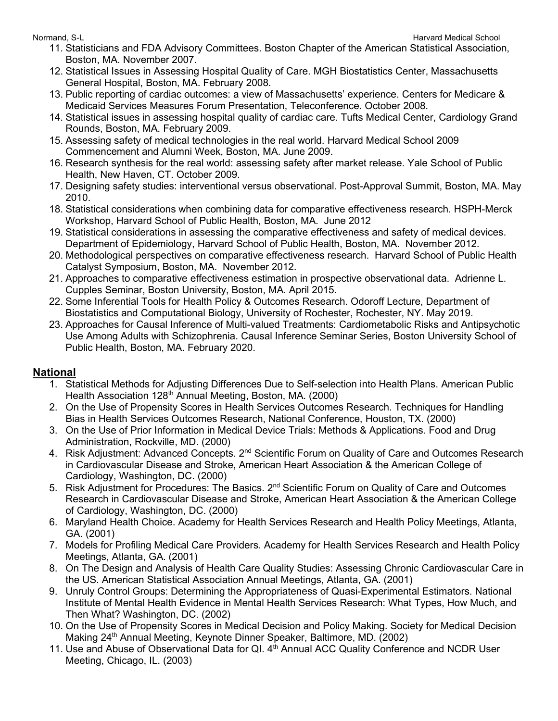- 11. Statisticians and FDA Advisory Committees. Boston Chapter of the American Statistical Association, Boston, MA. November 2007.
- 12. Statistical Issues in Assessing Hospital Quality of Care. MGH Biostatistics Center, Massachusetts General Hospital, Boston, MA. February 2008.
- 13. Public reporting of cardiac outcomes: a view of Massachusetts' experience. Centers for Medicare & Medicaid Services Measures Forum Presentation, Teleconference. October 2008.
- 14. Statistical issues in assessing hospital quality of cardiac care. Tufts Medical Center, Cardiology Grand Rounds, Boston, MA. February 2009.
- 15. Assessing safety of medical technologies in the real world. Harvard Medical School 2009 Commencement and Alumni Week, Boston, MA. June 2009.
- 16. Research synthesis for the real world: assessing safety after market release. Yale School of Public Health, New Haven, CT. October 2009.
- 17. Designing safety studies: interventional versus observational. Post-Approval Summit, Boston, MA. May 2010.
- 18. Statistical considerations when combining data for comparative effectiveness research. HSPH-Merck Workshop, Harvard School of Public Health, Boston, MA. June 2012
- 19. Statistical considerations in assessing the comparative effectiveness and safety of medical devices. Department of Epidemiology, Harvard School of Public Health, Boston, MA. November 2012.
- 20. Methodological perspectives on comparative effectiveness research. Harvard School of Public Health Catalyst Symposium, Boston, MA. November 2012.
- 21. Approaches to comparative effectiveness estimation in prospective observational data. Adrienne L. Cupples Seminar, Boston University, Boston, MA. April 2015.
- 22. Some Inferential Tools for Health Policy & Outcomes Research. Odoroff Lecture, Department of Biostatistics and Computational Biology, University of Rochester, Rochester, NY. May 2019.
- 23. Approaches for Causal Inference of Multi-valued Treatments: Cardiometabolic Risks and Antipsychotic Use Among Adults with Schizophrenia. Causal Inference Seminar Series, Boston University School of Public Health, Boston, MA. February 2020.

## **National**

- 1. Statistical Methods for Adjusting Differences Due to Self-selection into Health Plans. American Public Health Association 128<sup>th</sup> Annual Meeting, Boston, MA. (2000)
- 2. On the Use of Propensity Scores in Health Services Outcomes Research. Techniques for Handling Bias in Health Services Outcomes Research, National Conference, Houston, TX. (2000)
- 3. On the Use of Prior Information in Medical Device Trials: Methods & Applications. Food and Drug Administration, Rockville, MD. (2000)
- 4. Risk Adjustment: Advanced Concepts. 2<sup>nd</sup> Scientific Forum on Quality of Care and Outcomes Research in Cardiovascular Disease and Stroke, American Heart Association & the American College of Cardiology, Washington, DC. (2000)
- 5. Risk Adjustment for Procedures: The Basics. 2<sup>nd</sup> Scientific Forum on Quality of Care and Outcomes Research in Cardiovascular Disease and Stroke, American Heart Association & the American College of Cardiology, Washington, DC. (2000)
- 6. Maryland Health Choice. Academy for Health Services Research and Health Policy Meetings, Atlanta, GA. (2001)
- 7. Models for Profiling Medical Care Providers. Academy for Health Services Research and Health Policy Meetings, Atlanta, GA. (2001)
- 8. On The Design and Analysis of Health Care Quality Studies: Assessing Chronic Cardiovascular Care in the US. American Statistical Association Annual Meetings, Atlanta, GA. (2001)
- 9. Unruly Control Groups: Determining the Appropriateness of Quasi-Experimental Estimators. National Institute of Mental Health Evidence in Mental Health Services Research: What Types, How Much, and Then What? Washington, DC. (2002)
- 10. On the Use of Propensity Scores in Medical Decision and Policy Making. Society for Medical Decision Making 24<sup>th</sup> Annual Meeting, Keynote Dinner Speaker, Baltimore, MD. (2002)
- 11. Use and Abuse of Observational Data for QI. 4<sup>th</sup> Annual ACC Quality Conference and NCDR User Meeting, Chicago, IL. (2003)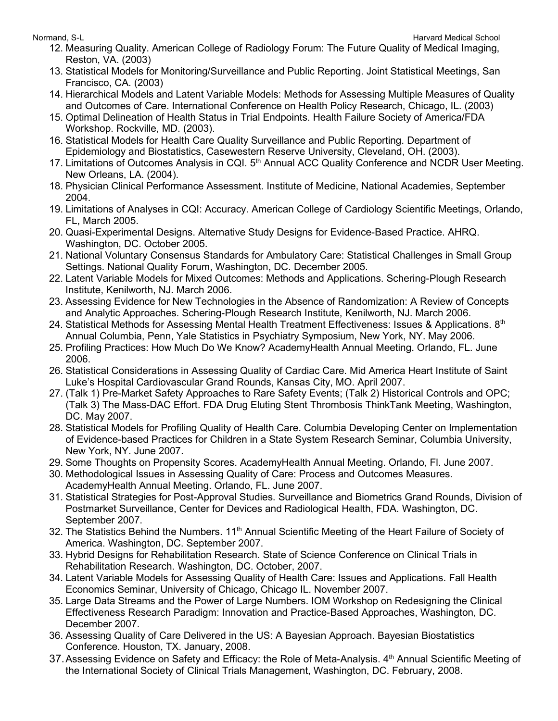- 12. Measuring Quality. American College of Radiology Forum: The Future Quality of Medical Imaging, Reston, VA. (2003)
- 13. Statistical Models for Monitoring/Surveillance and Public Reporting. Joint Statistical Meetings, San Francisco, CA. (2003)
- 14. Hierarchical Models and Latent Variable Models: Methods for Assessing Multiple Measures of Quality and Outcomes of Care. International Conference on Health Policy Research, Chicago, IL. (2003)
- 15. Optimal Delineation of Health Status in Trial Endpoints. Health Failure Society of America/FDA Workshop. Rockville, MD. (2003).
- 16. Statistical Models for Health Care Quality Surveillance and Public Reporting. Department of Epidemiology and Biostatistics, Casewestern Reserve University, Cleveland, OH. (2003).
- 17. Limitations of Outcomes Analysis in CQI. 5<sup>th</sup> Annual ACC Quality Conference and NCDR User Meeting. New Orleans, LA. (2004).
- 18. Physician Clinical Performance Assessment. Institute of Medicine, National Academies, September 2004.
- 19. Limitations of Analyses in CQI: Accuracy. American College of Cardiology Scientific Meetings, Orlando, FL, March 2005.
- 20. Quasi-Experimental Designs. Alternative Study Designs for Evidence-Based Practice. AHRQ. Washington, DC. October 2005.
- 21. National Voluntary Consensus Standards for Ambulatory Care: Statistical Challenges in Small Group Settings. National Quality Forum, Washington, DC. December 2005.
- 22. Latent Variable Models for Mixed Outcomes: Methods and Applications. Schering-Plough Research Institute, Kenilworth, NJ. March 2006.
- 23. Assessing Evidence for New Technologies in the Absence of Randomization: A Review of Concepts and Analytic Approaches. Schering-Plough Research Institute, Kenilworth, NJ. March 2006.
- 24. Statistical Methods for Assessing Mental Health Treatment Effectiveness: Issues & Applications.  $8<sup>th</sup>$ Annual Columbia, Penn, Yale Statistics in Psychiatry Symposium, New York, NY. May 2006.
- 25. Profiling Practices: How Much Do We Know? AcademyHealth Annual Meeting. Orlando, FL. June 2006.
- 26. Statistical Considerations in Assessing Quality of Cardiac Care. Mid America Heart Institute of Saint Luke's Hospital Cardiovascular Grand Rounds, Kansas City, MO. April 2007.
- 27. (Talk 1) Pre-Market Safety Approaches to Rare Safety Events; (Talk 2) Historical Controls and OPC; (Talk 3) The Mass-DAC Effort. FDA Drug Eluting Stent Thrombosis ThinkTank Meeting, Washington, DC. May 2007.
- 28. Statistical Models for Profiling Quality of Health Care. Columbia Developing Center on Implementation of Evidence-based Practices for Children in a State System Research Seminar, Columbia University, New York, NY. June 2007.
- 29. Some Thoughts on Propensity Scores. AcademyHealth Annual Meeting. Orlando, Fl. June 2007.
- 30. Methodological Issues in Assessing Quality of Care: Process and Outcomes Measures. AcademyHealth Annual Meeting. Orlando, FL. June 2007.
- 31. Statistical Strategies for Post-Approval Studies. Surveillance and Biometrics Grand Rounds, Division of Postmarket Surveillance, Center for Devices and Radiological Health, FDA. Washington, DC. September 2007.
- 32. The Statistics Behind the Numbers. 11<sup>th</sup> Annual Scientific Meeting of the Heart Failure of Society of America. Washington, DC. September 2007.
- 33. Hybrid Designs for Rehabilitation Research. State of Science Conference on Clinical Trials in Rehabilitation Research. Washington, DC. October, 2007.
- 34. Latent Variable Models for Assessing Quality of Health Care: Issues and Applications. Fall Health Economics Seminar, University of Chicago, Chicago IL. November 2007.
- 35. Large Data Streams and the Power of Large Numbers. IOM Workshop on Redesigning the Clinical Effectiveness Research Paradigm: Innovation and Practice-Based Approaches, Washington, DC. December 2007.
- 36. Assessing Quality of Care Delivered in the US: A Bayesian Approach. Bayesian Biostatistics Conference. Houston, TX. January, 2008.
- 37. Assessing Evidence on Safety and Efficacy: the Role of Meta-Analysis. 4<sup>th</sup> Annual Scientific Meeting of the International Society of Clinical Trials Management, Washington, DC. February, 2008.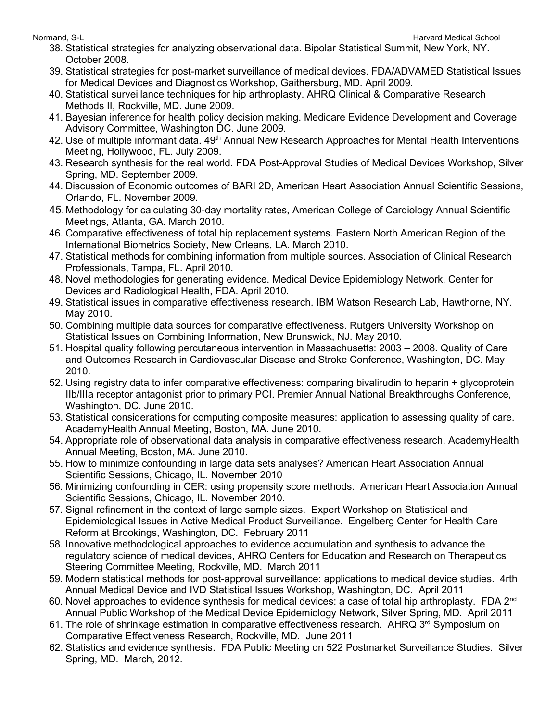- 38. Statistical strategies for analyzing observational data. Bipolar Statistical Summit, New York, NY. October 2008.
- 39. Statistical strategies for post-market surveillance of medical devices. FDA/ADVAMED Statistical Issues for Medical Devices and Diagnostics Workshop, Gaithersburg, MD. April 2009.
- 40. Statistical surveillance techniques for hip arthroplasty. AHRQ Clinical & Comparative Research Methods II, Rockville, MD. June 2009.
- 41. Bayesian inference for health policy decision making. Medicare Evidence Development and Coverage Advisory Committee, Washington DC. June 2009.
- 42. Use of multiple informant data. 49<sup>th</sup> Annual New Research Approaches for Mental Health Interventions Meeting, Hollywood, FL. July 2009.
- 43. Research synthesis for the real world. FDA Post-Approval Studies of Medical Devices Workshop, Silver Spring, MD. September 2009.
- 44. Discussion of Economic outcomes of BARI 2D, American Heart Association Annual Scientific Sessions, Orlando, FL. November 2009.
- 45.Methodology for calculating 30-day mortality rates, American College of Cardiology Annual Scientific Meetings, Atlanta, GA. March 2010.
- 46. Comparative effectiveness of total hip replacement systems. Eastern North American Region of the International Biometrics Society, New Orleans, LA. March 2010.
- 47. Statistical methods for combining information from multiple sources. Association of Clinical Research Professionals, Tampa, FL. April 2010.
- 48. Novel methodologies for generating evidence. Medical Device Epidemiology Network, Center for Devices and Radiological Health, FDA. April 2010.
- 49. Statistical issues in comparative effectiveness research. IBM Watson Research Lab, Hawthorne, NY. May 2010.
- 50. Combining multiple data sources for comparative effectiveness. Rutgers University Workshop on Statistical Issues on Combining Information, New Brunswick, NJ. May 2010.
- 51. Hospital quality following percutaneous intervention in Massachusetts: 2003 2008. Quality of Care and Outcomes Research in Cardiovascular Disease and Stroke Conference, Washington, DC. May 2010.
- 52. Using registry data to infer comparative effectiveness: comparing bivalirudin to heparin + glycoprotein IIb/IIIa receptor antagonist prior to primary PCI. Premier Annual National Breakthroughs Conference, Washington, DC. June 2010.
- 53. Statistical considerations for computing composite measures: application to assessing quality of care. AcademyHealth Annual Meeting, Boston, MA. June 2010.
- 54. Appropriate role of observational data analysis in comparative effectiveness research. AcademyHealth Annual Meeting, Boston, MA. June 2010.
- 55. How to minimize confounding in large data sets analyses? American Heart Association Annual Scientific Sessions, Chicago, IL. November 2010
- 56. Minimizing confounding in CER: using propensity score methods. American Heart Association Annual Scientific Sessions, Chicago, IL. November 2010.
- 57. Signal refinement in the context of large sample sizes. Expert Workshop on Statistical and Epidemiological Issues in Active Medical Product Surveillance. Engelberg Center for Health Care Reform at Brookings, Washington, DC. February 2011
- 58. Innovative methodological approaches to evidence accumulation and synthesis to advance the regulatory science of medical devices, AHRQ Centers for Education and Research on Therapeutics Steering Committee Meeting, Rockville, MD. March 2011
- 59. Modern statistical methods for post-approval surveillance: applications to medical device studies. 4rth Annual Medical Device and IVD Statistical Issues Workshop, Washington, DC. April 2011
- 60. Novel approaches to evidence synthesis for medical devices: a case of total hip arthroplasty. FDA 2<sup>nd</sup> Annual Public Workshop of the Medical Device Epidemiology Network, Silver Spring, MD. April 2011
- 61. The role of shrinkage estimation in comparative effectiveness research. AHRQ 3<sup>rd</sup> Symposium on Comparative Effectiveness Research, Rockville, MD. June 2011
- 62. Statistics and evidence synthesis. FDA Public Meeting on 522 Postmarket Surveillance Studies. Silver Spring, MD. March, 2012.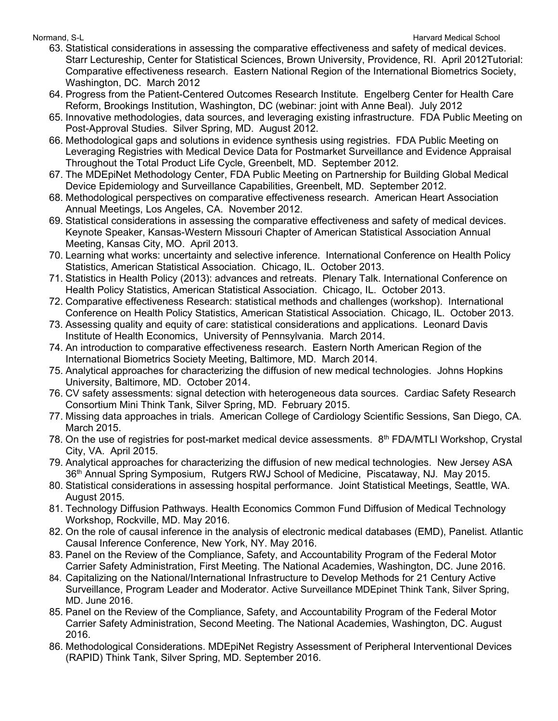- 63. Statistical considerations in assessing the comparative effectiveness and safety of medical devices. Starr Lectureship, Center for Statistical Sciences, Brown University, Providence, RI. April 2012Tutorial: Comparative effectiveness research. Eastern National Region of the International Biometrics Society, Washington, DC. March 2012
- 64. Progress from the Patient-Centered Outcomes Research Institute. Engelberg Center for Health Care Reform, Brookings Institution, Washington, DC (webinar: joint with Anne Beal). July 2012
- 65. Innovative methodologies, data sources, and leveraging existing infrastructure. FDA Public Meeting on Post-Approval Studies. Silver Spring, MD. August 2012.
- 66. Methodological gaps and solutions in evidence synthesis using registries. FDA Public Meeting on Leveraging Registries with Medical Device Data for Postmarket Surveillance and Evidence Appraisal Throughout the Total Product Life Cycle, Greenbelt, MD. September 2012.
- 67. The MDEpiNet Methodology Center, FDA Public Meeting on Partnership for Building Global Medical Device Epidemiology and Surveillance Capabilities, Greenbelt, MD. September 2012.
- 68. Methodological perspectives on comparative effectiveness research. American Heart Association Annual Meetings, Los Angeles, CA. November 2012.
- 69. Statistical considerations in assessing the comparative effectiveness and safety of medical devices. Keynote Speaker, Kansas-Western Missouri Chapter of American Statistical Association Annual Meeting, Kansas City, MO. April 2013.
- 70. Learning what works: uncertainty and selective inference. International Conference on Health Policy Statistics, American Statistical Association. Chicago, IL. October 2013.
- 71. Statistics in Health Policy (2013): advances and retreats. Plenary Talk. International Conference on Health Policy Statistics, American Statistical Association. Chicago, IL. October 2013.
- 72. Comparative effectiveness Research: statistical methods and challenges (workshop). International Conference on Health Policy Statistics, American Statistical Association. Chicago, IL. October 2013.
- 73. Assessing quality and equity of care: statistical considerations and applications. Leonard Davis Institute of Health Economics, University of Pennsylvania. March 2014.
- 74. An introduction to comparative effectiveness research. Eastern North American Region of the International Biometrics Society Meeting, Baltimore, MD. March 2014.
- 75. Analytical approaches for characterizing the diffusion of new medical technologies. Johns Hopkins University, Baltimore, MD. October 2014.
- 76. CV safety assessments: signal detection with heterogeneous data sources. Cardiac Safety Research Consortium Mini Think Tank, Silver Spring, MD. February 2015.
- 77. Missing data approaches in trials. American College of Cardiology Scientific Sessions, San Diego, CA. March 2015.
- 78. On the use of registries for post-market medical device assessments. 8<sup>th</sup> FDA/MTLI Workshop, Crystal City, VA. April 2015.
- 79. Analytical approaches for characterizing the diffusion of new medical technologies. New Jersey ASA 36th Annual Spring Symposium, Rutgers RWJ School of Medicine, Piscataway, NJ. May 2015.
- 80. Statistical considerations in assessing hospital performance. Joint Statistical Meetings, Seattle, WA. August 2015.
- 81. Technology Diffusion Pathways. Health Economics Common Fund Diffusion of Medical Technology Workshop, Rockville, MD. May 2016.
- 82. On the role of causal inference in the analysis of electronic medical databases (EMD), Panelist. Atlantic Causal Inference Conference, New York, NY. May 2016.
- 83. Panel on the Review of the Compliance, Safety, and Accountability Program of the Federal Motor Carrier Safety Administration, First Meeting. The National Academies, Washington, DC. June 2016.
- 84. Capitalizing on the National/International Infrastructure to Develop Methods for 21 Century Active Surveillance, Program Leader and Moderator. Active Surveillance MDEpinet Think Tank, Silver Spring, MD. June 2016.
- 85. Panel on the Review of the Compliance, Safety, and Accountability Program of the Federal Motor Carrier Safety Administration, Second Meeting. The National Academies, Washington, DC. August 2016.
- 86. Methodological Considerations. MDEpiNet Registry Assessment of Peripheral Interventional Devices (RAPID) Think Tank, Silver Spring, MD. September 2016.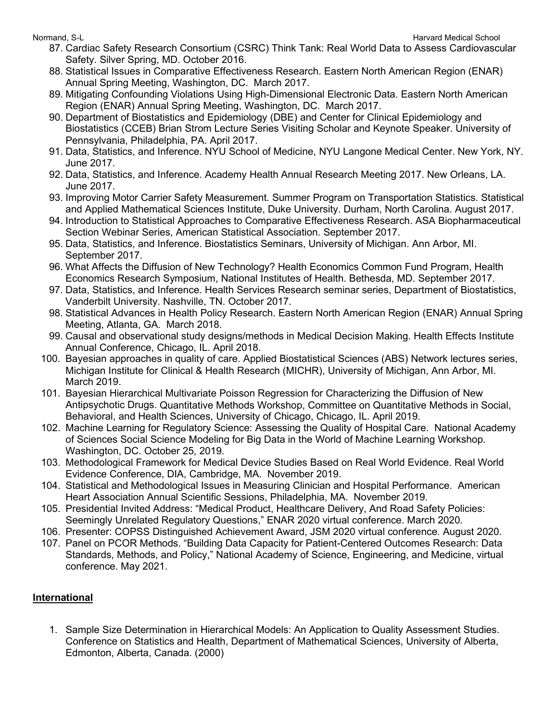- 87. Cardiac Safety Research Consortium (CSRC) Think Tank: Real World Data to Assess Cardiovascular Safety. Silver Spring, MD. October 2016.
- 88. Statistical Issues in Comparative Effectiveness Research. Eastern North American Region (ENAR) Annual Spring Meeting, Washington, DC. March 2017.
- 89. Mitigating Confounding Violations Using High-Dimensional Electronic Data. Eastern North American Region (ENAR) Annual Spring Meeting, Washington, DC. March 2017.
- 90. Department of Biostatistics and Epidemiology (DBE) and Center for Clinical Epidemiology and Biostatistics (CCEB) Brian Strom Lecture Series Visiting Scholar and Keynote Speaker. University of Pennsylvania, Philadelphia, PA. April 2017.
- 91. Data, Statistics, and Inference. NYU School of Medicine, NYU Langone Medical Center. New York, NY. June 2017.
- 92. Data, Statistics, and Inference. Academy Health Annual Research Meeting 2017. New Orleans, LA. June 2017.
- 93. Improving Motor Carrier Safety Measurement. Summer Program on Transportation Statistics. Statistical and Applied Mathematical Sciences Institute, Duke University. Durham, North Carolina. August 2017.
- 94. Introduction to Statistical Approaches to Comparative Effectiveness Research. ASA Biopharmaceutical Section Webinar Series, American Statistical Association. September 2017.
- 95. Data, Statistics, and Inference. Biostatistics Seminars, University of Michigan. Ann Arbor, MI. September 2017.
- 96. What Affects the Diffusion of New Technology? Health Economics Common Fund Program, Health Economics Research Symposium, National Institutes of Health. Bethesda, MD. September 2017.
- 97. Data, Statistics, and Inference. Health Services Research seminar series, Department of Biostatistics, Vanderbilt University. Nashville, TN. October 2017.
- 98. Statistical Advances in Health Policy Research. Eastern North American Region (ENAR) Annual Spring Meeting, Atlanta, GA. March 2018.
- 99. Causal and observational study designs/methods in Medical Decision Making. Health Effects Institute Annual Conference, Chicago, IL. April 2018.
- 100. Bayesian approaches in quality of care. Applied Biostatistical Sciences (ABS) Network lectures series, Michigan Institute for Clinical & Health Research (MICHR), University of Michigan, Ann Arbor, MI. March 2019.
- 101. Bayesian Hierarchical Multivariate Poisson Regression for Characterizing the Diffusion of New Antipsychotic Drugs. Quantitative Methods Workshop, Committee on Quantitative Methods in Social, Behavioral, and Health Sciences, University of Chicago, Chicago, IL. April 2019.
- 102. Machine Learning for Regulatory Science: Assessing the Quality of Hospital Care. National Academy of Sciences Social Science Modeling for Big Data in the World of Machine Learning Workshop. Washington, DC. October 25, 2019.
- 103. Methodological Framework for Medical Device Studies Based on Real World Evidence. Real World Evidence Conference, DIA, Cambridge, MA. November 2019.
- 104. Statistical and Methodological Issues in Measuring Clinician and Hospital Performance. American Heart Association Annual Scientific Sessions, Philadelphia, MA. November 2019.
- 105. Presidential Invited Address: "Medical Product, Healthcare Delivery, And Road Safety Policies: Seemingly Unrelated Regulatory Questions," ENAR 2020 virtual conference. March 2020.
- 106. Presenter: COPSS Distinguished Achievement Award, JSM 2020 virtual conference. August 2020.
- 107. Panel on PCOR Methods. "Building Data Capacity for Patient-Centered Outcomes Research: Data Standards, Methods, and Policy," National Academy of Science, Engineering, and Medicine, virtual conference. May 2021.

## **International**

1. Sample Size Determination in Hierarchical Models: An Application to Quality Assessment Studies. Conference on Statistics and Health, Department of Mathematical Sciences, University of Alberta, Edmonton, Alberta, Canada. (2000)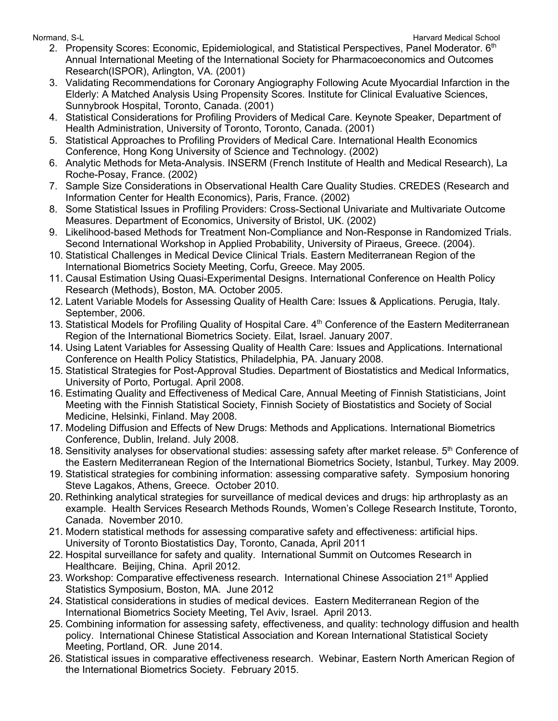- 2. Propensity Scores: Economic, Epidemiological, and Statistical Perspectives, Panel Moderator. 6th Annual International Meeting of the International Society for Pharmacoeconomics and Outcomes Research(ISPOR), Arlington, VA. (2001)
- 3. Validating Recommendations for Coronary Angiography Following Acute Myocardial Infarction in the Elderly: A Matched Analysis Using Propensity Scores*.* Institute for Clinical Evaluative Sciences, Sunnybrook Hospital, Toronto, Canada. (2001)
- 4. Statistical Considerations for Profiling Providers of Medical Care. Keynote Speaker, Department of Health Administration, University of Toronto, Toronto, Canada. (2001)
- 5. Statistical Approaches to Profiling Providers of Medical Care. International Health Economics Conference, Hong Kong University of Science and Technology. (2002)
- 6. Analytic Methods for Meta-Analysis. INSERM (French Institute of Health and Medical Research), La Roche-Posay, France. (2002)
- 7. Sample Size Considerations in Observational Health Care Quality Studies. CREDES (Research and Information Center for Health Economics), Paris, France. (2002)
- 8. Some Statistical Issues in Profiling Providers: Cross-Sectional Univariate and Multivariate Outcome Measures. Department of Economics, University of Bristol, UK. (2002)
- 9. Likelihood-based Methods for Treatment Non-Compliance and Non-Response in Randomized Trials. Second International Workshop in Applied Probability, University of Piraeus, Greece. (2004).
- 10. Statistical Challenges in Medical Device Clinical Trials. Eastern Mediterranean Region of the International Biometrics Society Meeting, Corfu, Greece. May 2005.
- 11. Causal Estimation Using Quasi-Experimental Designs. International Conference on Health Policy Research (Methods), Boston, MA. October 2005.
- 12. Latent Variable Models for Assessing Quality of Health Care: Issues & Applications. Perugia, Italy. September, 2006.
- 13. Statistical Models for Profiling Quality of Hospital Care. 4<sup>th</sup> Conference of the Eastern Mediterranean Region of the International Biometrics Society. Eilat, Israel. January 2007.
- 14. Using Latent Variables for Assessing Quality of Health Care: Issues and Applications. International Conference on Health Policy Statistics, Philadelphia, PA. January 2008.
- 15. Statistical Strategies for Post-Approval Studies. Department of Biostatistics and Medical Informatics, University of Porto, Portugal. April 2008.
- 16. Estimating Quality and Effectiveness of Medical Care, Annual Meeting of Finnish Statisticians, Joint Meeting with the Finnish Statistical Society, Finnish Society of Biostatistics and Society of Social Medicine, Helsinki, Finland. May 2008.
- 17. Modeling Diffusion and Effects of New Drugs: Methods and Applications. International Biometrics Conference, Dublin, Ireland. July 2008.
- 18. Sensitivity analyses for observational studies: assessing safety after market release. 5<sup>th</sup> Conference of the Eastern Mediterranean Region of the International Biometrics Society, Istanbul, Turkey. May 2009.
- 19. Statistical strategies for combining information: assessing comparative safety. Symposium honoring Steve Lagakos, Athens, Greece. October 2010.
- 20. Rethinking analytical strategies for surveillance of medical devices and drugs: hip arthroplasty as an example. Health Services Research Methods Rounds, Women's College Research Institute, Toronto, Canada. November 2010.
- 21. Modern statistical methods for assessing comparative safety and effectiveness: artificial hips. University of Toronto Biostatistics Day, Toronto, Canada, April 2011
- 22. Hospital surveillance for safety and quality. International Summit on Outcomes Research in Healthcare. Beijing, China. April 2012.
- 23. Workshop: Comparative effectiveness research. International Chinese Association 21<sup>st</sup> Applied Statistics Symposium, Boston, MA. June 2012
- 24. Statistical considerations in studies of medical devices. Eastern Mediterranean Region of the International Biometrics Society Meeting, Tel Aviv, Israel. April 2013.
- 25. Combining information for assessing safety, effectiveness, and quality: technology diffusion and health policy. International Chinese Statistical Association and Korean International Statistical Society Meeting, Portland, OR. June 2014.
- 26. Statistical issues in comparative effectiveness research. Webinar, Eastern North American Region of the International Biometrics Society. February 2015.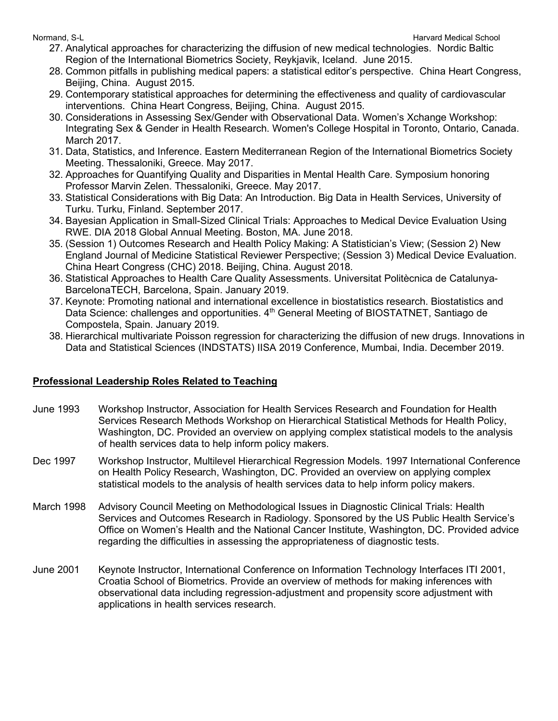- 27. Analytical approaches for characterizing the diffusion of new medical technologies. Nordic Baltic Region of the International Biometrics Society, Reykjavik, Iceland. June 2015.
- 28. Common pitfalls in publishing medical papers: a statistical editor's perspective. China Heart Congress, Beijing, China. August 2015.
- 29. Contemporary statistical approaches for determining the effectiveness and quality of cardiovascular interventions. China Heart Congress, Beijing, China. August 2015.
- 30. Considerations in Assessing Sex/Gender with Observational Data. Women's Xchange Workshop: Integrating Sex & Gender in Health Research. Women's College Hospital in Toronto, Ontario, Canada. March 2017.
- 31. Data, Statistics, and Inference. Eastern Mediterranean Region of the International Biometrics Society Meeting. Thessaloniki, Greece. May 2017.
- 32. Approaches for Quantifying Quality and Disparities in Mental Health Care. Symposium honoring Professor Marvin Zelen. Thessaloniki, Greece. May 2017.
- 33. Statistical Considerations with Big Data: An Introduction. Big Data in Health Services, University of Turku. Turku, Finland. September 2017.
- 34. Bayesian Application in Small-Sized Clinical Trials: Approaches to Medical Device Evaluation Using RWE. DIA 2018 Global Annual Meeting. Boston, MA. June 2018.
- 35. (Session 1) Outcomes Research and Health Policy Making: A Statistician's View; (Session 2) New England Journal of Medicine Statistical Reviewer Perspective; (Session 3) Medical Device Evaluation. China Heart Congress (CHC) 2018. Beijing, China. August 2018.
- 36. Statistical Approaches to Health Care Quality Assessments. Universitat Politècnica de Catalunya-BarcelonaTECH, Barcelona, Spain. January 2019.
- 37. Keynote: Promoting national and international excellence in biostatistics research. Biostatistics and Data Science: challenges and opportunities. 4<sup>th</sup> General Meeting of BIOSTATNET, Santiago de Compostela, Spain. January 2019.
- 38. Hierarchical multivariate Poisson regression for characterizing the diffusion of new drugs. Innovations in Data and Statistical Sciences (INDSTATS) IISA 2019 Conference, Mumbai, India. December 2019.

## **Professional Leadership Roles Related to Teaching**

- June 1993 Workshop Instructor, Association for Health Services Research and Foundation for Health Services Research Methods Workshop on Hierarchical Statistical Methods for Health Policy, Washington, DC. Provided an overview on applying complex statistical models to the analysis of health services data to help inform policy makers.
- Dec 1997 Workshop Instructor, Multilevel Hierarchical Regression Models. 1997 International Conference on Health Policy Research, Washington, DC. Provided an overview on applying complex statistical models to the analysis of health services data to help inform policy makers.
- March 1998 Advisory Council Meeting on Methodological Issues in Diagnostic Clinical Trials: Health Services and Outcomes Research in Radiology. Sponsored by the US Public Health Service's Office on Women's Health and the National Cancer Institute, Washington, DC. Provided advice regarding the difficulties in assessing the appropriateness of diagnostic tests.
- June 2001 Keynote Instructor, International Conference on Information Technology Interfaces ITI 2001, Croatia School of Biometrics. Provide an overview of methods for making inferences with observational data including regression-adjustment and propensity score adjustment with applications in health services research.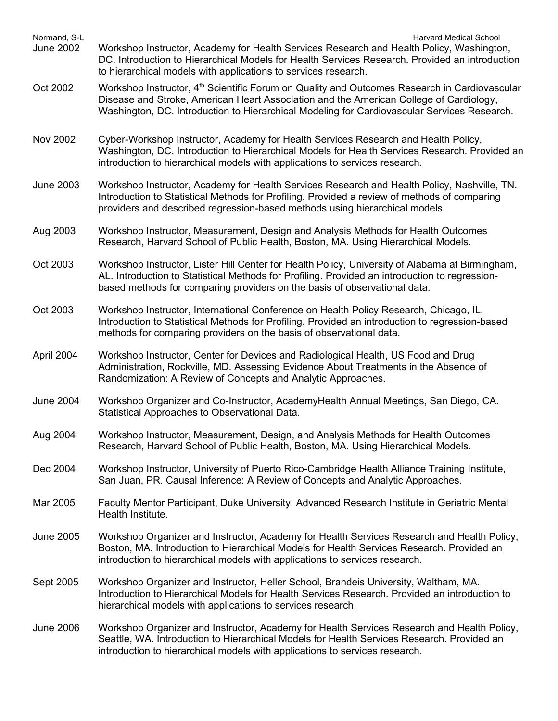| Normand, S-L<br><b>June 2002</b> | Harvard Medical School<br>Workshop Instructor, Academy for Health Services Research and Health Policy, Washington,<br>DC. Introduction to Hierarchical Models for Health Services Research. Provided an introduction<br>to hierarchical models with applications to services research.            |
|----------------------------------|---------------------------------------------------------------------------------------------------------------------------------------------------------------------------------------------------------------------------------------------------------------------------------------------------|
| Oct 2002                         | Workshop Instructor, 4 <sup>th</sup> Scientific Forum on Quality and Outcomes Research in Cardiovascular<br>Disease and Stroke, American Heart Association and the American College of Cardiology,<br>Washington, DC. Introduction to Hierarchical Modeling for Cardiovascular Services Research. |
| <b>Nov 2002</b>                  | Cyber-Workshop Instructor, Academy for Health Services Research and Health Policy,<br>Washington, DC. Introduction to Hierarchical Models for Health Services Research. Provided an<br>introduction to hierarchical models with applications to services research.                                |
| <b>June 2003</b>                 | Workshop Instructor, Academy for Health Services Research and Health Policy, Nashville, TN.<br>Introduction to Statistical Methods for Profiling. Provided a review of methods of comparing<br>providers and described regression-based methods using hierarchical models.                        |
| Aug 2003                         | Workshop Instructor, Measurement, Design and Analysis Methods for Health Outcomes<br>Research, Harvard School of Public Health, Boston, MA. Using Hierarchical Models.                                                                                                                            |
| Oct 2003                         | Workshop Instructor, Lister Hill Center for Health Policy, University of Alabama at Birmingham,<br>AL. Introduction to Statistical Methods for Profiling. Provided an introduction to regression-<br>based methods for comparing providers on the basis of observational data.                    |
| Oct 2003                         | Workshop Instructor, International Conference on Health Policy Research, Chicago, IL.<br>Introduction to Statistical Methods for Profiling. Provided an introduction to regression-based<br>methods for comparing providers on the basis of observational data.                                   |
| April 2004                       | Workshop Instructor, Center for Devices and Radiological Health, US Food and Drug<br>Administration, Rockville, MD. Assessing Evidence About Treatments in the Absence of<br>Randomization: A Review of Concepts and Analytic Approaches.                                                         |
| <b>June 2004</b>                 | Workshop Organizer and Co-Instructor, AcademyHealth Annual Meetings, San Diego, CA.<br>Statistical Approaches to Observational Data.                                                                                                                                                              |
| Aug 2004                         | Workshop Instructor, Measurement, Design, and Analysis Methods for Health Outcomes<br>Research, Harvard School of Public Health, Boston, MA. Using Hierarchical Models.                                                                                                                           |
| Dec 2004                         | Workshop Instructor, University of Puerto Rico-Cambridge Health Alliance Training Institute,<br>San Juan, PR. Causal Inference: A Review of Concepts and Analytic Approaches.                                                                                                                     |
| Mar 2005                         | Faculty Mentor Participant, Duke University, Advanced Research Institute in Geriatric Mental<br>Health Institute.                                                                                                                                                                                 |
| <b>June 2005</b>                 | Workshop Organizer and Instructor, Academy for Health Services Research and Health Policy,<br>Boston, MA. Introduction to Hierarchical Models for Health Services Research. Provided an<br>introduction to hierarchical models with applications to services research.                            |
| Sept 2005                        | Workshop Organizer and Instructor, Heller School, Brandeis University, Waltham, MA.<br>Introduction to Hierarchical Models for Health Services Research. Provided an introduction to<br>hierarchical models with applications to services research.                                               |
| <b>June 2006</b>                 | Workshop Organizer and Instructor, Academy for Health Services Research and Health Policy,<br>Seattle, WA. Introduction to Hierarchical Models for Health Services Research. Provided an<br>introduction to hierarchical models with applications to services research.                           |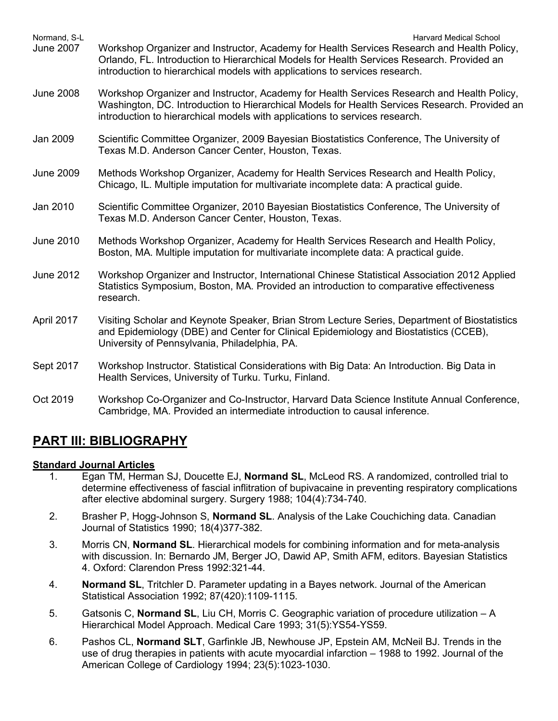| Normand, S-L<br><b>June 2007</b> | <b>Harvard Medical School</b><br>Workshop Organizer and Instructor, Academy for Health Services Research and Health Policy,<br>Orlando, FL. Introduction to Hierarchical Models for Health Services Research. Provided an<br>introduction to hierarchical models with applications to services research. |
|----------------------------------|----------------------------------------------------------------------------------------------------------------------------------------------------------------------------------------------------------------------------------------------------------------------------------------------------------|
| <b>June 2008</b>                 | Workshop Organizer and Instructor, Academy for Health Services Research and Health Policy,<br>Washington, DC. Introduction to Hierarchical Models for Health Services Research. Provided an<br>introduction to hierarchical models with applications to services research.                               |
| Jan 2009                         | Scientific Committee Organizer, 2009 Bayesian Biostatistics Conference, The University of<br>Texas M.D. Anderson Cancer Center, Houston, Texas.                                                                                                                                                          |
| <b>June 2009</b>                 | Methods Workshop Organizer, Academy for Health Services Research and Health Policy,<br>Chicago, IL. Multiple imputation for multivariate incomplete data: A practical guide.                                                                                                                             |
| Jan 2010                         | Scientific Committee Organizer, 2010 Bayesian Biostatistics Conference, The University of<br>Texas M.D. Anderson Cancer Center, Houston, Texas.                                                                                                                                                          |
| <b>June 2010</b>                 | Methods Workshop Organizer, Academy for Health Services Research and Health Policy,<br>Boston, MA. Multiple imputation for multivariate incomplete data: A practical guide.                                                                                                                              |
| <b>June 2012</b>                 | Workshop Organizer and Instructor, International Chinese Statistical Association 2012 Applied<br>Statistics Symposium, Boston, MA. Provided an introduction to comparative effectiveness<br>research.                                                                                                    |
| April 2017                       | Visiting Scholar and Keynote Speaker, Brian Strom Lecture Series, Department of Biostatistics<br>and Epidemiology (DBE) and Center for Clinical Epidemiology and Biostatistics (CCEB),<br>University of Pennsylvania, Philadelphia, PA.                                                                  |
| Sept 2017                        | Workshop Instructor. Statistical Considerations with Big Data: An Introduction. Big Data in<br>Health Services, University of Turku. Turku, Finland.                                                                                                                                                     |
| Oct 2019                         | Workshop Co-Organizer and Co-Instructor, Harvard Data Science Institute Annual Conference,<br>Cambridge, MA. Provided an intermediate introduction to causal inference.                                                                                                                                  |

# **PART III: BIBLIOGRAPHY**

## **Standard Journal Articles**

- 1. Egan TM, Herman SJ, Doucette EJ, **Normand SL**, McLeod RS. A randomized, controlled trial to determine effectiveness of fascial inflitration of bupivacaine in preventing respiratory complications after elective abdominal surgery. Surgery 1988; 104(4):734-740.
- 2. Brasher P, Hogg-Johnson S, **Normand SL**. Analysis of the Lake Couchiching data. Canadian Journal of Statistics 1990; 18(4)377-382.
- 3. Morris CN, **Normand SL**. Hierarchical models for combining information and for meta-analysis with discussion. In: Bernardo JM, Berger JO, Dawid AP, Smith AFM, editors. Bayesian Statistics 4. Oxford: Clarendon Press 1992:321-44.
- 4. **Normand SL**, Tritchler D. Parameter updating in a Bayes network. Journal of the American Statistical Association 1992; 87(420):1109-1115.
- 5. Gatsonis C, **Normand SL**, Liu CH, Morris C. Geographic variation of procedure utilization A Hierarchical Model Approach. Medical Care 1993; 31(5):YS54-YS59.
- 6. Pashos CL, **Normand SLT**, Garfinkle JB, Newhouse JP, Epstein AM, McNeil BJ. Trends in the use of drug therapies in patients with acute myocardial infarction – 1988 to 1992. Journal of the American College of Cardiology 1994; 23(5):1023-1030.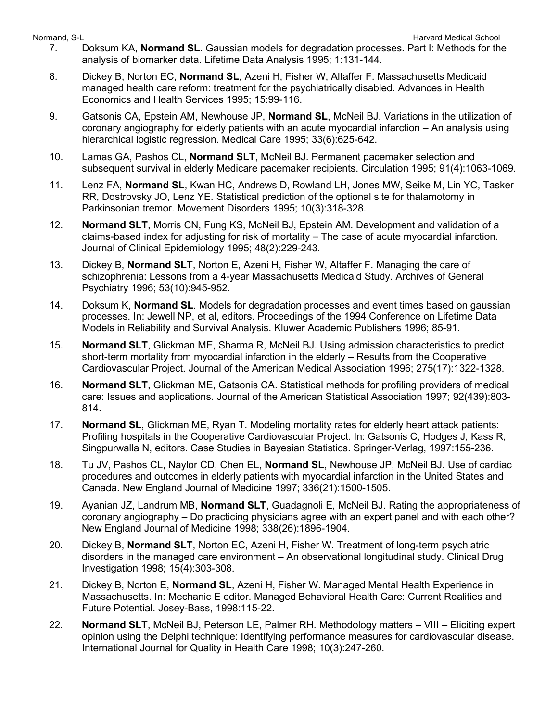- 7. Doksum KA, **Normand SL**. Gaussian models for degradation processes. Part I: Methods for the analysis of biomarker data. Lifetime Data Analysis 1995; 1:131-144.
- 8. Dickey B, Norton EC, **Normand SL**, Azeni H, Fisher W, Altaffer F. Massachusetts Medicaid managed health care reform: treatment for the psychiatrically disabled. Advances in Health Economics and Health Services 1995; 15:99-116.
- 9. Gatsonis CA, Epstein AM, Newhouse JP, **Normand SL**, McNeil BJ. Variations in the utilization of coronary angiography for elderly patients with an acute myocardial infarction – An analysis using hierarchical logistic regression. Medical Care 1995; 33(6):625-642.
- 10. Lamas GA, Pashos CL, **Normand SLT**, McNeil BJ. Permanent pacemaker selection and subsequent survival in elderly Medicare pacemaker recipients. Circulation 1995; 91(4):1063-1069.
- 11. Lenz FA, **Normand SL**, Kwan HC, Andrews D, Rowland LH, Jones MW, Seike M, Lin YC, Tasker RR, Dostrovsky JO, Lenz YE. Statistical prediction of the optional site for thalamotomy in Parkinsonian tremor. Movement Disorders 1995; 10(3):318-328.
- 12. **Normand SLT**, Morris CN, Fung KS, McNeil BJ, Epstein AM. Development and validation of a claims-based index for adjusting for risk of mortality – The case of acute myocardial infarction. Journal of Clinical Epidemiology 1995; 48(2):229-243.
- 13. Dickey B, **Normand SLT**, Norton E, Azeni H, Fisher W, Altaffer F. Managing the care of schizophrenia: Lessons from a 4-year Massachusetts Medicaid Study. Archives of General Psychiatry 1996; 53(10):945-952.
- 14. Doksum K, **Normand SL**. Models for degradation processes and event times based on gaussian processes. In: Jewell NP, et al, editors. Proceedings of the 1994 Conference on Lifetime Data Models in Reliability and Survival Analysis. Kluwer Academic Publishers 1996; 85-91.
- 15. **Normand SLT**, Glickman ME, Sharma R, McNeil BJ. Using admission characteristics to predict short-term mortality from myocardial infarction in the elderly – Results from the Cooperative Cardiovascular Project. Journal of the American Medical Association 1996; 275(17):1322-1328.
- 16. **Normand SLT**, Glickman ME, Gatsonis CA. Statistical methods for profiling providers of medical care: Issues and applications. Journal of the American Statistical Association 1997; 92(439):803- 814.
- 17. **Normand SL**, Glickman ME, Ryan T. Modeling mortality rates for elderly heart attack patients: Profiling hospitals in the Cooperative Cardiovascular Project. In: Gatsonis C, Hodges J, Kass R, Singpurwalla N, editors. Case Studies in Bayesian Statistics. Springer-Verlag, 1997:155-236.
- 18. Tu JV, Pashos CL, Naylor CD, Chen EL, **Normand SL**, Newhouse JP, McNeil BJ. Use of cardiac procedures and outcomes in elderly patients with myocardial infarction in the United States and Canada. New England Journal of Medicine 1997; 336(21):1500-1505.
- 19. Ayanian JZ, Landrum MB, **Normand SLT**, Guadagnoli E, McNeil BJ. Rating the appropriateness of coronary angiography – Do practicing physicians agree with an expert panel and with each other? New England Journal of Medicine 1998; 338(26):1896-1904.
- 20. Dickey B, **Normand SLT**, Norton EC, Azeni H, Fisher W. Treatment of long-term psychiatric disorders in the managed care environment – An observational longitudinal study. Clinical Drug Investigation 1998; 15(4):303-308.
- 21. Dickey B, Norton E, **Normand SL**, Azeni H, Fisher W. Managed Mental Health Experience in Massachusetts. In: Mechanic E editor. Managed Behavioral Health Care: Current Realities and Future Potential. Josey-Bass, 1998:115-22.
- 22. **Normand SLT**, McNeil BJ, Peterson LE, Palmer RH. Methodology matters VIII Eliciting expert opinion using the Delphi technique: Identifying performance measures for cardiovascular disease. International Journal for Quality in Health Care 1998; 10(3):247-260.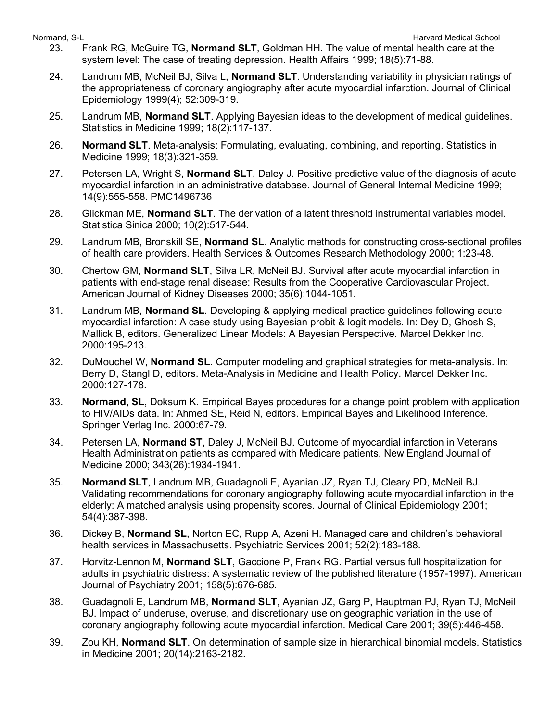- 23. Frank RG, McGuire TG, **Normand SLT**, Goldman HH. The value of mental health care at the system level: The case of treating depression. Health Affairs 1999; 18(5):71-88.
- 24. Landrum MB, McNeil BJ, Silva L, **Normand SLT**. Understanding variability in physician ratings of the appropriateness of coronary angiography after acute myocardial infarction. Journal of Clinical Epidemiology 1999(4); 52:309-319.
- 25. Landrum MB, **Normand SLT**. Applying Bayesian ideas to the development of medical guidelines. Statistics in Medicine 1999; 18(2):117-137.
- 26. **Normand SLT**. Meta-analysis: Formulating, evaluating, combining, and reporting. Statistics in Medicine 1999; 18(3):321-359.
- 27. Petersen LA, Wright S, **Normand SLT**, Daley J. Positive predictive value of the diagnosis of acute myocardial infarction in an administrative database. Journal of General Internal Medicine 1999; 14(9):555-558. PMC1496736
- 28. Glickman ME, **Normand SLT**. The derivation of a latent threshold instrumental variables model. Statistica Sinica 2000; 10(2):517-544.
- 29. Landrum MB, Bronskill SE, **Normand SL**. Analytic methods for constructing cross-sectional profiles of health care providers. Health Services & Outcomes Research Methodology 2000; 1:23-48.
- 30. Chertow GM, **Normand SLT**, Silva LR, McNeil BJ. Survival after acute myocardial infarction in patients with end-stage renal disease: Results from the Cooperative Cardiovascular Project. American Journal of Kidney Diseases 2000; 35(6):1044-1051.
- 31. Landrum MB, **Normand SL**. Developing & applying medical practice guidelines following acute myocardial infarction: A case study using Bayesian probit & logit models. In: Dey D, Ghosh S, Mallick B, editors. Generalized Linear Models: A Bayesian Perspective. Marcel Dekker Inc. 2000:195-213.
- 32. DuMouchel W, **Normand SL**. Computer modeling and graphical strategies for meta-analysis. In: Berry D, Stangl D, editors. Meta-Analysis in Medicine and Health Policy. Marcel Dekker Inc. 2000:127-178.
- 33. **Normand, SL**, Doksum K. Empirical Bayes procedures for a change point problem with application to HIV/AIDs data. In: Ahmed SE, Reid N, editors. Empirical Bayes and Likelihood Inference. Springer Verlag Inc. 2000:67-79.
- 34. Petersen LA, **Normand ST**, Daley J, McNeil BJ. Outcome of myocardial infarction in Veterans Health Administration patients as compared with Medicare patients. New England Journal of Medicine 2000; 343(26):1934-1941.
- 35. **Normand SLT**, Landrum MB, Guadagnoli E, Ayanian JZ, Ryan TJ, Cleary PD, McNeil BJ. Validating recommendations for coronary angiography following acute myocardial infarction in the elderly: A matched analysis using propensity scores. Journal of Clinical Epidemiology 2001; 54(4):387-398.
- 36. Dickey B, **Normand SL**, Norton EC, Rupp A, Azeni H. Managed care and children's behavioral health services in Massachusetts. Psychiatric Services 2001; 52(2):183-188.
- 37. Horvitz-Lennon M, **Normand SLT**, Gaccione P, Frank RG. Partial versus full hospitalization for adults in psychiatric distress: A systematic review of the published literature (1957-1997). American Journal of Psychiatry 2001; 158(5):676-685.
- 38. Guadagnoli E, Landrum MB, **Normand SLT**, Ayanian JZ, Garg P, Hauptman PJ, Ryan TJ, McNeil BJ. Impact of underuse, overuse, and discretionary use on geographic variation in the use of coronary angiography following acute myocardial infarction. Medical Care 2001; 39(5):446-458.
- 39. Zou KH, **Normand SLT**. On determination of sample size in hierarchical binomial models. Statistics in Medicine 2001; 20(14):2163-2182.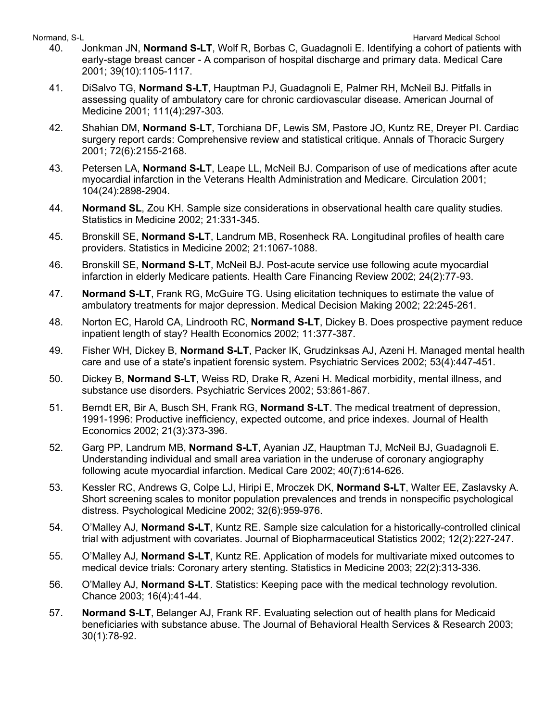- 40. Jonkman JN, **Normand S-LT**, Wolf R, Borbas C, Guadagnoli E. Identifying a cohort of patients with early-stage breast cancer - A comparison of hospital discharge and primary data. Medical Care 2001; 39(10):1105-1117.
- 41. DiSalvo TG, **Normand S-LT**, Hauptman PJ, Guadagnoli E, Palmer RH, McNeil BJ. Pitfalls in assessing quality of ambulatory care for chronic cardiovascular disease. American Journal of Medicine 2001; 111(4):297-303.
- 42. Shahian DM, **Normand S-LT**, Torchiana DF, Lewis SM, Pastore JO, Kuntz RE, Dreyer PI. Cardiac surgery report cards: Comprehensive review and statistical critique. Annals of Thoracic Surgery 2001; 72(6):2155-2168.
- 43. Petersen LA, **Normand S-LT**, Leape LL, McNeil BJ. Comparison of use of medications after acute myocardial infarction in the Veterans Health Administration and Medicare. Circulation 2001; 104(24):2898-2904.
- 44. **Normand SL**, Zou KH. Sample size considerations in observational health care quality studies. Statistics in Medicine 2002; 21:331-345.
- 45. Bronskill SE, **Normand S-LT**, Landrum MB, Rosenheck RA. Longitudinal profiles of health care providers. Statistics in Medicine 2002; 21:1067-1088.
- 46. Bronskill SE, **Normand S-LT**, McNeil BJ. Post-acute service use following acute myocardial infarction in elderly Medicare patients. Health Care Financing Review 2002; 24(2):77-93.
- 47. **Normand S-LT**, Frank RG, McGuire TG. Using elicitation techniques to estimate the value of ambulatory treatments for major depression. Medical Decision Making 2002; 22:245-261.
- 48. Norton EC, Harold CA, Lindrooth RC, **Normand S-LT**, Dickey B. Does prospective payment reduce inpatient length of stay? Health Economics 2002; 11:377-387.
- 49. Fisher WH, Dickey B, **Normand S-LT**, Packer IK, Grudzinksas AJ, Azeni H. Managed mental health care and use of a state's inpatient forensic system. Psychiatric Services 2002; 53(4):447-451.
- 50. Dickey B, **Normand S-LT**, Weiss RD, Drake R, Azeni H. Medical morbidity, mental illness, and substance use disorders. Psychiatric Services 2002; 53:861-867.
- 51. Berndt ER, Bir A, Busch SH, Frank RG, **Normand S-LT**. The medical treatment of depression, 1991-1996: Productive inefficiency, expected outcome, and price indexes. Journal of Health Economics 2002; 21(3):373-396.
- 52. Garg PP, Landrum MB, **Normand S-LT**, Ayanian JZ, Hauptman TJ, McNeil BJ, Guadagnoli E. Understanding individual and small area variation in the underuse of coronary angiography following acute myocardial infarction. Medical Care 2002; 40(7):614-626.
- 53. Kessler RC, Andrews G, Colpe LJ, Hiripi E, Mroczek DK, **Normand S-LT**, Walter EE, Zaslavsky A. Short screening scales to monitor population prevalences and trends in nonspecific psychological distress. Psychological Medicine 2002; 32(6):959-976.
- 54. O'Malley AJ, **Normand S-LT**, Kuntz RE. Sample size calculation for a historically-controlled clinical trial with adjustment with covariates. Journal of Biopharmaceutical Statistics 2002; 12(2):227-247.
- 55. O'Malley AJ, **Normand S-LT**, Kuntz RE. Application of models for multivariate mixed outcomes to medical device trials: Coronary artery stenting. Statistics in Medicine 2003; 22(2):313-336.
- 56. O'Malley AJ, **Normand S-LT**. Statistics: Keeping pace with the medical technology revolution. Chance 2003; 16(4):41-44.
- 57. **Normand S-LT**, Belanger AJ, Frank RF. Evaluating selection out of health plans for Medicaid beneficiaries with substance abuse. The Journal of Behavioral Health Services & Research 2003; 30(1):78-92.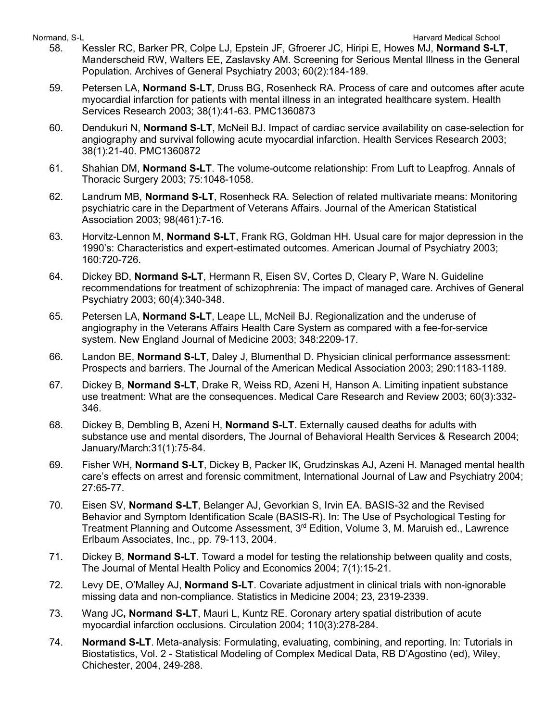- 58. Kessler RC, Barker PR, Colpe LJ, Epstein JF, Gfroerer JC, Hiripi E, Howes MJ, **Normand S-LT**, Manderscheid RW, Walters EE, Zaslavsky AM. Screening for Serious Mental Illness in the General Population. Archives of General Psychiatry 2003; 60(2):184-189.
- 59. Petersen LA, **Normand S-LT**, Druss BG, Rosenheck RA. Process of care and outcomes after acute myocardial infarction for patients with mental illness in an integrated healthcare system. Health Services Research 2003; 38(1):41-63. PMC1360873
- 60. Dendukuri N, **Normand S-LT**, McNeil BJ. Impact of cardiac service availability on case-selection for angiography and survival following acute myocardial infarction. Health Services Research 2003; 38(1):21-40. PMC1360872
- 61. Shahian DM, **Normand S-LT**. The volume-outcome relationship: From Luft to Leapfrog. Annals of Thoracic Surgery 2003; 75:1048-1058.
- 62. Landrum MB, **Normand S-LT**, Rosenheck RA. Selection of related multivariate means: Monitoring psychiatric care in the Department of Veterans Affairs. Journal of the American Statistical Association 2003; 98(461):7-16.
- 63. Horvitz-Lennon M, **Normand S-LT**, Frank RG, Goldman HH. Usual care for major depression in the 1990's: Characteristics and expert-estimated outcomes. American Journal of Psychiatry 2003; 160:720-726.
- 64. Dickey BD, **Normand S-LT**, Hermann R, Eisen SV, Cortes D, Cleary P, Ware N. Guideline recommendations for treatment of schizophrenia: The impact of managed care. Archives of General Psychiatry 2003; 60(4):340-348.
- 65. Petersen LA, **Normand S-LT**, Leape LL, McNeil BJ. Regionalization and the underuse of angiography in the Veterans Affairs Health Care System as compared with a fee-for-service system. New England Journal of Medicine 2003; 348:2209-17.
- 66. Landon BE, **Normand S-LT**, Daley J, Blumenthal D. Physician clinical performance assessment: Prospects and barriers. The Journal of the American Medical Association 2003; 290:1183-1189.
- 67. Dickey B, **Normand S-LT**, Drake R, Weiss RD, Azeni H, Hanson A. Limiting inpatient substance use treatment: What are the consequences. Medical Care Research and Review 2003; 60(3):332- 346.
- 68. Dickey B, Dembling B, Azeni H, **Normand S-LT.** Externally caused deaths for adults with substance use and mental disorders, The Journal of Behavioral Health Services & Research 2004; January/March:31(1):75-84.
- 69. Fisher WH, **Normand S-LT**, Dickey B, Packer IK, Grudzinskas AJ, Azeni H. Managed mental health care's effects on arrest and forensic commitment, International Journal of Law and Psychiatry 2004; 27:65-77.
- 70. Eisen SV, **Normand S-LT**, Belanger AJ, Gevorkian S, Irvin EA. BASIS-32 and the Revised Behavior and Symptom Identification Scale (BASIS-R). In: The Use of Psychological Testing for Treatment Planning and Outcome Assessment, 3<sup>rd</sup> Edition, Volume 3, M. Maruish ed., Lawrence Erlbaum Associates, Inc., pp. 79-113, 2004.
- 71. Dickey B, **Normand S-LT**. Toward a model for testing the relationship between quality and costs, The Journal of Mental Health Policy and Economics 2004; 7(1):15-21.
- 72. Levy DE, O'Malley AJ, **Normand S-LT**. Covariate adjustment in clinical trials with non-ignorable missing data and non-compliance. Statistics in Medicine 2004; 23, 2319-2339.
- 73. Wang JC**, Normand S-LT**, Mauri L, Kuntz RE. Coronary artery spatial distribution of acute myocardial infarction occlusions. Circulation 2004; 110(3):278-284.
- 74. **Normand S-LT**. Meta-analysis: Formulating, evaluating, combining, and reporting. In: Tutorials in Biostatistics, Vol. 2 - Statistical Modeling of Complex Medical Data, RB D'Agostino (ed), Wiley, Chichester, 2004, 249-288.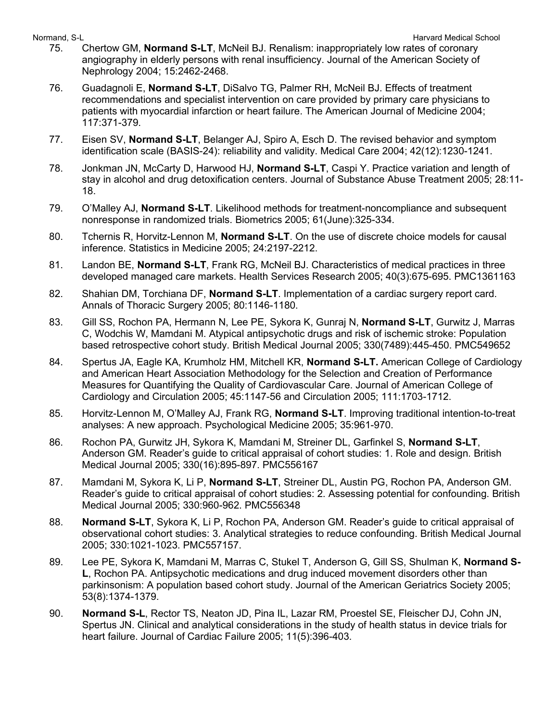- 75. Chertow GM, **Normand S-LT**, McNeil BJ. Renalism: inappropriately low rates of coronary angiography in elderly persons with renal insufficiency. Journal of the American Society of Nephrology 2004; 15:2462-2468.
- 76. Guadagnoli E, **Normand S-LT**, DiSalvo TG, Palmer RH, McNeil BJ. Effects of treatment recommendations and specialist intervention on care provided by primary care physicians to patients with myocardial infarction or heart failure. The American Journal of Medicine 2004; 117:371-379.
- 77. Eisen SV, **Normand S-LT**, Belanger AJ, Spiro A, Esch D. The revised behavior and symptom identification scale (BASIS-24): reliability and validity. Medical Care 2004; 42(12):1230-1241.
- 78. Jonkman JN, McCarty D, Harwood HJ, **Normand S-LT**, Caspi Y. Practice variation and length of stay in alcohol and drug detoxification centers. Journal of Substance Abuse Treatment 2005; 28:11- 18.
- 79. O'Malley AJ, **Normand S-LT**. Likelihood methods for treatment-noncompliance and subsequent nonresponse in randomized trials. Biometrics 2005; 61(June):325-334.
- 80. Tchernis R, Horvitz-Lennon M, **Normand S-LT**. On the use of discrete choice models for causal inference. Statistics in Medicine 2005; 24:2197-2212.
- 81. Landon BE, **Normand S-LT**, Frank RG, McNeil BJ. Characteristics of medical practices in three developed managed care markets. Health Services Research 2005; 40(3):675-695. PMC1361163
- 82. Shahian DM, Torchiana DF, **Normand S-LT**. Implementation of a cardiac surgery report card. Annals of Thoracic Surgery 2005; 80:1146-1180.
- 83. Gill SS, Rochon PA, Hermann N, Lee PE, Sykora K, Gunraj N, **Normand S-LT**, Gurwitz J, Marras C, Wodchis W, Mamdani M. Atypical antipsychotic drugs and risk of ischemic stroke: Population based retrospective cohort study. British Medical Journal 2005; 330(7489):445-450. PMC549652
- 84. Spertus JA, Eagle KA, Krumholz HM, Mitchell KR, **Normand S-LT.** American College of Cardiology and American Heart Association Methodology for the Selection and Creation of Performance Measures for Quantifying the Quality of Cardiovascular Care. Journal of American College of Cardiology and Circulation 2005; 45:1147-56 and Circulation 2005; 111:1703-1712.
- 85. Horvitz-Lennon M, O'Malley AJ, Frank RG, **Normand S-LT**. Improving traditional intention-to-treat analyses: A new approach. Psychological Medicine 2005; 35:961-970.
- 86. Rochon PA, Gurwitz JH, Sykora K, Mamdani M, Streiner DL, Garfinkel S, **Normand S-LT**, Anderson GM. Reader's guide to critical appraisal of cohort studies: 1. Role and design. British Medical Journal 2005; 330(16):895-897. PMC556167
- 87. Mamdani M, Sykora K, Li P, **Normand S-LT**, Streiner DL, Austin PG, Rochon PA, Anderson GM. Reader's guide to critical appraisal of cohort studies: 2. Assessing potential for confounding. British Medical Journal 2005; 330:960-962. PMC556348
- 88. **Normand S-LT**, Sykora K, Li P, Rochon PA, Anderson GM. Reader's guide to critical appraisal of observational cohort studies: 3. Analytical strategies to reduce confounding. British Medical Journal 2005; 330:1021-1023. PMC557157.
- 89. Lee PE, Sykora K, Mamdani M, Marras C, Stukel T, Anderson G, Gill SS, Shulman K, **Normand S-L**, Rochon PA. Antipsychotic medications and drug induced movement disorders other than parkinsonism: A population based cohort study. Journal of the American Geriatrics Society 2005; 53(8):1374-1379.
- 90. **Normand S-L**, Rector TS, Neaton JD, Pina IL, Lazar RM, Proestel SE, Fleischer DJ, Cohn JN, Spertus JN. Clinical and analytical considerations in the study of health status in device trials for heart failure. Journal of Cardiac Failure 2005; 11(5):396-403.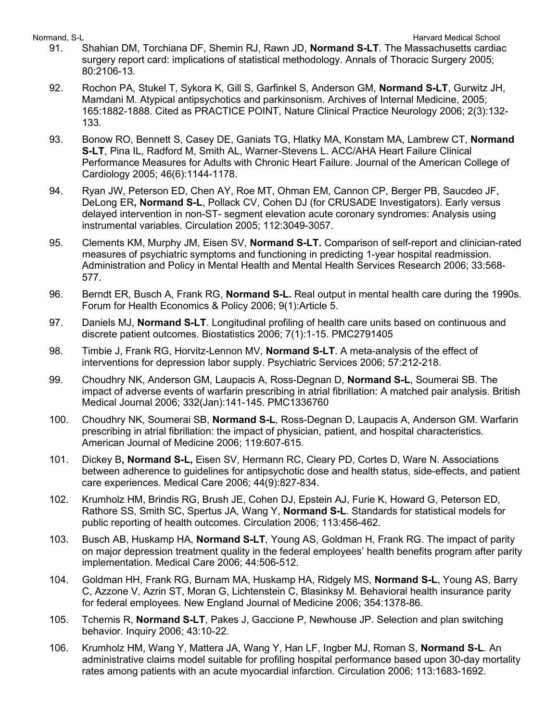- 91. Shahian DM, Torchiana DF, Shemin RJ, Rawn JD, **Normand S-LT**. The Massachusetts cardiac surgery report card: implications of statistical methodology. Annals of Thoracic Surgery 2005; 80:2106-13.
- 92. Rochon PA, Stukel T, Sykora K, Gill S, Garfinkel S, Anderson GM, **Normand S-LT**, Gurwitz JH, Mamdani M. Atypical antipsychotics and parkinsonism. Archives of Internal Medicine, 2005; 165:1882-1888. Cited as PRACTICE POINT, Nature Clinical Practice Neurology 2006; 2(3):132- 133.
- 93. Bonow RO, Bennett S, Casey DE, Ganiats TG, Hlatky MA, Konstam MA, Lambrew CT, **Normand S-LT**, Pina IL, Radford M, Smith AL, Warner-Stevens L. ACC/AHA Heart Failure Clinical Performance Measures for Adults with Chronic Heart Failure. Journal of the American College of Cardiology 2005; 46(6):1144-1178.
- 94. Ryan JW, Peterson ED, Chen AY, Roe MT, Ohman EM, Cannon CP, Berger PB, Saucdeo JF, DeLong ER**, Normand S-L**, Pollack CV, Cohen DJ (for CRUSADE Investigators). Early versus delayed intervention in non-ST- segment elevation acute coronary syndromes: Analysis using instrumental variables. Circulation 2005; 112:3049-3057.
- 95. Clements KM, Murphy JM, Eisen SV, **Normand S-LT.** Comparison of self-report and clinician-rated measures of psychiatric symptoms and functioning in predicting 1-year hospital readmission. Administration and Policy in Mental Health and Mental Health Services Research 2006; 33:568- 577.
- 96. Berndt ER, Busch A, Frank RG, **Normand S-L.** Real output in mental health care during the 1990s. Forum for Health Economics & Policy 2006; 9(1):Article 5.
- 97. Daniels MJ, **Normand S-LT**. Longitudinal profiling of health care units based on continuous and discrete patient outcomes. Biostatistics 2006; 7(1):1-15. PMC2791405
- 98. Timbie J, Frank RG, Horvitz-Lennon MV, **Normand S-LT**. A meta-analysis of the effect of interventions for depression labor supply. Psychiatric Services 2006; 57:212-218.
- 99. Choudhry NK, Anderson GM, Laupacis A, Ross-Degnan D, **Normand S-L**, Soumerai SB. The impact of adverse events of warfarin prescribing in atrial fibrillation: A matched pair analysis. British Medical Journal 2006; 332(Jan):141-145. PMC1336760
- 100. Choudhry NK, Soumerai SB, **Normand S-L**, Ross-Degnan D, Laupacis A, Anderson GM. Warfarin prescribing in atrial fibrillation: the impact of physician, patient, and hospital characteristics. American Journal of Medicine 2006; 119:607-615.
- 101. Dickey B**, Normand S-L,** Eisen SV, Hermann RC, Cleary PD, Cortes D, Ware N. Associations between adherence to guidelines for antipsychotic dose and health status, side-effects, and patient care experiences. Medical Care 2006; 44(9):827-834.
- 102. Krumholz HM, Brindis RG, Brush JE, Cohen DJ, Epstein AJ, Furie K, Howard G, Peterson ED, Rathore SS, Smith SC, Spertus JA, Wang Y, **Normand S-L**. Standards for statistical models for public reporting of health outcomes. Circulation 2006; 113:456-462.
- 103. Busch AB, Huskamp HA, **Normand S-LT**, Young AS, Goldman H, Frank RG. The impact of parity on major depression treatment quality in the federal employees' health benefits program after parity implementation. Medical Care 2006; 44:506-512.
- 104. Goldman HH, Frank RG, Burnam MA, Huskamp HA, Ridgely MS, **Normand S-L**, Young AS, Barry C, Azzone V, Azrin ST, Moran G, Lichtenstein C, Blasinksy M. Behavioral health insurance parity for federal employees. New England Journal of Medicine 2006; 354:1378-86.
- 105. Tchernis R, **Normand S-LT**, Pakes J, Gaccione P, Newhouse JP. Selection and plan switching behavior. Inquiry 2006; 43:10-22.
- 106. Krumholz HM, Wang Y, Mattera JA, Wang Y, Han LF, Ingber MJ, Roman S, **Normand S-L**. An administrative claims model suitable for profiling hospital performance based upon 30-day mortality rates among patients with an acute myocardial infarction. Circulation 2006; 113:1683-1692.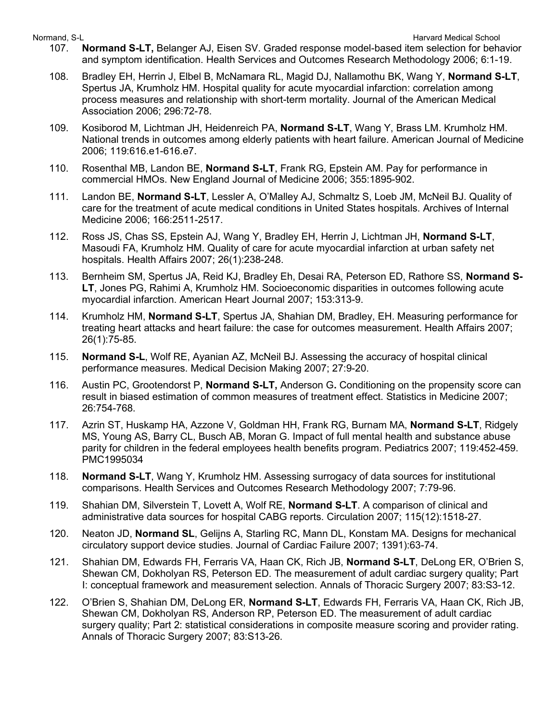- 107. **Normand S-LT,** Belanger AJ, Eisen SV. Graded response model-based item selection for behavior and symptom identification. Health Services and Outcomes Research Methodology 2006; 6:1-19.
- 108. Bradley EH, Herrin J, Elbel B, McNamara RL, Magid DJ, Nallamothu BK, Wang Y, **Normand S-LT**, Spertus JA, Krumholz HM. Hospital quality for acute myocardial infarction: correlation among process measures and relationship with short-term mortality. Journal of the American Medical Association 2006; 296:72-78.
- 109. Kosiborod M, Lichtman JH, Heidenreich PA, **Normand S-LT**, Wang Y, Brass LM. Krumholz HM. National trends in outcomes among elderly patients with heart failure. American Journal of Medicine 2006; 119:616.e1-616.e7.
- 110. Rosenthal MB, Landon BE, **Normand S-LT**, Frank RG, Epstein AM. Pay for performance in commercial HMOs. New England Journal of Medicine 2006; 355:1895-902.
- 111. Landon BE, **Normand S-LT**, Lessler A, O'Malley AJ, Schmaltz S, Loeb JM, McNeil BJ. Quality of care for the treatment of acute medical conditions in United States hospitals. Archives of Internal Medicine 2006; 166:2511-2517.
- 112. Ross JS, Chas SS, Epstein AJ, Wang Y, Bradley EH, Herrin J, Lichtman JH, **Normand S-LT**, Masoudi FA, Krumholz HM. Quality of care for acute myocardial infarction at urban safety net hospitals. Health Affairs 2007; 26(1):238-248.
- 113. Bernheim SM, Spertus JA, Reid KJ, Bradley Eh, Desai RA, Peterson ED, Rathore SS, **Normand S-LT**, Jones PG, Rahimi A, Krumholz HM. Socioeconomic disparities in outcomes following acute myocardial infarction. American Heart Journal 2007; 153:313-9.
- 114. Krumholz HM, **Normand S-LT**, Spertus JA, Shahian DM, Bradley, EH. Measuring performance for treating heart attacks and heart failure: the case for outcomes measurement. Health Affairs 2007; 26(1):75-85.
- 115. **Normand S-L**, Wolf RE, Ayanian AZ, McNeil BJ. Assessing the accuracy of hospital clinical performance measures. Medical Decision Making 2007; 27:9-20.
- 116. Austin PC, Grootendorst P, **Normand S-LT,** Anderson G**.** Conditioning on the propensity score can result in biased estimation of common measures of treatment effect. Statistics in Medicine 2007; 26:754-768.
- 117. Azrin ST, Huskamp HA, Azzone V, Goldman HH, Frank RG, Burnam MA, **Normand S-LT**, Ridgely MS, Young AS, Barry CL, Busch AB, Moran G. Impact of full mental health and substance abuse parity for children in the federal employees health benefits program. Pediatrics 2007; 119:452-459. PMC1995034
- 118. **Normand S-LT**, Wang Y, Krumholz HM. Assessing surrogacy of data sources for institutional comparisons. Health Services and Outcomes Research Methodology 2007; 7:79-96.
- 119. Shahian DM, Silverstein T, Lovett A, Wolf RE, **Normand S-LT**. A comparison of clinical and administrative data sources for hospital CABG reports. Circulation 2007; 115(12):1518-27.
- 120. Neaton JD, **Normand SL**, Gelijns A, Starling RC, Mann DL, Konstam MA. Designs for mechanical circulatory support device studies. Journal of Cardiac Failure 2007; 1391):63-74.
- 121. Shahian DM, Edwards FH, Ferraris VA, Haan CK, Rich JB, **Normand S-LT**, DeLong ER, O'Brien S, Shewan CM, Dokholyan RS, Peterson ED. The measurement of adult cardiac surgery quality; Part I: conceptual framework and measurement selection. Annals of Thoracic Surgery 2007; 83:S3-12.
- 122. O'Brien S, Shahian DM, DeLong ER, **Normand S-LT**, Edwards FH, Ferraris VA, Haan CK, Rich JB, Shewan CM, Dokholyan RS, Anderson RP, Peterson ED. The measurement of adult cardiac surgery quality; Part 2: statistical considerations in composite measure scoring and provider rating. Annals of Thoracic Surgery 2007; 83:S13-26.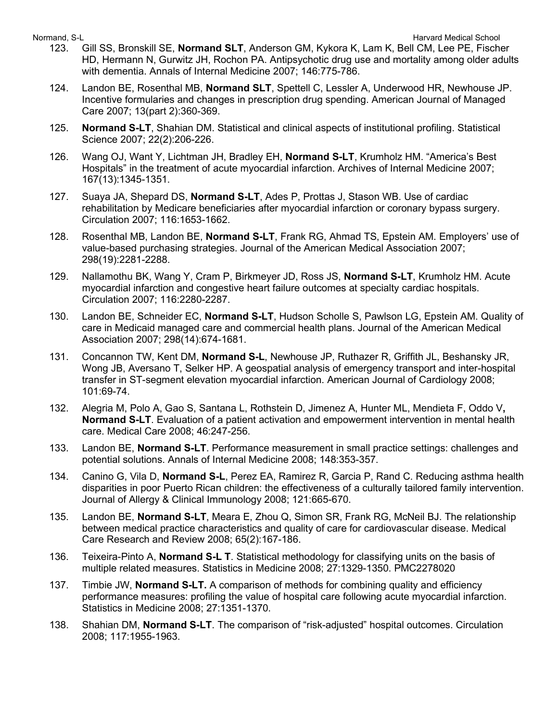- 123. Gill SS, Bronskill SE, **Normand SLT**, Anderson GM, Kykora K, Lam K, Bell CM, Lee PE, Fischer HD, Hermann N, Gurwitz JH, Rochon PA. Antipsychotic drug use and mortality among older adults with dementia. Annals of Internal Medicine 2007; 146:775-786.
- 124. Landon BE, Rosenthal MB, **Normand SLT**, Spettell C, Lessler A, Underwood HR, Newhouse JP. Incentive formularies and changes in prescription drug spending. American Journal of Managed Care 2007; 13(part 2):360-369.
- 125. **Normand S-LT**, Shahian DM. Statistical and clinical aspects of institutional profiling. Statistical Science 2007; 22(2):206-226.
- 126. Wang OJ, Want Y, Lichtman JH, Bradley EH, **Normand S-LT**, Krumholz HM. "America's Best Hospitals" in the treatment of acute myocardial infarction. Archives of Internal Medicine 2007; 167(13):1345-1351.
- 127. Suaya JA, Shepard DS, **Normand S-LT**, Ades P, Prottas J, Stason WB. Use of cardiac rehabilitation by Medicare beneficiaries after myocardial infarction or coronary bypass surgery. Circulation 2007; 116:1653-1662.
- 128. Rosenthal MB, Landon BE, **Normand S-LT**, Frank RG, Ahmad TS, Epstein AM. Employers' use of value-based purchasing strategies. Journal of the American Medical Association 2007; 298(19):2281-2288.
- 129. Nallamothu BK, Wang Y, Cram P, Birkmeyer JD, Ross JS, **Normand S-LT**, Krumholz HM. Acute myocardial infarction and congestive heart failure outcomes at specialty cardiac hospitals. Circulation 2007; 116:2280-2287.
- 130. Landon BE, Schneider EC, **Normand S-LT**, Hudson Scholle S, Pawlson LG, Epstein AM. Quality of care in Medicaid managed care and commercial health plans. Journal of the American Medical Association 2007; 298(14):674-1681.
- 131. Concannon TW, Kent DM, **Normand S-L**, Newhouse JP, Ruthazer R, Griffith JL, Beshansky JR, Wong JB, Aversano T, Selker HP. A geospatial analysis of emergency transport and inter-hospital transfer in ST-segment elevation myocardial infarction. American Journal of Cardiology 2008; 101:69-74.
- 132. Alegria M, Polo A, Gao S, Santana L, Rothstein D, Jimenez A, Hunter ML, Mendieta F, Oddo V**, Normand S-LT**. Evaluation of a patient activation and empowerment intervention in mental health care. Medical Care 2008; 46:247-256.
- 133. Landon BE, **Normand S-LT**. Performance measurement in small practice settings: challenges and potential solutions. Annals of Internal Medicine 2008; 148:353-357.
- 134. Canino G, Vila D, **Normand S-L**, Perez EA, Ramirez R, Garcia P, Rand C. Reducing asthma health disparities in poor Puerto Rican children: the effectiveness of a culturally tailored family intervention. Journal of Allergy & Clinical Immunology 2008; 121:665-670.
- 135. Landon BE, **Normand S-LT**, Meara E, Zhou Q, Simon SR, Frank RG, McNeil BJ. The relationship between medical practice characteristics and quality of care for cardiovascular disease. Medical Care Research and Review 2008; 65(2):167-186.
- 136. Teixeira-Pinto A, **Normand S-L T**. Statistical methodology for classifying units on the basis of multiple related measures. Statistics in Medicine 2008; 27:1329-1350. PMC2278020
- 137. Timbie JW, **Normand S-LT.** A comparison of methods for combining quality and efficiency performance measures: profiling the value of hospital care following acute myocardial infarction. Statistics in Medicine 2008; 27:1351-1370.
- 138. Shahian DM, **Normand S-LT**. The comparison of "risk-adjusted" hospital outcomes. Circulation 2008; 117:1955-1963.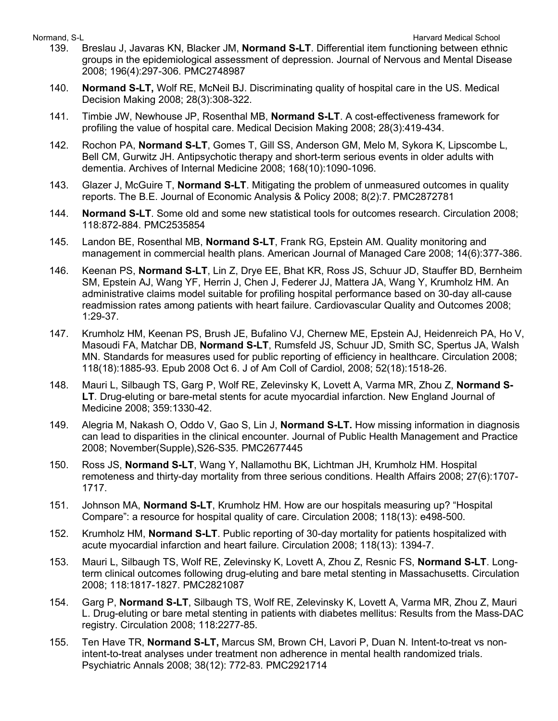- 139. Breslau J, Javaras KN, Blacker JM, **Normand S-LT**. Differential item functioning between ethnic groups in the epidemiological assessment of depression. Journal of Nervous and Mental Disease 2008; 196(4):297-306. PMC2748987
- 140. **Normand S-LT,** Wolf RE, McNeil BJ. Discriminating quality of hospital care in the US. Medical Decision Making 2008; 28(3):308-322.
- 141. Timbie JW, Newhouse JP, Rosenthal MB, **Normand S-LT**. A cost-effectiveness framework for profiling the value of hospital care. Medical Decision Making 2008; 28(3):419-434.
- 142. Rochon PA, **Normand S-LT**, Gomes T, Gill SS, Anderson GM, Melo M, Sykora K, Lipscombe L, Bell CM, Gurwitz JH. Antipsychotic therapy and short-term serious events in older adults with dementia. Archives of Internal Medicine 2008; 168(10):1090-1096.
- 143. Glazer J, McGuire T, **Normand S-LT**. Mitigating the problem of unmeasured outcomes in quality reports. The B.E. Journal of Economic Analysis & Policy 2008; 8(2):7. PMC2872781
- 144. **Normand S-LT**. Some old and some new statistical tools for outcomes research. Circulation 2008; 118:872-884. PMC2535854
- 145. Landon BE, Rosenthal MB, **Normand S-LT**, Frank RG, Epstein AM. Quality monitoring and management in commercial health plans. American Journal of Managed Care 2008; 14(6):377-386.
- 146. Keenan PS, **Normand S-LT**, Lin Z, Drye EE, Bhat KR, Ross JS, Schuur JD, Stauffer BD, Bernheim SM, Epstein AJ, Wang YF, Herrin J, Chen J, Federer JJ, Mattera JA, Wang Y, Krumholz HM. An administrative claims model suitable for profiling hospital performance based on 30-day all-cause readmission rates among patients with heart failure. Cardiovascular Quality and Outcomes 2008; 1:29-37.
- 147. Krumholz HM, Keenan PS, Brush JE, Bufalino VJ, Chernew ME, Epstein AJ, Heidenreich PA, Ho V, Masoudi FA, Matchar DB, **Normand S-LT**, Rumsfeld JS, Schuur JD, Smith SC, Spertus JA, Walsh MN. Standards for measures used for public reporting of efficiency in healthcare. Circulation 2008; 118(18):1885-93. Epub 2008 Oct 6. J of Am Coll of Cardiol, 2008; 52(18):1518-26.
- 148. Mauri L, Silbaugh TS, Garg P, Wolf RE, Zelevinsky K, Lovett A, Varma MR, Zhou Z, **Normand S-LT**. Drug-eluting or bare-metal stents for acute myocardial infarction. New England Journal of Medicine 2008; 359:1330-42.
- 149. Alegria M, Nakash O, Oddo V, Gao S, Lin J, **Normand S-LT.** How missing information in diagnosis can lead to disparities in the clinical encounter. Journal of Public Health Management and Practice 2008; November(Supple),S26-S35. PMC2677445
- 150. Ross JS, **Normand S-LT**, Wang Y, Nallamothu BK, Lichtman JH, Krumholz HM. Hospital remoteness and thirty-day mortality from three serious conditions. Health Affairs 2008; 27(6):1707- 1717.
- 151. Johnson MA, **Normand S-LT**, Krumholz HM. How are our hospitals measuring up? "Hospital Compare": a resource for hospital quality of care. Circulation 2008; 118(13): e498-500.
- 152. Krumholz HM, **Normand S-LT**. Public reporting of 30-day mortality for patients hospitalized with acute myocardial infarction and heart failure. Circulation 2008; 118(13): 1394-7.
- 153. Mauri L, Silbaugh TS, Wolf RE, Zelevinsky K, Lovett A, Zhou Z, Resnic FS, **Normand S-LT**. Longterm clinical outcomes following drug-eluting and bare metal stenting in Massachusetts. Circulation 2008; 118:1817-1827. PMC2821087
- 154. Garg P, **Normand S-LT**, Silbaugh TS, Wolf RE, Zelevinsky K, Lovett A, Varma MR, Zhou Z, Mauri L. Drug-eluting or bare metal stenting in patients with diabetes mellitus: Results from the Mass-DAC registry. Circulation 2008; 118:2277-85.
- 155. Ten Have TR, **Normand S-LT,** Marcus SM, Brown CH, Lavori P, Duan N. Intent-to-treat vs nonintent-to-treat analyses under treatment non adherence in mental health randomized trials. Psychiatric Annals 2008; 38(12): 772-83. PMC2921714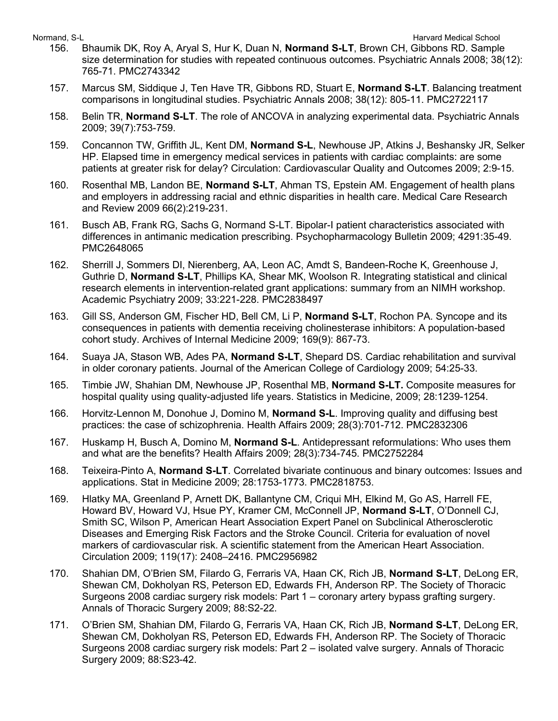- 156. Bhaumik DK, Roy A, Aryal S, Hur K, Duan N, **Normand S-LT**, Brown CH, Gibbons RD. Sample size determination for studies with repeated continuous outcomes. Psychiatric Annals 2008; 38(12): 765-71. PMC2743342
- 157. Marcus SM, Siddique J, Ten Have TR, Gibbons RD, Stuart E, **Normand S-LT**. Balancing treatment comparisons in longitudinal studies. Psychiatric Annals 2008; 38(12): 805-11. PMC2722117
- 158. Belin TR, **Normand S-LT**. The role of ANCOVA in analyzing experimental data. Psychiatric Annals 2009; 39(7):753-759.
- 159. Concannon TW, Griffith JL, Kent DM, **Normand S-L**, Newhouse JP, Atkins J, Beshansky JR, Selker HP. Elapsed time in emergency medical services in patients with cardiac complaints: are some patients at greater risk for delay? Circulation: Cardiovascular Quality and Outcomes 2009; 2:9-15.
- 160. Rosenthal MB, Landon BE, **Normand S-LT**, Ahman TS, Epstein AM. Engagement of health plans and employers in addressing racial and ethnic disparities in health care. Medical Care Research and Review 2009 66(2):219-231.
- 161. Busch AB, Frank RG, Sachs G, Normand S-LT. Bipolar-I patient characteristics associated with differences in antimanic medication prescribing. Psychopharmacology Bulletin 2009; 4291:35-49. PMC2648065
- 162. Sherrill J, Sommers DI, Nierenberg, AA, Leon AC, Amdt S, Bandeen-Roche K, Greenhouse J, Guthrie D, **Normand S-LT**, Phillips KA, Shear MK, Woolson R. Integrating statistical and clinical research elements in intervention-related grant applications: summary from an NIMH workshop. Academic Psychiatry 2009; 33:221-228. PMC2838497
- 163. Gill SS, Anderson GM, Fischer HD, Bell CM, Li P, **Normand S-LT**, Rochon PA. Syncope and its consequences in patients with dementia receiving cholinesterase inhibitors: A population-based cohort study. Archives of Internal Medicine 2009; 169(9): 867-73.
- 164. Suaya JA, Stason WB, Ades PA, **Normand S-LT**, Shepard DS. Cardiac rehabilitation and survival in older coronary patients. Journal of the American College of Cardiology 2009; 54:25-33.
- 165. Timbie JW, Shahian DM, Newhouse JP, Rosenthal MB, **Normand S-LT.** Composite measures for hospital quality using quality-adjusted life years. Statistics in Medicine, 2009; 28:1239-1254.
- 166. Horvitz-Lennon M, Donohue J, Domino M, **Normand S-L**. Improving quality and diffusing best practices: the case of schizophrenia. Health Affairs 2009; 28(3):701-712. PMC2832306
- 167. Huskamp H, Busch A, Domino M, **Normand S-L**. Antidepressant reformulations: Who uses them and what are the benefits? Health Affairs 2009; 28(3):734-745. PMC2752284
- 168. Teixeira-Pinto A, **Normand S-LT**. Correlated bivariate continuous and binary outcomes: Issues and applications. Stat in Medicine 2009; 28:1753-1773. PMC2818753.
- 169. Hlatky MA, Greenland P, Arnett DK, Ballantyne CM, Criqui MH, Elkind M, Go AS, Harrell FE, Howard BV, Howard VJ, Hsue PY, Kramer CM, McConnell JP, **Normand S-LT**, O'Donnell CJ, Smith SC, Wilson P, American Heart Association Expert Panel on Subclinical Atherosclerotic Diseases and Emerging Risk Factors and the Stroke Council. Criteria for evaluation of novel markers of cardiovascular risk. A scientific statement from the American Heart Association. Circulation 2009; 119(17): 2408–2416. PMC2956982
- 170. Shahian DM, O'Brien SM, Filardo G, Ferraris VA, Haan CK, Rich JB, **Normand S-LT**, DeLong ER, Shewan CM, Dokholyan RS, Peterson ED, Edwards FH, Anderson RP. The Society of Thoracic Surgeons 2008 cardiac surgery risk models: Part 1 – coronary artery bypass grafting surgery. Annals of Thoracic Surgery 2009; 88:S2-22.
- 171. O'Brien SM, Shahian DM, Filardo G, Ferraris VA, Haan CK, Rich JB, **Normand S-LT**, DeLong ER, Shewan CM, Dokholyan RS, Peterson ED, Edwards FH, Anderson RP. The Society of Thoracic Surgeons 2008 cardiac surgery risk models: Part 2 – isolated valve surgery. Annals of Thoracic Surgery 2009; 88:S23-42.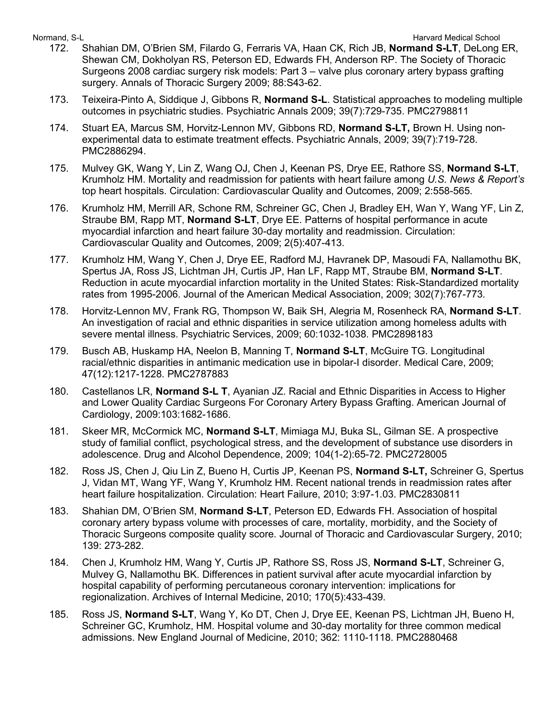- 172. Shahian DM, O'Brien SM, Filardo G, Ferraris VA, Haan CK, Rich JB, **Normand S-LT**, DeLong ER, Shewan CM, Dokholyan RS, Peterson ED, Edwards FH, Anderson RP. The Society of Thoracic Surgeons 2008 cardiac surgery risk models: Part 3 – valve plus coronary artery bypass grafting surgery. Annals of Thoracic Surgery 2009; 88:S43-62.
- 173. Teixeira-Pinto A, Siddique J, Gibbons R, **Normand S-L**. Statistical approaches to modeling multiple outcomes in psychiatric studies. Psychiatric Annals 2009; 39(7):729-735. PMC2798811
- 174. Stuart EA, Marcus SM, Horvitz-Lennon MV, Gibbons RD, **Normand S-LT,** Brown H. Using nonexperimental data to estimate treatment effects. Psychiatric Annals, 2009; 39(7):719-728. PMC2886294.
- 175. Mulvey GK, Wang Y, Lin Z, Wang OJ, Chen J, Keenan PS, Drye EE, Rathore SS, **Normand S-LT**, Krumholz HM. Mortality and readmission for patients with heart failure among *U.S. News & Report's* top heart hospitals. Circulation: Cardiovascular Quality and Outcomes, 2009; 2:558-565.
- 176. Krumholz HM, Merrill AR, Schone RM, Schreiner GC, Chen J, Bradley EH, Wan Y, Wang YF, Lin Z, Straube BM, Rapp MT, **Normand S-LT**, Drye EE. Patterns of hospital performance in acute myocardial infarction and heart failure 30-day mortality and readmission. Circulation: Cardiovascular Quality and Outcomes, 2009; 2(5):407-413.
- 177. Krumholz HM, Wang Y, Chen J, Drye EE, Radford MJ, Havranek DP, Masoudi FA, Nallamothu BK, Spertus JA, Ross JS, Lichtman JH, Curtis JP, Han LF, Rapp MT, Straube BM, **Normand S-LT**. Reduction in acute myocardial infarction mortality in the United States: Risk-Standardized mortality rates from 1995-2006. Journal of the American Medical Association, 2009; 302(7):767-773.
- 178. Horvitz-Lennon MV, Frank RG, Thompson W, Baik SH, Alegria M, Rosenheck RA, **Normand S-LT**. An investigation of racial and ethnic disparities in service utilization among homeless adults with severe mental illness. Psychiatric Services, 2009; 60:1032-1038. PMC2898183
- 179. Busch AB, Huskamp HA, Neelon B, Manning T, **Normand S-LT**, McGuire TG. Longitudinal racial/ethnic disparities in antimanic medication use in bipolar-I disorder. Medical Care, 2009; 47(12):1217-1228. PMC2787883
- 180. Castellanos LR, **Normand S-L T**, Ayanian JZ. Racial and Ethnic Disparities in Access to Higher and Lower Quality Cardiac Surgeons For Coronary Artery Bypass Grafting. American Journal of Cardiology, 2009:103:1682-1686.
- 181. Skeer MR, McCormick MC, **Normand S-LT**, Mimiaga MJ, Buka SL, Gilman SE. A prospective study of familial conflict, psychological stress, and the development of substance use disorders in adolescence. Drug and Alcohol Dependence, 2009; 104(1-2):65-72. PMC2728005
- 182. Ross JS, Chen J, Qiu Lin Z, Bueno H, Curtis JP, Keenan PS, **Normand S-LT,** Schreiner G, Spertus J, Vidan MT, Wang YF, Wang Y, Krumholz HM. Recent national trends in readmission rates after heart failure hospitalization. Circulation: Heart Failure, 2010; 3:97-1.03. PMC2830811
- 183. Shahian DM, O'Brien SM, **Normand S-LT**, Peterson ED, Edwards FH. Association of hospital coronary artery bypass volume with processes of care, mortality, morbidity, and the Society of Thoracic Surgeons composite quality score. Journal of Thoracic and Cardiovascular Surgery, 2010; 139: 273-282.
- 184. Chen J, Krumholz HM, Wang Y, Curtis JP, Rathore SS, Ross JS, **Normand S-LT**, Schreiner G, Mulvey G, Nallamothu BK. Differences in patient survival after acute myocardial infarction by hospital capability of performing percutaneous coronary intervention: implications for regionalization. Archives of Internal Medicine, 2010; 170(5):433-439.
- 185. Ross JS, **Normand S-LT**, Wang Y, Ko DT, Chen J, Drye EE, Keenan PS, Lichtman JH, Bueno H, Schreiner GC, Krumholz, HM. Hospital volume and 30-day mortality for three common medical admissions. New England Journal of Medicine, 2010; 362: 1110-1118. PMC2880468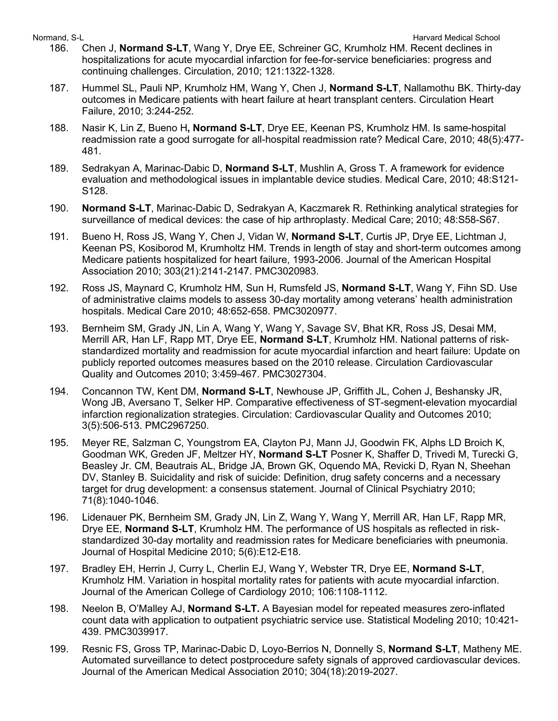- Normand, S-L **Normand, S-L Harvard Medical School** 186. Chen J, **Normand S-LT**, Wang Y, Drye EE, Schreiner GC, Krumholz HM. Recent declines in hospitalizations for acute myocardial infarction for fee-for-service beneficiaries: progress and continuing challenges. Circulation, 2010; 121:1322-1328.
	- 187. Hummel SL, Pauli NP, Krumholz HM, Wang Y, Chen J, **Normand S-LT**, Nallamothu BK. Thirty-day outcomes in Medicare patients with heart failure at heart transplant centers. Circulation Heart Failure, 2010; 3:244-252.
	- 188. Nasir K, Lin Z, Bueno H**, Normand S-LT**, Drye EE, Keenan PS, Krumholz HM. Is same-hospital readmission rate a good surrogate for all-hospital readmission rate? Medical Care, 2010; 48(5):477- 481.
	- 189. Sedrakyan A, Marinac-Dabic D, **Normand S-LT**, Mushlin A, Gross T. A framework for evidence evaluation and methodological issues in implantable device studies. Medical Care, 2010; 48:S121- S128.
	- 190. **Normand S-LT**, Marinac-Dabic D, Sedrakyan A, Kaczmarek R. Rethinking analytical strategies for surveillance of medical devices: the case of hip arthroplasty. Medical Care; 2010; 48:S58-S67.
	- 191. Bueno H, Ross JS, Wang Y, Chen J, Vidan W, **Normand S-LT**, Curtis JP, Drye EE, Lichtman J, Keenan PS, Kosiborod M, Krumholtz HM. Trends in length of stay and short-term outcomes among Medicare patients hospitalized for heart failure, 1993-2006. Journal of the American Hospital Association 2010; 303(21):2141-2147. PMC3020983.
	- 192. Ross JS, Maynard C, Krumholz HM, Sun H, Rumsfeld JS, **Normand S-LT**, Wang Y, Fihn SD. Use of administrative claims models to assess 30-day mortality among veterans' health administration hospitals. Medical Care 2010; 48:652-658. PMC3020977.
	- 193. Bernheim SM, Grady JN, Lin A, Wang Y, Wang Y, Savage SV, Bhat KR, Ross JS, Desai MM, Merrill AR, Han LF, Rapp MT, Drye EE, **Normand S-LT**, Krumholz HM. National patterns of riskstandardized mortality and readmission for acute myocardial infarction and heart failure: Update on publicly reported outcomes measures based on the 2010 release. Circulation Cardiovascular Quality and Outcomes 2010; 3:459-467. PMC3027304.
	- 194. Concannon TW, Kent DM, **Normand S-LT**, Newhouse JP, Griffith JL, Cohen J, Beshansky JR, Wong JB, Aversano T, Selker HP. Comparative effectiveness of ST-segment-elevation myocardial infarction regionalization strategies. Circulation: Cardiovascular Quality and Outcomes 2010; 3(5):506-513. PMC2967250.
	- 195. Meyer RE, Salzman C, Youngstrom EA, Clayton PJ, Mann JJ, Goodwin FK, Alphs LD Broich K, Goodman WK, Greden JF, Meltzer HY, **Normand S-LT** Posner K, Shaffer D, Trivedi M, Turecki G, Beasley Jr. CM, Beautrais AL, Bridge JA, Brown GK, Oquendo MA, Revicki D, Ryan N, Sheehan DV, Stanley B. Suicidality and risk of suicide: Definition, drug safety concerns and a necessary target for drug development: a consensus statement. Journal of Clinical Psychiatry 2010; 71(8):1040-1046.
	- 196. Lidenauer PK, Bernheim SM, Grady JN, Lin Z, Wang Y, Wang Y, Merrill AR, Han LF, Rapp MR, Drye EE, **Normand S-LT**, Krumholz HM. The performance of US hospitals as reflected in riskstandardized 30-day mortality and readmission rates for Medicare beneficiaries with pneumonia. Journal of Hospital Medicine 2010; 5(6):E12-E18.
	- 197. Bradley EH, Herrin J, Curry L, Cherlin EJ, Wang Y, Webster TR, Drye EE, **Normand S-LT**, Krumholz HM. Variation in hospital mortality rates for patients with acute myocardial infarction. Journal of the American College of Cardiology 2010; 106:1108-1112.
	- 198. Neelon B, O'Malley AJ, **Normand S-LT.** A Bayesian model for repeated measures zero-inflated count data with application to outpatient psychiatric service use. Statistical Modeling 2010; 10:421- 439. PMC3039917.
	- 199. Resnic FS, Gross TP, Marinac-Dabic D, Loyo-Berrios N, Donnelly S, **Normand S-LT**, Matheny ME. Automated surveillance to detect postprocedure safety signals of approved cardiovascular devices. Journal of the American Medical Association 2010; 304(18):2019-2027.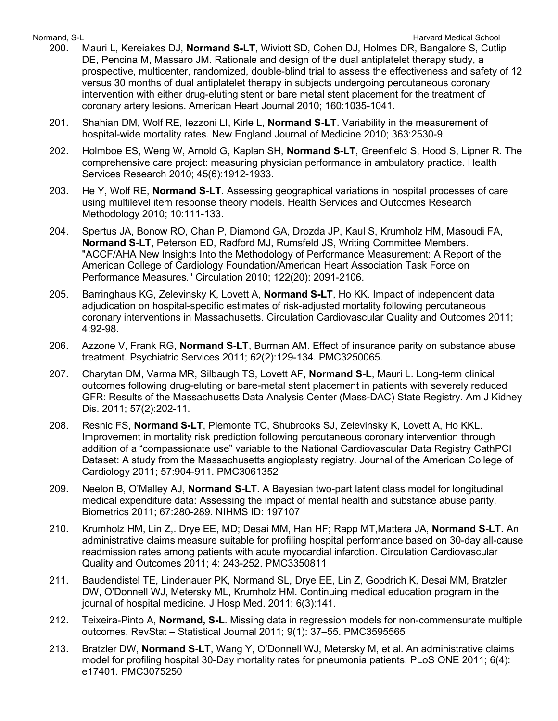- 200. Mauri L, Kereiakes DJ, **Normand S-LT**, Wiviott SD, Cohen DJ, Holmes DR, Bangalore S, Cutlip DE, Pencina M, Massaro JM. Rationale and design of the dual antiplatelet therapy study, a prospective, multicenter, randomized, double-blind trial to assess the effectiveness and safety of 12 versus 30 months of dual antiplatelet therapy in subjects undergoing percutaneous coronary intervention with either drug-eluting stent or bare metal stent placement for the treatment of coronary artery lesions. American Heart Journal 2010; 160:1035-1041.
- 201. Shahian DM, Wolf RE, Iezzoni LI, Kirle L, **Normand S-LT**. Variability in the measurement of hospital-wide mortality rates. New England Journal of Medicine 2010; 363:2530-9.
- 202. Holmboe ES, Weng W, Arnold G, Kaplan SH, **Normand S-LT**, Greenfield S, Hood S, Lipner R. The comprehensive care project: measuring physician performance in ambulatory practice. Health Services Research 2010; 45(6):1912-1933.
- 203. He Y, Wolf RE, **Normand S-LT**. Assessing geographical variations in hospital processes of care using multilevel item response theory models. Health Services and Outcomes Research Methodology 2010; 10:111-133.
- 204. Spertus JA, Bonow RO, Chan P, Diamond GA, Drozda JP, Kaul S, Krumholz HM, Masoudi FA, **Normand S-LT**, Peterson ED, Radford MJ, Rumsfeld JS, Writing Committee Members. "ACCF/AHA New Insights Into the Methodology of Performance Measurement: A Report of the American College of Cardiology Foundation/American Heart Association Task Force on Performance Measures." Circulation 2010; 122(20): 2091-2106.
- 205. Barringhaus KG, Zelevinsky K, Lovett A, **Normand S-LT**, Ho KK. Impact of independent data adjudication on hospital-specific estimates of risk-adjusted mortality following percutaneous coronary interventions in Massachusetts. Circulation Cardiovascular Quality and Outcomes 2011; 4:92-98.
- 206. Azzone V, Frank RG, **Normand S-LT**, Burman AM. Effect of insurance parity on substance abuse treatment. Psychiatric Services 2011; 62(2):129-134. PMC3250065.
- 207. Charytan DM, Varma MR, Silbaugh TS, Lovett AF, **Normand S-L**, Mauri L. Long-term clinical outcomes following drug-eluting or bare-metal stent placement in patients with severely reduced GFR: Results of the Massachusetts Data Analysis Center (Mass-DAC) State Registry. Am J Kidney Dis. 2011; 57(2):202-11.
- 208. Resnic FS, **Normand S-LT**, Piemonte TC, Shubrooks SJ, Zelevinsky K, Lovett A, Ho KKL. Improvement in mortality risk prediction following percutaneous coronary intervention through addition of a "compassionate use" variable to the National Cardiovascular Data Registry CathPCI Dataset: A study from the Massachusetts angioplasty registry. Journal of the American College of Cardiology 2011; 57:904-911. PMC3061352
- 209. Neelon B, O'Malley AJ, **Normand S-LT**. A Bayesian two-part latent class model for longitudinal medical expenditure data: Assessing the impact of mental health and substance abuse parity. Biometrics 2011; 67:280-289. NIHMS ID: 197107
- 210. Krumholz HM, Lin Z,. Drye EE, MD; Desai MM, Han HF; Rapp MT,Mattera JA, **Normand S-LT**. An administrative claims measure suitable for profiling hospital performance based on 30-day all-cause readmission rates among patients with acute myocardial infarction. Circulation Cardiovascular Quality and Outcomes 2011; 4: 243-252. PMC3350811
- 211. Baudendistel TE, Lindenauer PK, Normand SL, Drye EE, Lin Z, Goodrich K, Desai MM, Bratzler DW, O'Donnell WJ, Metersky ML, Krumholz HM. Continuing medical education program in the journal of hospital medicine. J Hosp Med. 2011; 6(3):141.
- 212. Teixeira-Pinto A, **Normand, S-L**. Missing data in regression models for non-commensurate multiple outcomes. RevStat – Statistical Journal 2011; 9(1): 37–55. PMC3595565
- 213. Bratzler DW, **Normand S-LT**, Wang Y, O'Donnell WJ, Metersky M, et al. An administrative claims model for profiling hospital 30-Day mortality rates for pneumonia patients. PLoS ONE 2011; 6(4): e17401. PMC3075250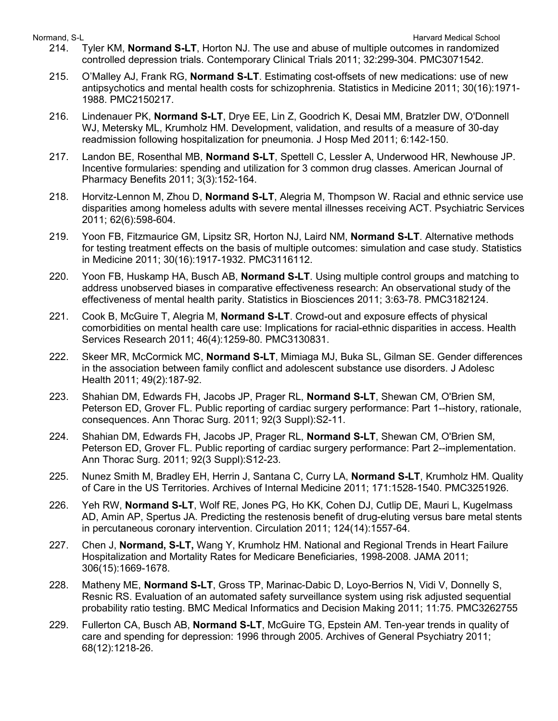- Normand, S-L **Normand, S-L** Harvard Medical School and The School and The School and The School and The School and The School and The School and The School and The School and The School and The School and The School and Th 214. Tyler KM, **Normand S-LT**, Horton NJ. The use and abuse of multiple outcomes in randomized controlled depression trials. Contemporary Clinical Trials 2011; 32:299-304. PMC3071542.
	- 215. O'Malley AJ, Frank RG, **Normand S-LT**. Estimating cost-offsets of new medications: use of new antipsychotics and mental health costs for schizophrenia. Statistics in Medicine 2011; 30(16):1971- 1988. PMC2150217.
	- 216. Lindenauer PK, **Normand S-LT**, Drye EE, Lin Z, Goodrich K, Desai MM, Bratzler DW, O'Donnell WJ, Metersky ML, Krumholz HM. Development, validation, and results of a measure of 30-day readmission following hospitalization for pneumonia. J Hosp Med 2011; 6:142-150.
	- 217. Landon BE, Rosenthal MB, **Normand S-LT**, Spettell C, Lessler A, Underwood HR, Newhouse JP. Incentive formularies: spending and utilization for 3 common drug classes. American Journal of Pharmacy Benefits 2011; 3(3):152-164.
	- 218. Horvitz-Lennon M, Zhou D, **Normand S-LT**, Alegria M, Thompson W. Racial and ethnic service use disparities among homeless adults with severe mental illnesses receiving ACT. Psychiatric Services 2011; 62(6):598-604.
	- 219. Yoon FB, Fitzmaurice GM, Lipsitz SR, Horton NJ, Laird NM, **Normand S-LT**. Alternative methods for testing treatment effects on the basis of multiple outcomes: simulation and case study. Statistics in Medicine 2011; 30(16):1917-1932. [PMC3116112.](http://www.pubmedcentral.gov/articlerender.fcgi?tool=nihms&artid=3116112)
	- 220. Yoon FB, Huskamp HA, Busch AB, **Normand S-LT**. Using multiple control groups and matching to address unobserved biases in comparative effectiveness research: An observational study of the effectiveness of mental health parity. Statistics in Biosciences 2011; 3:63-78. PMC3182124.
	- 221. Cook B, McGuire T, Alegria M, **Normand S-LT**. Crowd-out and exposure effects of physical comorbidities on mental health care use: Implications for racial-ethnic disparities in access. Health Services Research 2011; 46(4):1259-80. PMC3130831.
	- 222. Skeer MR, McCormick MC, **Normand S-LT**, Mimiaga MJ, Buka SL, Gilman SE. Gender differences in the association between family conflict and adolescent substance use disorders. J Adolesc Health 2011; 49(2):187-92.
	- 223. Shahian DM, Edwards FH, Jacobs JP, Prager RL, **Normand S-LT**, Shewan CM, O'Brien SM, Peterson ED, Grover FL. Public reporting of cardiac surgery performance: Part 1--history, rationale, consequences. Ann Thorac Surg. 2011; 92(3 Suppl):S2-11.
	- 224. Shahian DM, Edwards FH, Jacobs JP, Prager RL, **Normand S-LT**, Shewan CM, O'Brien SM, Peterson ED, Grover FL. Public reporting of cardiac surgery performance: Part 2--implementation. Ann Thorac Surg. 2011; 92(3 Suppl):S12-23.
	- 225. Nunez Smith M, Bradley EH, Herrin J, Santana C, Curry LA, **Normand S-LT**, Krumholz HM. Quality of Care in the US Territories. Archives of Internal Medicine 2011; 171:1528-1540. PMC3251926.
	- 226. Yeh RW, **Normand S-LT**, Wolf RE, Jones PG, Ho KK, Cohen DJ, Cutlip DE, Mauri L, Kugelmass AD, Amin AP, Spertus JA. Predicting the restenosis benefit of drug-eluting versus bare metal stents in percutaneous coronary intervention. Circulation 2011; 124(14):1557-64.
	- 227. Chen J, **Normand, S-LT,** Wang Y, Krumholz HM. National and Regional Trends in Heart Failure Hospitalization and Mortality Rates for Medicare Beneficiaries, 1998-2008. JAMA 2011; 306(15):1669-1678.
	- 228. Matheny ME, **Normand S-LT**, Gross TP, Marinac-Dabic D, Loyo-Berrios N, Vidi V, Donnelly S, Resnic RS. Evaluation of an automated safety surveillance system using risk adjusted sequential probability ratio testing. BMC Medical Informatics and Decision Making 2011; 11:75. PMC3262755
	- 229. Fullerton CA, Busch AB, **Normand S-LT**, McGuire TG, Epstein AM. Ten-year trends in quality of care and spending for depression: 1996 through 2005. Archives of General Psychiatry 2011; 68(12):1218-26.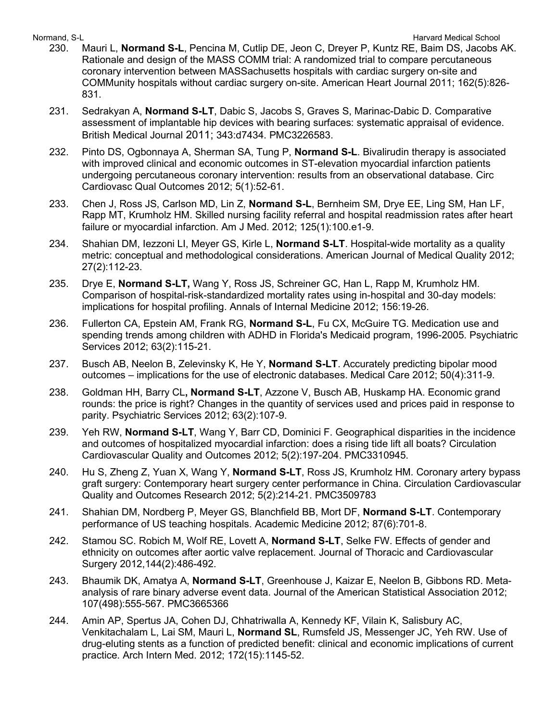- 230. Mauri L, **Normand S-L**, Pencina M, Cutlip DE, Jeon C, Dreyer P, Kuntz RE, Baim DS, Jacobs AK. Rationale and design of the MASS COMM trial: A randomized trial to compare percutaneous coronary intervention between MASSachusetts hospitals with cardiac surgery on-site and COMMunity hospitals without cardiac surgery on-site. American Heart Journal 2011; 162(5):826- 831.
- 231. Sedrakyan A, **Normand S-LT**, Dabic S, Jacobs S, Graves S, Marinac-Dabic D. Comparative assessment of implantable hip devices with bearing surfaces: systematic appraisal of evidence. British Medical Journal 2011; 343:d7434. PMC3226583.
- 232. Pinto DS, Ogbonnaya A, Sherman SA, Tung P, **Normand S-L**. Bivalirudin therapy is associated with improved clinical and economic outcomes in ST-elevation myocardial infarction patients undergoing percutaneous coronary intervention: results from an observational database. Circ Cardiovasc Qual Outcomes 2012; 5(1):52-61.
- 233. Chen J, Ross JS, Carlson MD, Lin Z, **Normand S-L**, Bernheim SM, Drye EE, Ling SM, Han LF, Rapp MT, Krumholz HM. Skilled nursing facility referral and hospital readmission rates after heart failure or myocardial infarction. Am J Med. 2012; 125(1):100.e1-9.
- 234. Shahian DM, Iezzoni LI, Meyer GS, Kirle L, **Normand S-LT**. Hospital-wide mortality as a quality metric: conceptual and methodological considerations. American Journal of Medical Quality 2012; 27(2):112-23.
- 235. Drye E, **Normand S-LT,** Wang Y, Ross JS, Schreiner GC, Han L, Rapp M, Krumholz HM. Comparison of hospital-risk-standardized mortality rates using in-hospital and 30-day models: implications for hospital profiling. Annals of Internal Medicine 2012; 156:19-26.
- 236. Fullerton CA, Epstein AM, Frank RG, **Normand S-L**, Fu CX, McGuire TG. Medication use and spending trends among children with ADHD in Florida's Medicaid program, 1996-2005. Psychiatric Services 2012; 63(2):115-21.
- 237. Busch AB, Neelon B, Zelevinsky K, He Y, **Normand S-LT**. Accurately predicting bipolar mood outcomes – implications for the use of electronic databases. Medical Care 2012; 50(4):311-9.
- 238. Goldman HH, Barry CL**, Normand S-LT**, Azzone V, Busch AB, Huskamp HA. Economic grand rounds: the price is right? Changes in the quantity of services used and prices paid in response to parity. Psychiatric Services 2012; 63(2):107-9.
- 239. Yeh RW, **Normand S-LT**, Wang Y, Barr CD, Dominici F. Geographical disparities in the incidence and outcomes of hospitalized myocardial infarction: does a rising tide lift all boats? Circulation Cardiovascular Quality and Outcomes 2012; 5(2):197-204. PMC3310945.
- 240. Hu S, Zheng Z, Yuan X, Wang Y, **Normand S-LT**, Ross JS, Krumholz HM. Coronary artery bypass graft surgery: Contemporary heart surgery center performance in China. Circulation Cardiovascular Quality and Outcomes Research 2012; 5(2):214-21. PMC3509783
- 241. Shahian DM, Nordberg P, Meyer GS, Blanchfield BB, Mort DF, **Normand S-LT**. Contemporary performance of US teaching hospitals. Academic Medicine 2012; 87(6):701-8.
- 242. Stamou SC. Robich M, Wolf RE, Lovett A, **Normand S-LT**, Selke FW. Effects of gender and ethnicity on outcomes after aortic valve replacement. Journal of Thoracic and Cardiovascular Surgery 2012,144(2):486-492.
- 243. Bhaumik DK, Amatya A, **Normand S-LT**, Greenhouse J, Kaizar E, Neelon B, Gibbons RD. Metaanalysis of rare binary adverse event data. Journal of the American Statistical Association 2012; 107(498):555-567. PMC3665366
- 244. Amin AP, Spertus JA, Cohen DJ, Chhatriwalla A, Kennedy KF, Vilain K, Salisbury AC, Venkitachalam L, Lai SM, Mauri L, **Normand SL**, Rumsfeld JS, Messenger JC, Yeh RW. Use of drug-eluting stents as a function of predicted benefit: clinical and economic implications of current practice. Arch Intern Med. 2012; 172(15):1145-52.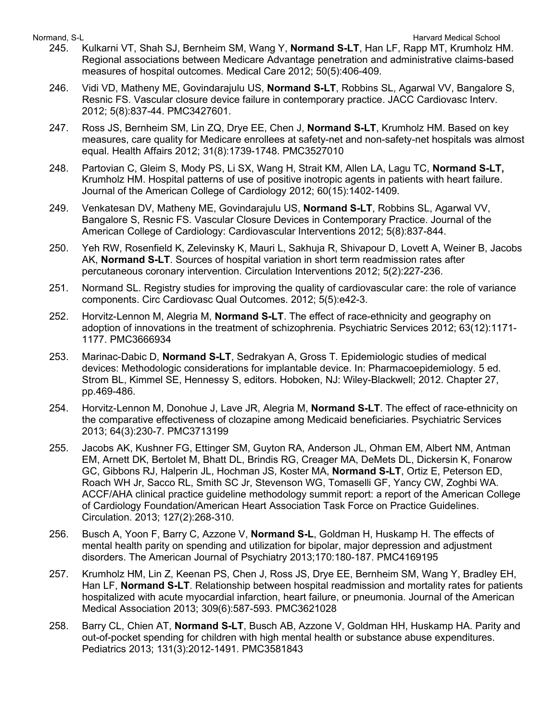- 245. Kulkarni VT, Shah SJ, Bernheim SM, Wang Y, **Normand S-LT**, Han LF, Rapp MT, Krumholz HM. Regional associations between Medicare Advantage penetration and administrative claims-based measures of hospital outcomes. Medical Care 2012; 50(5):406-409.
- 246. Vidi VD, Matheny ME, Govindarajulu US, **Normand S-LT**, Robbins SL, Agarwal VV, Bangalore S, Resnic FS. Vascular closure device failure in contemporary practice. JACC Cardiovasc Interv. 2012; 5(8):837-44. PMC3427601.
- 247. Ross JS, Bernheim SM, Lin ZQ, Drye EE, Chen J, **Normand S-LT**, Krumholz HM. Based on key measures, care quality for Medicare enrollees at safety-net and non-safety-net hospitals was almost equal. Health Affairs 2012; 31(8):1739-1748. PMC3527010
- 248. Partovian C, Gleim S, Mody PS, Li SX, Wang H, Strait KM, Allen LA, Lagu TC, **Normand S-LT,** Krumholz HM. Hospital patterns of use of positive inotropic agents in patients with heart failure. Journal of the American College of Cardiology 2012; 60(15):1402-1409.
- 249. Venkatesan DV, Matheny ME, Govindarajulu US, **Normand S-LT**, Robbins SL, Agarwal VV, Bangalore S, Resnic FS. Vascular Closure Devices in Contemporary Practice. Journal of the American College of Cardiology: Cardiovascular Interventions 2012; 5(8):837-844.
- 250. Yeh RW, Rosenfield K, Zelevinsky K, Mauri L, Sakhuja R, Shivapour D, Lovett A, Weiner B, Jacobs AK, **Normand S-LT**. Sources of hospital variation in short term readmission rates after percutaneous coronary intervention. Circulation Interventions 2012; 5(2):227-236.
- 251. Normand SL. Registry studies for improving the quality of cardiovascular care: the role of variance components. Circ Cardiovasc Qual Outcomes. 2012; 5(5):e42-3.
- 252. Horvitz-Lennon M, Alegria M, **Normand S-LT**. The effect of race-ethnicity and geography on adoption of innovations in the treatment of schizophrenia. Psychiatric Services 2012; 63(12):1171- 1177. PMC3666934
- 253. Marinac-Dabic D, **Normand S-LT**, Sedrakyan A, Gross T. Epidemiologic studies of medical devices: Methodologic considerations for implantable device. In: Pharmacoepidemiology. 5 ed. Strom BL, Kimmel SE, Hennessy S, editors. Hoboken, NJ: Wiley-Blackwell; 2012. Chapter 27, pp.469-486.
- 254. Horvitz-Lennon M, Donohue J, Lave JR, Alegria M, **Normand S-LT**. The effect of race-ethnicity on the comparative effectiveness of clozapine among Medicaid beneficiaries. Psychiatric Services 2013; 64(3):230-7. PMC3713199
- 255. Jacobs AK, Kushner FG, Ettinger SM, Guyton RA, Anderson JL, Ohman EM, Albert NM, Antman EM, Arnett DK, Bertolet M, Bhatt DL, Brindis RG, Creager MA, DeMets DL, Dickersin K, Fonarow GC, Gibbons RJ, Halperin JL, Hochman JS, Koster MA, **Normand S-LT**, Ortiz E, Peterson ED, Roach WH Jr, Sacco RL, Smith SC Jr, Stevenson WG, Tomaselli GF, Yancy CW, Zoghbi WA. ACCF/AHA clinical practice guideline methodology summit report: a report of the American College of Cardiology Foundation/American Heart Association Task Force on Practice Guidelines. Circulation. 2013; 127(2):268-310.
- 256. Busch A, Yoon F, Barry C, Azzone V, **Normand S-L**, Goldman H, Huskamp H. The effects of mental health parity on spending and utilization for bipolar, major depression and adjustment disorders. The American Journal of Psychiatry 2013;170:180-187. PMC4169195
- 257. Krumholz HM, Lin Z, Keenan PS, Chen J, Ross JS, Drye EE, Bernheim SM, Wang Y, Bradley EH, Han LF, **Normand S-LT**. Relationship between hospital readmission and mortality rates for patients hospitalized with acute myocardial infarction, heart failure, or pneumonia. Journal of the American Medical Association 2013; 309(6):587-593. PMC3621028
- 258. Barry CL, Chien AT, **Normand S-LT**, Busch AB, Azzone V, Goldman HH, Huskamp HA. Parity and out-of-pocket spending for children with high mental health or substance abuse expenditures. Pediatrics 2013; 131(3):2012-1491. PMC3581843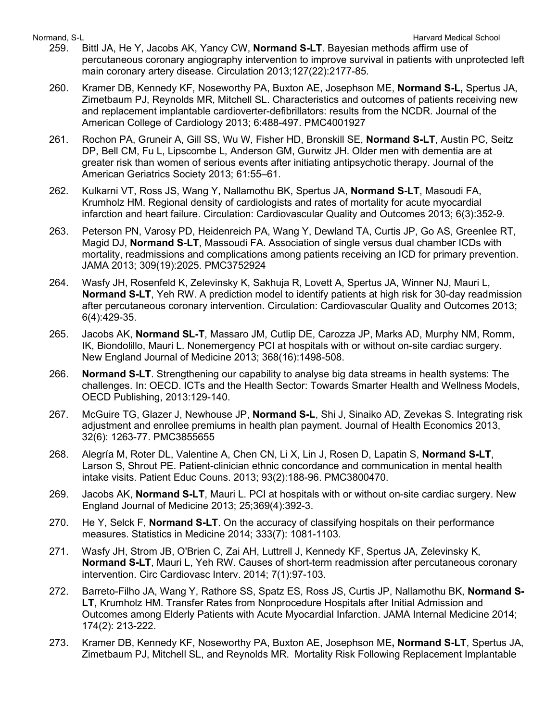- 259. Bittl JA, He Y, Jacobs AK, Yancy CW, **Normand S-LT**. Bayesian methods affirm use of percutaneous coronary angiography intervention to improve survival in patients with unprotected left main coronary artery disease. Circulation 2013;127(22):2177-85.
- 260. Kramer DB, Kennedy KF, Noseworthy PA, Buxton AE, Josephson ME, **Normand S-L,** Spertus JA, Zimetbaum PJ, Reynolds MR, Mitchell SL. Characteristics and outcomes of patients receiving new and replacement implantable cardioverter-defibrillators: results from the NCDR. Journal of the American College of Cardiology 2013; 6:488-497. PMC4001927
- 261. Rochon PA, Gruneir A, Gill SS, Wu W, Fisher HD, Bronskill SE, **Normand S-LT**, Austin PC, Seitz DP, Bell CM, Fu L, Lipscombe L, Anderson GM, Gurwitz JH. Older men with dementia are at greater risk than women of serious events after initiating antipsychotic therapy. Journal of the American Geriatrics Society 2013; 61:55–61.
- 262. Kulkarni VT, Ross JS, Wang Y, Nallamothu BK, Spertus JA, **Normand S-LT**, Masoudi FA, Krumholz HM. Regional density of cardiologists and rates of mortality for acute myocardial infarction and heart failure. Circulation: Cardiovascular Quality and Outcomes 2013; 6(3):352-9.
- 263. Peterson PN, Varosy PD, Heidenreich PA, Wang Y, Dewland TA, Curtis JP, Go AS, Greenlee RT, Magid DJ, **Normand S-LT**, Massoudi FA. Association of single versus dual chamber ICDs with mortality, readmissions and complications among patients receiving an ICD for primary prevention. JAMA 2013; 309(19):2025. PMC3752924
- 264. Wasfy JH, Rosenfeld K, Zelevinsky K, Sakhuja R, Lovett A, Spertus JA, Winner NJ, Mauri L, **Normand S-LT**, Yeh RW. A prediction model to identify patients at high risk for 30-day readmission after percutaneous coronary intervention. Circulation: Cardiovascular Quality and Outcomes 2013; 6(4):429-35.
- 265. Jacobs AK, **Normand SL-T**, Massaro JM, Cutlip DE, Carozza JP, Marks AD, Murphy NM, Romm, IK, Biondolillo, Mauri L. Nonemergency PCI at hospitals with or without on-site cardiac surgery. New England Journal of Medicine 2013; 368(16):1498-508.
- 266. **Normand S-LT**. Strengthening our capability to analyse big data streams in health systems: The challenges. In: OECD. ICTs and the Health Sector: Towards Smarter Health and Wellness Models, OECD Publishing, 2013:129-140.
- 267. McGuire TG, Glazer J, Newhouse JP, **Normand S-L**, Shi J, Sinaiko AD, Zevekas S. Integrating risk adjustment and enrollee premiums in health plan payment. Journal of Health Economics 2013, 32(6): 1263-77. PMC3855655
- 268. Alegría M, Roter DL, Valentine A, Chen CN, Li X, Lin J, Rosen D, Lapatin S, **Normand S-LT**, Larson S, Shrout PE. Patient-clinician ethnic concordance and communication in mental health intake visits. Patient Educ Couns. 2013; 93(2):188-96. PMC3800470.
- 269. Jacobs AK, **Normand S-LT**, Mauri L. PCI at hospitals with or without on-site cardiac surgery. New England Journal of Medicine 2013; 25;369(4):392-3.
- 270. He Y, Selck F, **Normand S-LT**. On the accuracy of classifying hospitals on their performance measures. Statistics in Medicine 2014; 333(7): 1081-1103.
- 271. Wasfy JH, Strom JB, O'Brien C, Zai AH, Luttrell J, Kennedy KF, Spertus JA, Zelevinsky K, **Normand S-LT**, Mauri L, Yeh RW. Causes of short-term readmission after percutaneous coronary intervention. Circ Cardiovasc Interv. 2014; 7(1):97-103.
- 272. Barreto-Filho JA, Wang Y, Rathore SS, Spatz ES, Ross JS, Curtis JP, Nallamothu BK, **Normand S-LT,** Krumholz HM. Transfer Rates from Nonprocedure Hospitals after Initial Admission and Outcomes among Elderly Patients with Acute Myocardial Infarction. JAMA Internal Medicine 2014; 174(2): 213-222.
- 273. Kramer DB, Kennedy KF, Noseworthy PA, Buxton AE, Josephson ME**, Normand S-LT**, Spertus JA, Zimetbaum PJ, Mitchell SL, and Reynolds MR. Mortality Risk Following Replacement Implantable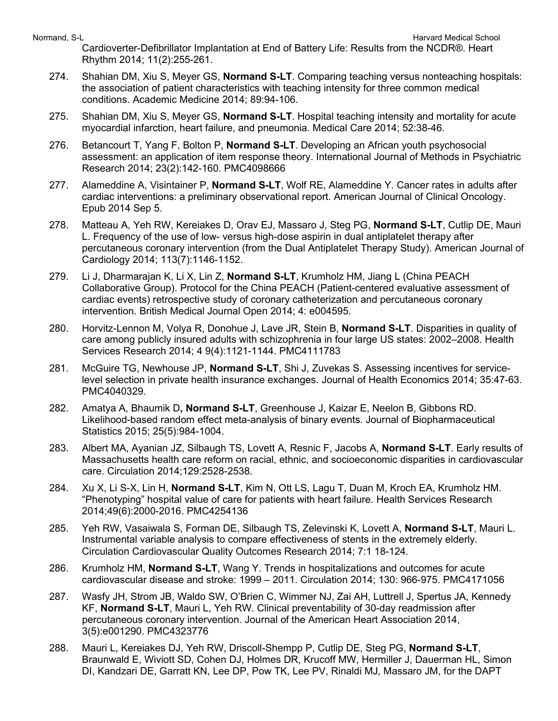Cardioverter-Defibrillator Implantation at End of Battery Life: Results from the NCDR®. Heart Rhythm 2014; 11(2):255-261.

- 274. Shahian DM, Xiu S, Meyer GS, **Normand S-LT**. Comparing teaching versus nonteaching hospitals: the association of patient characteristics with teaching intensity for three common medical conditions. Academic Medicine 2014; 89:94-106.
- 275. Shahian DM, Xiu S, Meyer GS, **Normand S-LT**. Hospital teaching intensity and mortality for acute myocardial infarction, heart failure, and pneumonia. Medical Care 2014; 52:38-46.
- 276. Betancourt T, Yang F, Bolton P, **Normand S-LT**. Developing an African youth psychosocial assessment: an application of item response theory. International Journal of Methods in Psychiatric Research 2014; 23(2):142-160. PMC4098666
- 277. Alameddine A, Visintainer P, **Normand S-LT**, Wolf RE, Alameddine Y. Cancer rates in adults after cardiac interventions: a preliminary observational report. American Journal of Clinical Oncology. Epub 2014 Sep 5.
- 278. Matteau A, Yeh RW, Kereiakes D, Orav EJ, Massaro J, Steg PG, **Normand S-LT**, Cutlip DE, Mauri L. Frequency of the use of low- versus high-dose aspirin in dual antiplatelet therapy after percutaneous coronary intervention (from the Dual Antiplatelet Therapy Study). American Journal of Cardiology 2014; 113(7):1146-1152.
- 279. Li J, Dharmarajan K, Li X, Lin Z, **Normand S-LT**, Krumholz HM, Jiang L (China PEACH Collaborative Group). Protocol for the China PEACH (Patient-centered evaluative assessment of cardiac events) retrospective study of coronary catheterization and percutaneous coronary intervention. British Medical Journal Open 2014; 4: e004595.
- 280. Horvitz-Lennon M, Volya R, Donohue J, Lave JR, Stein B, **Normand S-LT**. Disparities in quality of care among publicly insured adults with schizophrenia in four large US states: 2002–2008. Health Services Research 2014; 4 9(4):1121-1144. PMC4111783
- 281. McGuire TG, Newhouse JP, **Normand S-LT**, Shi J, Zuvekas S. Assessing incentives for servicelevel selection in private health insurance exchanges. Journal of Health Economics 2014; 35:47-63. PMC4040329.
- 282. Amatya A, Bhaumik D**, Normand S-LT**, Greenhouse J, Kaizar E, Neelon B, Gibbons RD. Likelihood-based random effect meta-analysis of binary events. Journal of Biopharmaceutical Statistics 2015; 25(5):984-1004.
- 283. Albert MA, Ayanian JZ, Silbaugh TS, Lovett A, Resnic F, Jacobs A, **Normand S-LT**. Early results of Massachusetts health care reform on racial, ethnic, and socioeconomic disparities in cardiovascular care. Circulation 2014;129:2528-2538.
- 284. Xu X, Li S-X, Lin H, **Normand S-LT**, Kim N, Ott LS, Lagu T, Duan M, Kroch EA, Krumholz HM. "Phenotyping" hospital value of care for patients with heart failure. Health Services Research 2014;49(6):2000-2016. PMC4254136
- 285. Yeh RW, Vasaiwala S, Forman DE, Silbaugh TS, Zelevinski K, Lovett A, **Normand S-LT**, Mauri L. Instrumental variable analysis to compare effectiveness of stents in the extremely elderly. Circulation Cardiovascular Quality Outcomes Research 2014; 7:1 18-124.
- 286. Krumholz HM, **Normand S-LT**, Wang Y. Trends in hospitalizations and outcomes for acute cardiovascular disease and stroke: 1999 – 2011. Circulation 2014; 130: 966-975. PMC4171056
- 287. Wasfy JH, Strom JB, Waldo SW, O'Brien C, Wimmer NJ, Zai AH, Luttrell J, Spertus JA, Kennedy KF, **Normand S-LT**, Mauri L, Yeh RW. Clinical preventability of 30-day readmission after percutaneous coronary intervention. Journal of the American Heart Association 2014, 3(5):e001290. PMC4323776
- 288. Mauri L, Kereiakes DJ, Yeh RW, Driscoll-Shempp P, Cutlip DE, Steg PG, **Normand S-LT**, Braunwald E, Wiviott SD, Cohen DJ, Holmes DR, Krucoff MW, Hermiller J, Dauerman HL, Simon DI, Kandzari DE, Garratt KN, Lee DP, Pow TK, Lee PV, Rinaldi MJ, Massaro JM, for the DAPT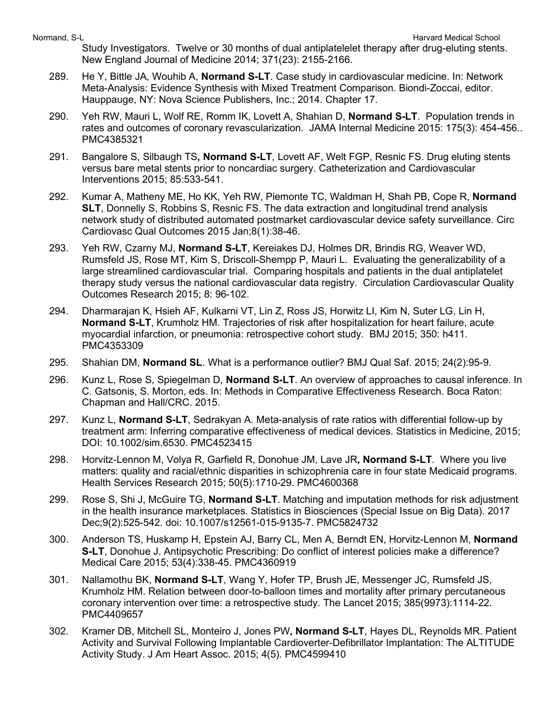Study Investigators. Twelve or 30 months of dual antiplatelelet therapy after drug-eluting stents. New England Journal of Medicine 2014; 371(23): 2155-2166.

- 289. He Y, Bittle JA, Wouhib A, **Normand S-LT**. Case study in cardiovascular medicine. In: Network Meta-Analysis: Evidence Synthesis with Mixed Treatment Comparison. Biondi-Zoccai, editor. Hauppauge, NY: Nova Science Publishers, Inc.; 2014. Chapter 17.
- 290. Yeh RW, Mauri L, Wolf RE, Romm IK, Lovett A, Shahian D, **Normand S-LT**. Population trends in rates and outcomes of coronary revascularization. JAMA Internal Medicine 2015: 175(3): 454-456.. PMC4385321
- 291. Bangalore S, Silbaugh TS**, Normand S-LT**, Lovett AF, Welt FGP, Resnic FS. Drug eluting stents versus bare metal stents prior to noncardiac surgery. Catheterization and Cardiovascular Interventions 2015; 85:533-541.
- 292. Kumar A, Matheny ME, Ho KK, Yeh RW, Piemonte TC, Waldman H, Shah PB, Cope R, **Normand SLT**, Donnelly S, Robbins S, Resnic FS. The data extraction and longitudinal trend analysis network study of distributed automated postmarket cardiovascular device safety surveillance. Circ Cardiovasc Qual Outcomes 2015 Jan;8(1):38-46.
- 293. Yeh RW, Czarny MJ, **Normand S-LT**, Kereiakes DJ, Holmes DR, Brindis RG, Weaver WD, Rumsfeld JS, Rose MT, Kim S, Driscoll-Shempp P, Mauri L. Evaluating the generalizability of a large streamlined cardiovascular trial. Comparing hospitals and patients in the dual antiplatelet therapy study versus the national cardiovascular data registry. Circulation Cardiovascular Quality Outcomes Research 2015; 8: 96-102.
- 294. Dharmarajan K, Hsieh AF, Kulkarni VT, Lin Z, Ross JS, Horwitz LI, Kim N, Suter LG, Lin H, **Normand S-LT**, Krumholz HM. Trajectories of risk after hospitalization for heart failure, acute myocardial infarction, or pneumonia: retrospective cohort study. BMJ 2015; 350: h411. PMC4353309
- 295. Shahian DM, **Normand SL**. What is a performance outlier? BMJ Qual Saf. 2015; 24(2):95-9.
- 296. Kunz L, Rose S, Spiegelman D, **Normand S-LT**. An overview of approaches to causal inference. In C. Gatsonis, S. Morton, eds. In: Methods in Comparative Effectiveness Research. Boca Raton: Chapman and Hall/CRC. 2015.
- 297. Kunz L, **Normand S-LT**, Sedrakyan A. Meta-analysis of rate ratios with differential follow-up by treatment arm: Inferring comparative effectiveness of medical devices. Statistics in Medicine, 2015; DOI: 10.1002/sim.6530. PMC4523415
- 298. Horvitz-Lennon M, Volya R, Garfield R, Donohue JM, Lave JR**, Normand S-LT**. Where you live matters: quality and racial/ethnic disparities in schizophrenia care in four state Medicaid programs. Health Services Research 2015; 50(5):1710-29. PMC4600368
- 299. Rose S, Shi J, McGuire TG, **Normand S-LT**. Matching and imputation methods for risk adjustment in the health insurance marketplaces. Statistics in Biosciences (Special Issue on Big Data). 2017 Dec;9(2):525-542. doi: 10.1007/s12561-015-9135-7. PMC5824732
- 300. Anderson TS, Huskamp H, Epstein AJ, Barry CL, Men A, Berndt EN, Horvitz-Lennon M, **Normand S-LT**, Donohue J. Antipsychotic Prescribing: Do conflict of interest policies make a difference? Medical Care 2015; 53(4):338-45. PMC4360919
- 301. Nallamothu BK, **Normand S-LT**, Wang Y, Hofer TP, Brush JE, Messenger JC, Rumsfeld JS, Krumholz HM. Relation between door-to-balloon times and mortality after primary percutaneous coronary intervention over time: a retrospective study. The Lancet 2015; 385(9973):1114-22. PMC4409657
- 302. Kramer DB, Mitchell SL, Monteiro J, Jones PW**, Normand S-LT**, Hayes DL, Reynolds MR. Patient Activity and Survival Following Implantable Cardioverter-Defibrillator Implantation: The ALTITUDE Activity Study. J Am Heart Assoc. 2015; 4(5). PMC4599410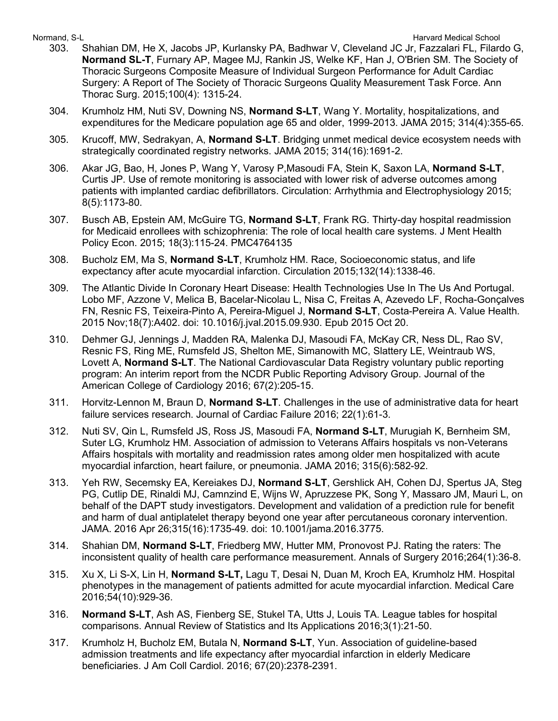- 303. Shahian DM, He X, Jacobs JP, Kurlansky PA, Badhwar V, Cleveland JC Jr, Fazzalari FL, Filardo G, **Normand SL-T**, Furnary AP, Magee MJ, Rankin JS, Welke KF, Han J, O'Brien SM. The Society of Thoracic Surgeons Composite Measure of Individual Surgeon Performance for Adult Cardiac Surgery: A Report of The Society of Thoracic Surgeons Quality Measurement Task Force. Ann Thorac Surg. 2015;100(4): 1315-24.
- 304. Krumholz HM, Nuti SV, Downing NS, **Normand S-LT**, Wang Y. Mortality, hospitalizations, and expenditures for the Medicare population age 65 and older, 1999-2013. JAMA 2015; 314(4):355-65.
- 305. Krucoff, MW, Sedrakyan, A, **Normand S-LT**. Bridging unmet medical device ecosystem needs with strategically coordinated registry networks. JAMA 2015; 314(16):1691-2.
- 306. Akar JG, Bao, H, Jones P, Wang Y, Varosy P,Masoudi FA, Stein K, Saxon LA, **Normand S-LT**, Curtis JP. Use of remote monitoring is associated with lower risk of adverse outcomes among patients with implanted cardiac defibrillators. Circulation: Arrhythmia and Electrophysiology 2015; 8(5):1173-80.
- 307. Busch AB, Epstein AM, McGuire TG, **Normand S-LT**, Frank RG. Thirty-day hospital readmission for Medicaid enrollees with schizophrenia: The role of local health care systems. J Ment Health Policy Econ. 2015; 18(3):115-24. PMC4764135
- 308. Bucholz EM, Ma S, **Normand S-LT**, Krumholz HM. Race, Socioeconomic status, and life expectancy after acute myocardial infarction. Circulation 2015;132(14):1338-46.
- 309. The Atlantic Divide In Coronary Heart Disease: Health Technologies Use In The Us And Portugal. Lobo MF, Azzone V, Melica B, Bacelar-Nicolau L, Nisa C, Freitas A, Azevedo LF, Rocha-Gonçalves FN, Resnic FS, Teixeira-Pinto A, Pereira-Miguel J, **Normand S-LT**, Costa-Pereira A. Value Health. 2015 Nov;18(7):A402. doi: 10.1016/j.jval.2015.09.930. Epub 2015 Oct 20.
- 310. Dehmer GJ, Jennings J, Madden RA, Malenka DJ, Masoudi FA, McKay CR, Ness DL, Rao SV, Resnic FS, Ring ME, Rumsfeld JS, Shelton ME, Simanowith MC, Slattery LE, Weintraub WS, Lovett A, **Normand S-LT**. The National Cardiovascular Data Registry voluntary public reporting program: An interim report from the NCDR Public Reporting Advisory Group. Journal of the American College of Cardiology 2016; 67(2):205-15.
- 311. Horvitz-Lennon M, Braun D, **Normand S-LT**. Challenges in the use of administrative data for heart failure services research. Journal of Cardiac Failure 2016; 22(1):61-3.
- 312. Nuti SV, Qin L, Rumsfeld JS, Ross JS, Masoudi FA, **Normand S-LT**, Murugiah K, Bernheim SM, Suter LG, Krumholz HM. Association of admission to Veterans Affairs hospitals vs non-Veterans Affairs hospitals with mortality and readmission rates among older men hospitalized with acute myocardial infarction, heart failure, or pneumonia. JAMA 2016; 315(6):582-92.
- 313. Yeh RW, Secemsky EA, Kereiakes DJ, **Normand S-LT**, Gershlick AH, Cohen DJ, Spertus JA, Steg PG, Cutlip DE, Rinaldi MJ, Camnzind E, Wijns W, Apruzzese PK, Song Y, Massaro JM, Mauri L, on behalf of the DAPT study investigators. Development and validation of a prediction rule for benefit and harm of dual antiplatelet therapy beyond one year after percutaneous coronary intervention. JAMA. 2016 Apr 26;315(16):1735-49. doi: 10.1001/jama.2016.3775.
- 314. Shahian DM, **Normand S-LT**, Friedberg MW, Hutter MM, Pronovost PJ. Rating the raters: The inconsistent quality of health care performance measurement. Annals of Surgery 2016;264(1):36-8.
- 315. Xu X, Li S-X, Lin H, **Normand S-LT,** Lagu T, Desai N, Duan M, Kroch EA, Krumholz HM. Hospital phenotypes in the management of patients admitted for acute myocardial infarction. Medical Care 2016;54(10):929-36.
- 316. **Normand S-LT**, Ash AS, Fienberg SE, Stukel TA, Utts J, Louis TA. League tables for hospital comparisons. Annual Review of Statistics and Its Applications 2016;3(1):21-50.
- 317. Krumholz H, Bucholz EM, Butala N, **Normand S-LT**, Yun. Association of guideline-based admission treatments and life expectancy after myocardial infarction in elderly Medicare beneficiaries. J Am Coll Cardiol. 2016; 67(20):2378-2391.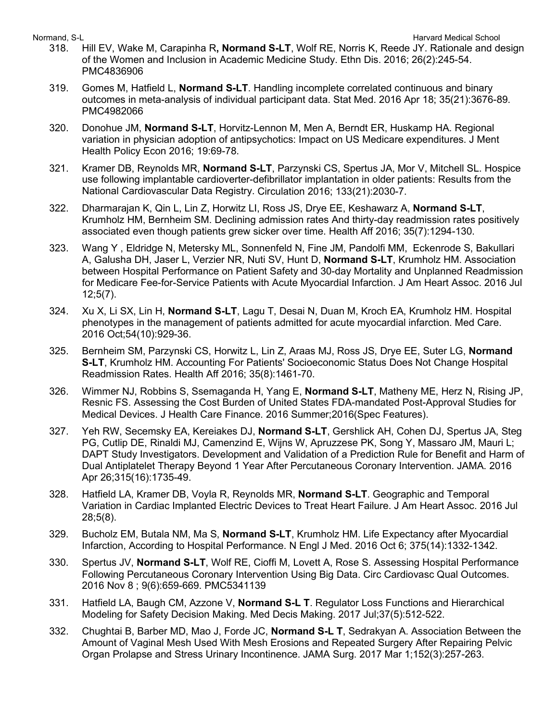Normand, S-L **Normand, S-L** Harvard Medical School and The School and The School and The School and The School and The School and The School and The School and The School and The School and The School and The School and Th

- 318. Hill EV, Wake M, Carapinha R**, Normand S-LT**, Wolf RE, Norris K, Reede JY. Rationale and design of the Women and Inclusion in Academic Medicine Study. Ethn Dis. 2016; 26(2):245-54. PMC4836906
- 319. Gomes M, Hatfield L, **Normand S-LT**. Handling incomplete correlated continuous and binary outcomes in meta-analysis of individual participant data. Stat Med. 2016 Apr 18; 35(21):3676-89. PMC4982066
- 320. Donohue JM, **Normand S-LT**, Horvitz-Lennon M, Men A, Berndt ER, Huskamp HA. Regional variation in physician adoption of antipsychotics: Impact on US Medicare expenditures. J Ment Health Policy Econ 2016; 19:69-78.
- 321. Kramer DB, Reynolds MR, **Normand S-LT**, Parzynski CS, Spertus JA, Mor V, Mitchell SL. Hospice use following implantable cardioverter-defibrillator implantation in older patients: Results from the National Cardiovascular Data Registry. Circulation 2016; 133(21):2030-7.
- 322. Dharmarajan K, Qin L, Lin Z, Horwitz LI, Ross JS, Drye EE, Keshawarz A, **Normand S-LT**, Krumholz HM, Bernheim SM. Declining admission rates And thirty-day readmission rates positively associated even though patients grew sicker over time. Health Aff 2016; 35(7):1294-130.
- 323. Wang Y , Eldridge N, Metersky ML, Sonnenfeld N, Fine JM, Pandolfi MM, Eckenrode S, Bakullari A, Galusha DH, Jaser L, Verzier NR, Nuti SV, Hunt D, **Normand S-LT**, Krumholz HM. Association between Hospital Performance on Patient Safety and 30-day Mortality and Unplanned Readmission for Medicare Fee-for-Service Patients with Acute Myocardial Infarction. J Am Heart Assoc. 2016 Jul 12;5(7).
- 324. Xu X, Li SX, Lin H, **Normand S-LT**, Lagu T, Desai N, Duan M, Kroch EA, Krumholz HM. Hospital phenotypes in the management of patients admitted for acute myocardial infarction. Med Care. 2016 Oct;54(10):929-36.
- 325. Bernheim SM, Parzynski CS, Horwitz L, Lin Z, Araas MJ, Ross JS, Drye EE, Suter LG, **Normand S-LT**, Krumholz HM. Accounting For Patients' Socioeconomic Status Does Not Change Hospital Readmission Rates. Health Aff 2016; 35(8):1461-70.
- 326. Wimmer NJ, Robbins S, Ssemaganda H, Yang E, **Normand S-LT**, Matheny ME, Herz N, Rising JP, Resnic FS. Assessing the Cost Burden of United States FDA-mandated Post-Approval Studies for Medical Devices. J Health Care Finance. 2016 Summer;2016(Spec Features).
- 327. Yeh RW, Secemsky EA, Kereiakes DJ, **Normand S-LT**, Gershlick AH, Cohen DJ, Spertus JA, Steg PG, Cutlip DE, Rinaldi MJ, Camenzind E, Wijns W, Apruzzese PK, Song Y, Massaro JM, Mauri L; DAPT Study Investigators. Development and Validation of a Prediction Rule for Benefit and Harm of Dual Antiplatelet Therapy Beyond 1 Year After Percutaneous Coronary Intervention. JAMA. 2016 Apr 26;315(16):1735-49.
- 328. Hatfield LA, Kramer DB, Voyla R, Reynolds MR, **Normand S-LT**. Geographic and Temporal Variation in Cardiac Implanted Electric Devices to Treat Heart Failure. J Am Heart Assoc. 2016 Jul 28;5(8).
- 329. Bucholz EM, Butala NM, Ma S, **Normand S-LT**, Krumholz HM. Life Expectancy after Myocardial Infarction, According to Hospital Performance. N Engl J Med. 2016 Oct 6; 375(14):1332-1342.
- 330. Spertus JV, **Normand S-LT**, Wolf RE, Cioffi M, Lovett A, Rose S. Assessing Hospital Performance Following Percutaneous Coronary Intervention Using Big Data. Circ Cardiovasc Qual Outcomes. 2016 Nov 8 ; 9(6):659-669. PMC5341139
- 331. Hatfield LA, Baugh CM, Azzone V, **Normand S-L T**. Regulator Loss Functions and Hierarchical Modeling for Safety Decision Making. Med Decis Making. 2017 Jul;37(5):512-522.
- 332. Chughtai B, Barber MD, Mao J, Forde JC, **Normand S-L T**, Sedrakyan A. Association Between the Amount of Vaginal Mesh Used With Mesh Erosions and Repeated Surgery After Repairing Pelvic Organ Prolapse and Stress Urinary Incontinence. JAMA Surg. 2017 Mar 1;152(3):257-263.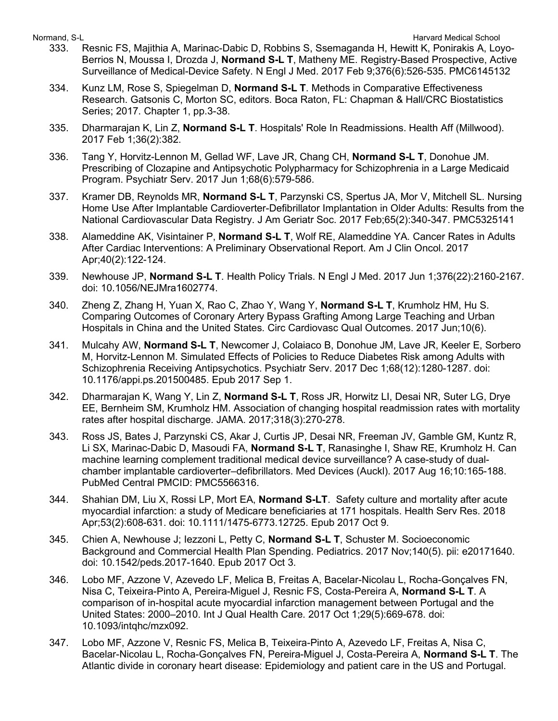- 333. Resnic FS, Majithia A, Marinac-Dabic D, Robbins S, Ssemaganda H, Hewitt K, Ponirakis A, Loyo-Berrios N, Moussa I, Drozda J, **Normand S-L T**, Matheny ME. Registry-Based Prospective, Active Surveillance of Medical-Device Safety. N Engl J Med. 2017 Feb 9;376(6):526-535. PMC6145132
- 334. Kunz LM, Rose S, Spiegelman D, **Normand S-L T**. Methods in Comparative Effectiveness Research. Gatsonis C, Morton SC, editors. Boca Raton, FL: Chapman & Hall/CRC Biostatistics Series; 2017. Chapter 1, pp.3-38.
- 335. Dharmarajan K, Lin Z, **Normand S-L T**. Hospitals' Role In Readmissions. Health Aff (Millwood). 2017 Feb 1;36(2):382.
- 336. Tang Y, Horvitz-Lennon M, Gellad WF, Lave JR, Chang CH, **Normand S-L T**, Donohue JM. Prescribing of Clozapine and Antipsychotic Polypharmacy for Schizophrenia in a Large Medicaid Program. Psychiatr Serv. 2017 Jun 1;68(6):579-586.
- 337. Kramer DB, Reynolds MR, **Normand S-L T**, Parzynski CS, Spertus JA, Mor V, Mitchell SL. Nursing Home Use After Implantable Cardioverter-Defibrillator Implantation in Older Adults: Results from the National Cardiovascular Data Registry. J Am Geriatr Soc. 2017 Feb;65(2):340-347. PMC5325141
- 338. Alameddine AK, Visintainer P, **Normand S-L T**, Wolf RE, Alameddine YA. Cancer Rates in Adults After Cardiac Interventions: A Preliminary Observational Report. Am J Clin Oncol. 2017 Apr;40(2):122-124.
- 339. Newhouse JP, **Normand S-L T**. Health Policy Trials. N Engl J Med. 2017 Jun 1;376(22):2160-2167. doi: 10.1056/NEJMra1602774.
- 340. Zheng Z, Zhang H, Yuan X, Rao C, Zhao Y, Wang Y, **Normand S-L T**, Krumholz HM, Hu S. Comparing Outcomes of Coronary Artery Bypass Grafting Among Large Teaching and Urban Hospitals in China and the United States. Circ Cardiovasc Qual Outcomes. 2017 Jun;10(6).
- 341. Mulcahy AW, **Normand S-L T**, Newcomer J, Colaiaco B, Donohue JM, Lave JR, Keeler E, Sorbero M, Horvitz-Lennon M. Simulated Effects of Policies to Reduce Diabetes Risk among Adults with Schizophrenia Receiving Antipsychotics. Psychiatr Serv. 2017 Dec 1;68(12):1280-1287. doi: 10.1176/appi.ps.201500485. Epub 2017 Sep 1.
- 342. Dharmarajan K, Wang Y, Lin Z, **Normand S-L T**, Ross JR, Horwitz LI, Desai NR, Suter LG, Drye EE, Bernheim SM, Krumholz HM. Association of changing hospital readmission rates with mortality rates after hospital discharge. JAMA. 2017;318(3):270-278.
- 343. Ross JS, Bates J, Parzynski CS, Akar J, Curtis JP, Desai NR, Freeman JV, Gamble GM, Kuntz R, Li SX, Marinac-Dabic D, Masoudi FA, **Normand S-L T**, Ranasinghe I, Shaw RE, Krumholz H. Can machine learning complement traditional medical device surveillance? A case-study of dualchamber implantable cardioverter–defibrillators. Med Devices (Auckl). 2017 Aug 16;10:165-188. PubMed Central PMCID: PMC5566316.
- 344. Shahian DM, Liu X, Rossi LP, Mort EA, **Normand S-LT**. Safety culture and mortality after acute myocardial infarction: a study of Medicare beneficiaries at 171 hospitals. Health Serv Res. 2018 Apr;53(2):608-631. doi: 10.1111/1475-6773.12725. Epub 2017 Oct 9.
- 345. Chien A, Newhouse J; Iezzoni L, Petty C, **Normand S-L T**, Schuster M. Socioeconomic Background and Commercial Health Plan Spending. Pediatrics. 2017 Nov;140(5). pii: e20171640. doi: 10.1542/peds.2017-1640. Epub 2017 Oct 3.
- 346. Lobo MF, Azzone V, Azevedo LF, Melica B, Freitas A, Bacelar-Nicolau L, Rocha-Gonçalves FN, Nisa C, Teixeira-Pinto A, Pereira-Miguel J, Resnic FS, Costa-Pereira A, **Normand S-L T**. A comparison of in-hospital acute myocardial infarction management between Portugal and the United States: 2000–2010. Int J Qual Health Care. 2017 Oct 1;29(5):669-678. doi: 10.1093/intqhc/mzx092.
- 347. Lobo MF, Azzone V, Resnic FS, Melica B, Teixeira-Pinto A, Azevedo LF, Freitas A, Nisa C, Bacelar-Nicolau L, Rocha-Gonçalves FN, Pereira-Miguel J, Costa-Pereira A, **Normand S-L T**. The Atlantic divide in coronary heart disease: Epidemiology and patient care in the US and Portugal.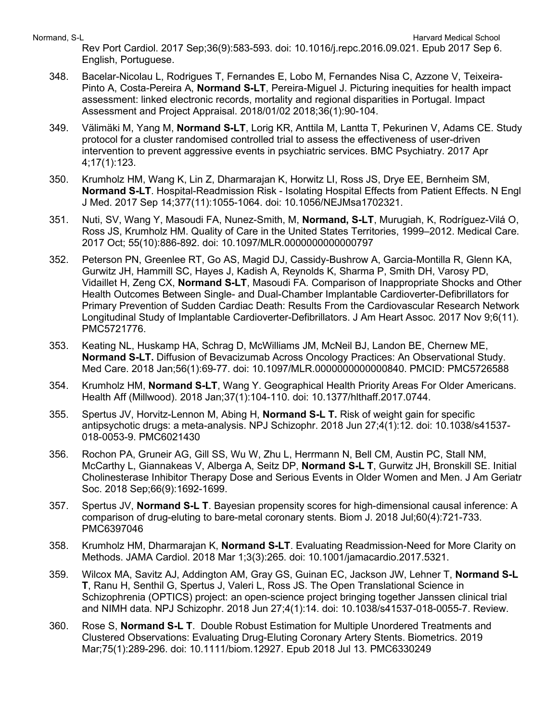Normand, S-L **Normand, S-L** Harvard Medical School and The School and The School and The School and The School and The School and The School and The School and The School and The School and The School and The School and Th Rev Port Cardiol. 2017 Sep;36(9):583-593. doi: 10.1016/j.repc.2016.09.021. Epub 2017 Sep 6. English, Portuguese.

- 348. Bacelar-Nicolau L, Rodrigues T, Fernandes E, Lobo M, Fernandes Nisa C, Azzone V, Teixeira-Pinto A, Costa-Pereira A, **Normand S-LT**, Pereira-Miguel J. Picturing inequities for health impact assessment: linked electronic records, mortality and regional disparities in Portugal. Impact Assessment and Project Appraisal. 2018/01/02 2018;36(1):90-104.
- 349. Välimäki M, Yang M, **Normand S-LT**, Lorig KR, Anttila M, Lantta T, Pekurinen V, Adams CE. Study protocol for a cluster randomised controlled trial to assess the effectiveness of user-driven intervention to prevent aggressive events in psychiatric services. BMC Psychiatry. 2017 Apr 4;17(1):123.
- 350. Krumholz HM, Wang K, Lin Z, Dharmarajan K, Horwitz LI, Ross JS, Drye EE, Bernheim SM, **Normand S-LT**. Hospital-Readmission Risk - Isolating Hospital Effects from Patient Effects. N Engl J Med. 2017 Sep 14;377(11):1055-1064. doi: 10.1056/NEJMsa1702321.
- 351. Nuti, SV, Wang Y, Masoudi FA, Nunez-Smith, M, **Normand, S-LT**, Murugiah, K, Rodríguez-Vilá O, Ross JS, Krumholz HM. Quality of Care in the United States Territories, 1999–2012. Medical Care. 2017 Oct; 55(10):886-892. doi: 10.1097/MLR.0000000000000797
- 352. Peterson PN, Greenlee RT, Go AS, Magid DJ, Cassidy-Bushrow A, Garcia-Montilla R, Glenn KA, Gurwitz JH, Hammill SC, Hayes J, Kadish A, Reynolds K, Sharma P, Smith DH, Varosy PD, Vidaillet H, Zeng CX, **Normand S-LT**, Masoudi FA. Comparison of Inappropriate Shocks and Other Health Outcomes Between Single- and Dual-Chamber Implantable Cardioverter-Defibrillators for Primary Prevention of Sudden Cardiac Death: Results From the Cardiovascular Research Network Longitudinal Study of Implantable Cardioverter-Defibrillators. J Am Heart Assoc. 2017 Nov 9;6(11). PMC5721776.
- 353. Keating NL, Huskamp HA, Schrag D, McWilliams JM, McNeil BJ, Landon BE, Chernew ME, **Normand S-LT.** Diffusion of Bevacizumab Across Oncology Practices: An Observational Study. Med Care. 2018 Jan;56(1):69-77. doi: 10.1097/MLR.0000000000000840. PMCID: PMC5726588
- 354. Krumholz HM, **Normand S-LT**, Wang Y. Geographical Health Priority Areas For Older Americans. Health Aff (Millwood). 2018 Jan;37(1):104-110. doi: 10.1377/hlthaff.2017.0744.
- 355. Spertus JV, Horvitz-Lennon M, Abing H, **Normand S-L T.** Risk of weight gain for specific antipsychotic drugs: a meta-analysis. NPJ Schizophr. 2018 Jun 27;4(1):12. doi: 10.1038/s41537- 018-0053-9. PMC6021430
- 356. Rochon PA, Gruneir AG, Gill SS, Wu W, Zhu L, Herrmann N, Bell CM, Austin PC, Stall NM, McCarthy L, Giannakeas V, Alberga A, Seitz DP, **Normand S-L T**, Gurwitz JH, Bronskill SE. Initial Cholinesterase Inhibitor Therapy Dose and Serious Events in Older Women and Men. J Am Geriatr Soc. 2018 Sep;66(9):1692-1699.
- 357. Spertus JV, **Normand S-L T**. Bayesian propensity scores for high-dimensional causal inference: A comparison of drug-eluting to bare-metal coronary stents. Biom J. 2018 Jul;60(4):721-733. PMC6397046
- 358. Krumholz HM, Dharmarajan K, **Normand S-LT**. Evaluating Readmission-Need for More Clarity on Methods. JAMA Cardiol. 2018 Mar 1;3(3):265. doi: 10.1001/jamacardio.2017.5321.
- 359. Wilcox MA, Savitz AJ, Addington AM, Gray GS, Guinan EC, Jackson JW, Lehner T, **Normand S-L T**, Ranu H, Senthil G, Spertus J, Valeri L, Ross JS. The Open Translational Science in Schizophrenia (OPTICS) project: an open-science project bringing together Janssen clinical trial and NIMH data. NPJ Schizophr. 2018 Jun 27;4(1):14. doi: 10.1038/s41537-018-0055-7. Review.
- 360. Rose S, **Normand S-L T**. Double Robust Estimation for Multiple Unordered Treatments and Clustered Observations: Evaluating Drug-Eluting Coronary Artery Stents. Biometrics. 2019 Mar;75(1):289-296. doi: 10.1111/biom.12927. Epub 2018 Jul 13. PMC6330249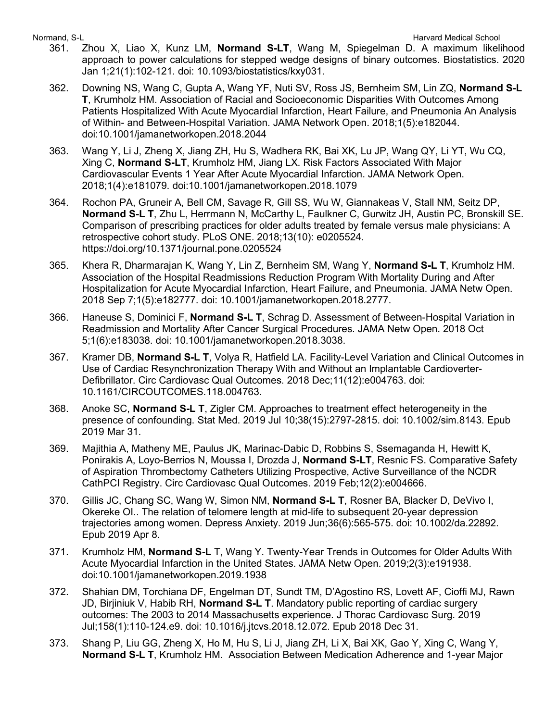- 361. Zhou X, Liao X, Kunz LM, **Normand S-LT**, Wang M, Spiegelman D. A maximum likelihood approach to power calculations for stepped wedge designs of binary outcomes. Biostatistics. 2020 Jan 1;21(1):102-121. doi: 10.1093/biostatistics/kxy031.
- 362. Downing NS, Wang C, Gupta A, Wang YF, Nuti SV, Ross JS, Bernheim SM, Lin ZQ, **Normand S-L T**, Krumholz HM. Association of Racial and Socioeconomic Disparities With Outcomes Among Patients Hospitalized With Acute Myocardial Infarction, Heart Failure, and Pneumonia An Analysis of Within- and Between-Hospital Variation. JAMA Network Open. 2018;1(5):e182044. doi:10.1001/jamanetworkopen.2018.2044
- 363. Wang Y, Li J, Zheng X, Jiang ZH, Hu S, Wadhera RK, Bai XK, Lu JP, Wang QY, Li YT, Wu CQ, Xing C, **Normand S-LT**, Krumholz HM, Jiang LX. Risk Factors Associated With Major Cardiovascular Events 1 Year After Acute Myocardial Infarction. JAMA Network Open. 2018;1(4):e181079. doi:10.1001/jamanetworkopen.2018.1079
- 364. Rochon PA, Gruneir A, Bell CM, Savage R, Gill SS, Wu W, Giannakeas V, Stall NM, Seitz DP, **Normand S-L T**, Zhu L, Herrmann N, McCarthy L, Faulkner C, Gurwitz JH, Austin PC, Bronskill SE. Comparison of prescribing practices for older adults treated by female versus male physicians: A retrospective cohort study. PLoS ONE. 2018;13(10): e0205524. https://doi.org/10.1371/journal.pone.0205524
- 365. Khera R, Dharmarajan K, Wang Y, Lin Z, Bernheim SM, Wang Y, **Normand S-L T**, Krumholz HM. Association of the Hospital Readmissions Reduction Program With Mortality During and After Hospitalization for Acute Myocardial Infarction, Heart Failure, and Pneumonia. JAMA Netw Open. 2018 Sep 7;1(5):e182777. doi: 10.1001/jamanetworkopen.2018.2777.
- 366. Haneuse S, Dominici F, **Normand S-L T**, Schrag D. Assessment of Between-Hospital Variation in Readmission and Mortality After Cancer Surgical Procedures. JAMA Netw Open. 2018 Oct 5;1(6):e183038. doi: 10.1001/jamanetworkopen.2018.3038.
- 367. Kramer DB, **Normand S-L T**, Volya R, Hatfield LA. Facility-Level Variation and Clinical Outcomes in Use of Cardiac Resynchronization Therapy With and Without an Implantable Cardioverter-Defibrillator. Circ Cardiovasc Qual Outcomes. 2018 Dec;11(12):e004763. doi: 10.1161/CIRCOUTCOMES.118.004763.
- 368. Anoke SC, **Normand S-L T**, Zigler CM. Approaches to treatment effect heterogeneity in the presence of confounding. Stat Med. 2019 Jul 10;38(15):2797-2815. doi: 10.1002/sim.8143. Epub 2019 Mar 31.
- 369. Majithia A, Matheny ME, Paulus JK, Marinac-Dabic D, Robbins S, Ssemaganda H, Hewitt K, Ponirakis A, Loyo-Berrios N, Moussa I, Drozda J, **Normand S-LT**, Resnic FS. Comparative Safety of Aspiration Thrombectomy Catheters Utilizing Prospective, Active Surveillance of the NCDR CathPCI Registry. Circ Cardiovasc Qual Outcomes. 2019 Feb;12(2):e004666.
- 370. Gillis JC, Chang SC, Wang W, Simon NM, **Normand S-L T**, Rosner BA, Blacker D, DeVivo I, Okereke OI.. The relation of telomere length at mid-life to subsequent 20-year depression trajectories among women. Depress Anxiety. 2019 Jun;36(6):565-575. doi: 10.1002/da.22892. Epub 2019 Apr 8.
- 371. Krumholz HM, **Normand S-L** T, Wang Y. Twenty-Year Trends in Outcomes for Older Adults With Acute Myocardial Infarction in the United States. JAMA Netw Open. 2019;2(3):e191938. doi:10.1001/jamanetworkopen.2019.1938
- 372. Shahian DM, Torchiana DF, Engelman DT, Sundt TM, D'Agostino RS, Lovett AF, Cioffi MJ, Rawn JD, Birjiniuk V, Habib RH, **Normand S-L T**. Mandatory public reporting of cardiac surgery outcomes: The 2003 to 2014 Massachusetts experience. J Thorac Cardiovasc Surg. 2019 Jul;158(1):110-124.e9. doi: 10.1016/j.jtcvs.2018.12.072. Epub 2018 Dec 31.
- 373. Shang P, Liu GG, Zheng X, Ho M, Hu S, Li J, Jiang ZH, Li X, Bai XK, Gao Y, Xing C, Wang Y, **Normand S-L T**, Krumholz HM. Association Between Medication Adherence and 1-year Major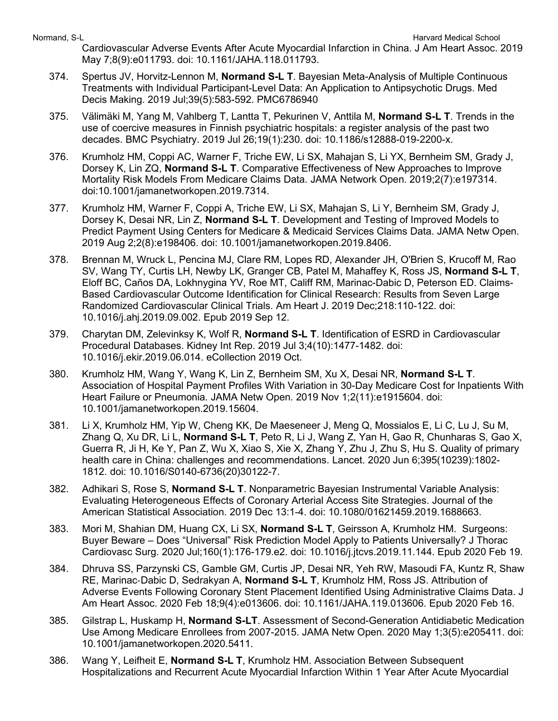Cardiovascular Adverse Events After Acute Myocardial Infarction in China. J Am Heart Assoc. 2019 May 7;8(9):e011793. doi: 10.1161/JAHA.118.011793.

- 374. Spertus JV, Horvitz-Lennon M, **Normand S-L T**. Bayesian Meta-Analysis of Multiple Continuous Treatments with Individual Participant-Level Data: An Application to Antipsychotic Drugs. Med Decis Making. 2019 Jul;39(5):583-592. PMC6786940
- 375. Välimäki M, Yang M, Vahlberg T, Lantta T, Pekurinen V, Anttila M, **Normand S-L T**. Trends in the use of coercive measures in Finnish psychiatric hospitals: a register analysis of the past two decades. BMC Psychiatry. 2019 Jul 26;19(1):230. doi: 10.1186/s12888-019-2200-x.
- 376. Krumholz HM, Coppi AC, Warner F, Triche EW, Li SX, Mahajan S, Li YX, Bernheim SM, Grady J, Dorsey K, Lin ZQ, **Normand S-L T**. Comparative Effectiveness of New Approaches to Improve Mortality Risk Models From Medicare Claims Data. JAMA Network Open. 2019;2(7):e197314. doi:10.1001/jamanetworkopen.2019.7314.
- 377. Krumholz HM, Warner F, Coppi A, Triche EW, Li SX, Mahajan S, Li Y, Bernheim SM, Grady J, Dorsey K, Desai NR, Lin Z, **Normand S-L T**. Development and Testing of Improved Models to Predict Payment Using Centers for Medicare & Medicaid Services Claims Data. JAMA Netw Open. 2019 Aug 2;2(8):e198406. doi: 10.1001/jamanetworkopen.2019.8406.
- 378. Brennan M, Wruck L, Pencina MJ, Clare RM, Lopes RD, Alexander JH, O'Brien S, Krucoff M, Rao SV, Wang TY, Curtis LH, Newby LK, Granger CB, Patel M, Mahaffey K, Ross JS, **Normand S-L T**, Eloff BC, Caños DA, Lokhnygina YV, Roe MT, Califf RM, Marinac-Dabic D, Peterson ED. Claims-Based Cardiovascular Outcome Identification for Clinical Research: Results from Seven Large Randomized Cardiovascular Clinical Trials. Am Heart J. 2019 Dec;218:110-122. doi: 10.1016/j.ahj.2019.09.002. Epub 2019 Sep 12.
- 379. Charytan DM, Zelevinksy K, Wolf R, **Normand S-L T**. Identification of ESRD in Cardiovascular Procedural Databases. Kidney Int Rep. 2019 Jul 3;4(10):1477-1482. doi: 10.1016/j.ekir.2019.06.014. eCollection 2019 Oct.
- 380. Krumholz HM, Wang Y, Wang K, Lin Z, Bernheim SM, Xu X, Desai NR, **Normand S-L T**. Association of Hospital Payment Profiles With Variation in 30-Day Medicare Cost for Inpatients With Heart Failure or Pneumonia. JAMA Netw Open. 2019 Nov 1;2(11):e1915604. doi: 10.1001/jamanetworkopen.2019.15604.
- 381. Li X, Krumholz HM, Yip W, Cheng KK, De Maeseneer J, Meng Q, Mossialos E, Li C, Lu J, Su M, Zhang Q, Xu DR, Li L, **Normand S-L T**, Peto R, Li J, Wang Z, Yan H, Gao R, Chunharas S, Gao X, Guerra R, Ji H, Ke Y, Pan Z, Wu X, Xiao S, Xie X, Zhang Y, Zhu J, Zhu S, Hu S. Quality of primary health care in China: challenges and recommendations. Lancet. 2020 Jun 6;395(10239):1802- 1812. doi: 10.1016/S0140-6736(20)30122-7.
- 382. Adhikari S, Rose S, **Normand S-L T**. Nonparametric Bayesian Instrumental Variable Analysis: Evaluating Heterogeneous Effects of Coronary Arterial Access Site Strategies. Journal of the American Statistical Association. 2019 Dec 13:1-4. doi: 10.1080/01621459.2019.1688663.
- 383. Mori M, Shahian DM, Huang CX, Li SX, **Normand S-L T**, Geirsson A, Krumholz HM. Surgeons: Buyer Beware – Does "Universal" Risk Prediction Model Apply to Patients Universally? J Thorac Cardiovasc Surg. 2020 Jul;160(1):176-179.e2. doi: 10.1016/j.jtcvs.2019.11.144. Epub 2020 Feb 19.
- 384. Dhruva SS, Parzynski CS, Gamble GM, Curtis JP, Desai NR, Yeh RW, Masoudi FA, Kuntz R, Shaw RE, Marinac‐Dabic D, Sedrakyan A, **Normand S-L T**, Krumholz HM, Ross JS. Attribution of Adverse Events Following Coronary Stent Placement Identified Using Administrative Claims Data. J Am Heart Assoc. 2020 Feb 18;9(4):e013606. doi: 10.1161/JAHA.119.013606. Epub 2020 Feb 16.
- 385. Gilstrap L, Huskamp H, **Normand S-LT**. Assessment of Second-Generation Antidiabetic Medication Use Among Medicare Enrollees from 2007-2015. JAMA Netw Open. 2020 May 1;3(5):e205411. doi: 10.1001/jamanetworkopen.2020.5411.
- 386. Wang Y, Leifheit E, **Normand S-L T**, Krumholz HM. Association Between Subsequent Hospitalizations and Recurrent Acute Myocardial Infarction Within 1 Year After Acute Myocardial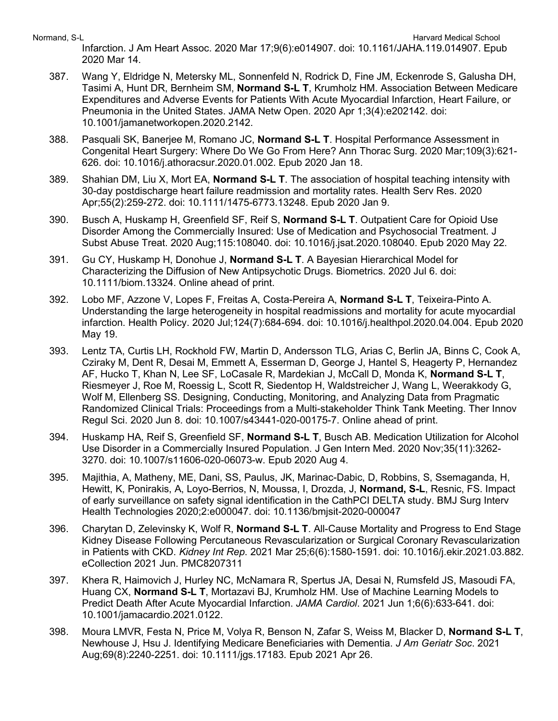Infarction. J Am Heart Assoc. 2020 Mar 17;9(6):e014907. doi: 10.1161/JAHA.119.014907. Epub 2020 Mar 14.

- 387. Wang Y, Eldridge N, Metersky ML, Sonnenfeld N, Rodrick D, Fine JM, Eckenrode S, Galusha DH, Tasimi A, Hunt DR, Bernheim SM, **Normand S-L T**, Krumholz HM. Association Between Medicare Expenditures and Adverse Events for Patients With Acute Myocardial Infarction, Heart Failure, or Pneumonia in the United States. JAMA Netw Open. 2020 Apr 1;3(4):e202142. doi: 10.1001/jamanetworkopen.2020.2142.
- 388. Pasquali SK, Banerjee M, Romano JC, **Normand S-L T**. Hospital Performance Assessment in Congenital Heart Surgery: Where Do We Go From Here? Ann Thorac Surg. 2020 Mar;109(3):621- 626. doi: 10.1016/j.athoracsur.2020.01.002. Epub 2020 Jan 18.
- 389. Shahian DM, Liu X, Mort EA, **Normand S-L T**. The association of hospital teaching intensity with 30-day postdischarge heart failure readmission and mortality rates. Health Serv Res. 2020 Apr;55(2):259-272. doi: 10.1111/1475-6773.13248. Epub 2020 Jan 9.
- 390. Busch A, Huskamp H, Greenfield SF, Reif S, **Normand S-L T**. Outpatient Care for Opioid Use Disorder Among the Commercially Insured: Use of Medication and Psychosocial Treatment. J Subst Abuse Treat. 2020 Aug;115:108040. doi: 10.1016/j.jsat.2020.108040. Epub 2020 May 22.
- 391. Gu CY, Huskamp H, Donohue J, **Normand S-L T**. A Bayesian Hierarchical Model for Characterizing the Diffusion of New Antipsychotic Drugs. Biometrics. 2020 Jul 6. doi: 10.1111/biom.13324. Online ahead of print.
- 392. Lobo MF, Azzone V, Lopes F, Freitas A, Costa-Pereira A, **Normand S-L T**, Teixeira-Pinto A. Understanding the large heterogeneity in hospital readmissions and mortality for acute myocardial infarction. Health Policy. 2020 Jul;124(7):684-694. doi: 10.1016/j.healthpol.2020.04.004. Epub 2020 May 19.
- 393. Lentz TA, Curtis LH, Rockhold FW, Martin D, Andersson TLG, Arias C, Berlin JA, Binns C, Cook A, Cziraky M, Dent R, Desai M, Emmett A, Esserman D, George J, Hantel S, Heagerty P, Hernandez AF, Hucko T, Khan N, Lee SF, LoCasale R, Mardekian J, McCall D, Monda K, **Normand S-L T**, Riesmeyer J, Roe M, Roessig L, Scott R, Siedentop H, Waldstreicher J, Wang L, Weerakkody G, Wolf M, Ellenberg SS. Designing, Conducting, Monitoring, and Analyzing Data from Pragmatic Randomized Clinical Trials: Proceedings from a Multi-stakeholder Think Tank Meeting. Ther Innov Regul Sci. 2020 Jun 8. doi: 10.1007/s43441-020-00175-7. Online ahead of print.
- 394. Huskamp HA, Reif S, Greenfield SF, **Normand S-L T**, Busch AB. Medication Utilization for Alcohol Use Disorder in a Commercially Insured Population. J Gen Intern Med. 2020 Nov;35(11):3262- 3270. doi: 10.1007/s11606-020-06073-w. Epub 2020 Aug 4.
- 395. Majithia, A, Matheny, ME, Dani, SS, Paulus, JK, Marinac-Dabic, D, Robbins, S, Ssemaganda, H, Hewitt, K, Ponirakis, A, Loyo-Berrios, N, Moussa, I, Drozda, J, **Normand, S-L**, Resnic, FS. Impact of early surveillance on safety signal identification in the CathPCI DELTA study. BMJ Surg Interv Health Technologies 2020;2:e000047. doi: 10.1136/bmjsit-2020-000047
- 396. Charytan D, Zelevinsky K, Wolf R, **Normand S-L T**. All-Cause Mortality and Progress to End Stage Kidney Disease Following Percutaneous Revascularization or Surgical Coronary Revascularization in Patients with CKD. *Kidney Int Rep*. 2021 Mar 25;6(6):1580-1591. doi: 10.1016/j.ekir.2021.03.882. eCollection 2021 Jun. PMC8207311
- 397. Khera R, Haimovich J, Hurley NC, McNamara R, Spertus JA, Desai N, Rumsfeld JS, Masoudi FA, Huang CX, **Normand S-L T**, Mortazavi BJ, Krumholz HM. Use of Machine Learning Models to Predict Death After Acute Myocardial Infarction. *JAMA Cardiol*. 2021 Jun 1;6(6):633-641. doi: 10.1001/jamacardio.2021.0122.
- 398. Moura LMVR, Festa N, Price M, Volya R, Benson N, Zafar S, Weiss M, Blacker D, **Normand S-L T**, Newhouse J, Hsu J. Identifying Medicare Beneficiaries with Dementia. *J Am Geriatr Soc*. 2021 Aug;69(8):2240-2251. doi: 10.1111/jgs.17183. Epub 2021 Apr 26.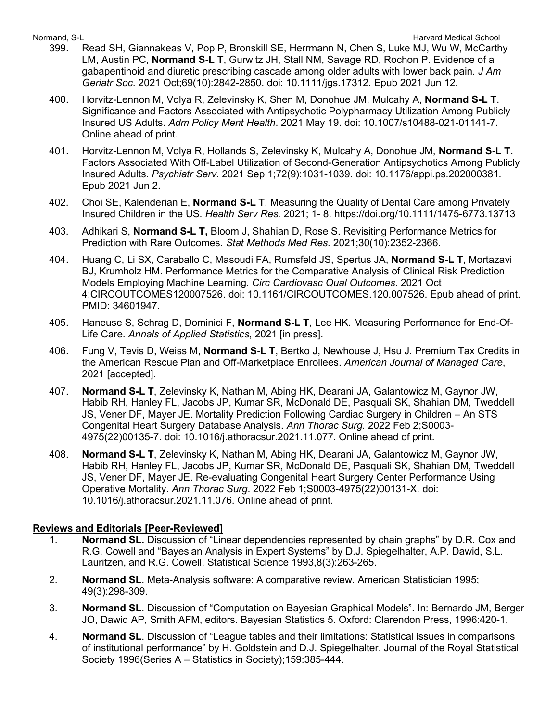- 399. Read SH, Giannakeas V, Pop P, Bronskill SE, Herrmann N, Chen S, Luke MJ, Wu W, McCarthy LM, Austin PC, **Normand S-L T**, Gurwitz JH, Stall NM, Savage RD, Rochon P. Evidence of a gabapentinoid and diuretic prescribing cascade among older adults with lower back pain. *J Am Geriatr Soc*. 2021 Oct;69(10):2842-2850. doi: 10.1111/jgs.17312. Epub 2021 Jun 12.
- 400. Horvitz-Lennon M, Volya R, Zelevinsky K, Shen M, Donohue JM, Mulcahy A, **Normand S-L T**. Significance and Factors Associated with Antipsychotic Polypharmacy Utilization Among Publicly Insured US Adults. *Adm Policy Ment Health*. 2021 May 19. doi: 10.1007/s10488-021-01141-7. Online ahead of print.
- 401. Horvitz-Lennon M, Volya R, Hollands S, Zelevinsky K, Mulcahy A, Donohue JM, **Normand S-L T.** Factors Associated With Off-Label Utilization of Second-Generation Antipsychotics Among Publicly Insured Adults. *Psychiatr Serv.* 2021 Sep 1;72(9):1031-1039. doi: 10.1176/appi.ps.202000381. Epub 2021 Jun 2.
- 402. Choi SE, Kalenderian E, **Normand S-L T**. Measuring the Quality of Dental Care among Privately Insured Children in the US. *Health Serv Res.* 2021; 1- 8. https://doi.org/10.1111/1475-6773.13713
- 403. Adhikari S, **Normand S-L T,** Bloom J, Shahian D, Rose S. Revisiting Performance Metrics for Prediction with Rare Outcomes. *Stat Methods Med Res.* 2021;30(10):2352-2366.
- 404. Huang C, Li SX, Caraballo C, Masoudi FA, Rumsfeld JS, Spertus JA, **Normand S-L T**, Mortazavi BJ, Krumholz HM. Performance Metrics for the Comparative Analysis of Clinical Risk Prediction Models Employing Machine Learning. *Circ Cardiovasc Qual Outcomes*. 2021 Oct 4:CIRCOUTCOMES120007526. doi: 10.1161/CIRCOUTCOMES.120.007526. Epub ahead of print. PMID: 34601947.
- 405. Haneuse S, Schrag D, Dominici F, **Normand S-L T**, Lee HK. Measuring Performance for End-Of-Life Care. *Annals of Applied Statistics*, 2021 [in press].
- 406. Fung V, Tevis D, Weiss M, **Normand S-L T**, Bertko J, Newhouse J, Hsu J. Premium Tax Credits in the American Rescue Plan and Off-Marketplace Enrollees. *American Journal of Managed Care*, 2021 [accepted].
- 407. **Normand S-L T**, Zelevinsky K, Nathan M, Abing HK, Dearani JA, Galantowicz M, Gaynor JW, Habib RH, Hanley FL, Jacobs JP, Kumar SR, McDonald DE, Pasquali SK, Shahian DM, Tweddell JS, Vener DF, Mayer JE. Mortality Prediction Following Cardiac Surgery in Children – An STS Congenital Heart Surgery Database Analysis. *Ann Thorac Surg*. 2022 Feb 2;S0003- 4975(22)00135-7. doi: 10.1016/j.athoracsur.2021.11.077. Online ahead of print.
- 408. **Normand S-L T**, Zelevinsky K, Nathan M, Abing HK, Dearani JA, Galantowicz M, Gaynor JW, Habib RH, Hanley FL, Jacobs JP, Kumar SR, McDonald DE, Pasquali SK, Shahian DM, Tweddell JS, Vener DF, Mayer JE. Re-evaluating Congenital Heart Surgery Center Performance Using Operative Mortality. *Ann Thorac Surg*. 2022 Feb 1;S0003-4975(22)00131-X. doi: 10.1016/j.athoracsur.2021.11.076. Online ahead of print.

## **Reviews and Editorials [Peer-Reviewed]**

- 1. **Normand SL.** Discussion of "Linear dependencies represented by chain graphs" by D.R. Cox and R.G. Cowell and "Bayesian Analysis in Expert Systems" by D.J. Spiegelhalter, A.P. Dawid, S.L. Lauritzen, and R.G. Cowell. Statistical Science 1993,8(3):263-265.
- 2. **Normand SL**. Meta-Analysis software: A comparative review. American Statistician 1995; 49(3):298-309.
- 3. **Normand SL**. Discussion of "Computation on Bayesian Graphical Models". In: Bernardo JM, Berger JO, Dawid AP, Smith AFM, editors. Bayesian Statistics 5. Oxford: Clarendon Press, 1996:420-1.
- 4. **Normand SL**. Discussion of "League tables and their limitations: Statistical issues in comparisons of institutional performance" by H. Goldstein and D.J. Spiegelhalter. Journal of the Royal Statistical Society 1996(Series A – Statistics in Society);159:385-444.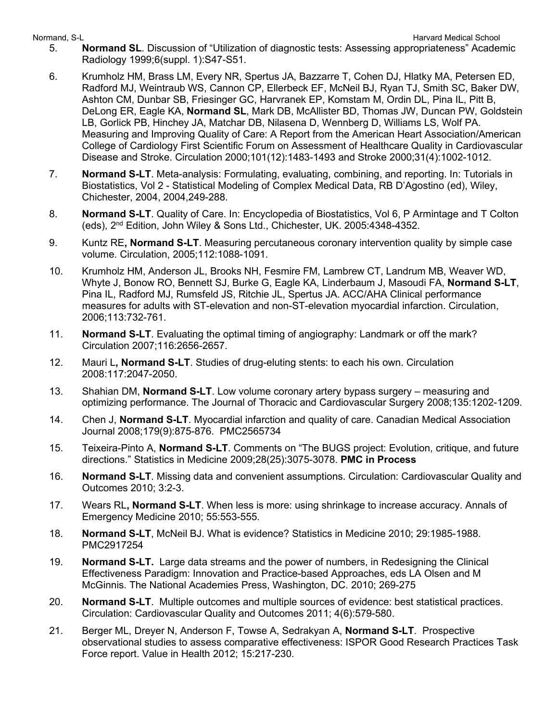- 5. **Normand SL**. Discussion of "Utilization of diagnostic tests: Assessing appropriateness" Academic Radiology 1999;6(suppl. 1):S47-S51.
- 6. Krumholz HM, Brass LM, Every NR, Spertus JA, Bazzarre T, Cohen DJ, Hlatky MA, Petersen ED, Radford MJ, Weintraub WS, Cannon CP, Ellerbeck EF, McNeil BJ, Ryan TJ, Smith SC, Baker DW, Ashton CM, Dunbar SB, Friesinger GC, Harvranek EP, Komstam M, Ordin DL, Pina IL, Pitt B, DeLong ER, Eagle KA, **Normand SL**, Mark DB, McAllister BD, Thomas JW, Duncan PW, Goldstein LB, Gorlick PB, Hinchey JA, Matchar DB, Nilasena D, Wennberg D, Williams LS, Wolf PA. Measuring and Improving Quality of Care: A Report from the American Heart Association/American College of Cardiology First Scientific Forum on Assessment of Healthcare Quality in Cardiovascular Disease and Stroke. Circulation 2000;101(12):1483-1493 and Stroke 2000;31(4):1002-1012.
- 7. **Normand S-LT**. Meta-analysis: Formulating, evaluating, combining, and reporting. In: Tutorials in Biostatistics, Vol 2 - Statistical Modeling of Complex Medical Data, RB D'Agostino (ed), Wiley, Chichester, 2004, 2004,249-288.
- 8. **Normand S-LT**. Quality of Care. In: Encyclopedia of Biostatistics, Vol 6, P Armintage and T Colton (eds), 2nd Edition, John Wiley & Sons Ltd., Chichester, UK. 2005:4348-4352.
- 9. Kuntz RE**, Normand S-LT**. Measuring percutaneous coronary intervention quality by simple case volume. Circulation, 2005;112:1088-1091.
- 10. Krumholz HM, Anderson JL, Brooks NH, Fesmire FM, Lambrew CT, Landrum MB, Weaver WD, Whyte J, Bonow RO, Bennett SJ, Burke G, Eagle KA, Linderbaum J, Masoudi FA, **Normand S-LT**, Pina IL, Radford MJ, Rumsfeld JS, Ritchie JL, Spertus JA. ACC/AHA Clinical performance measures for adults with ST-elevation and non-ST-elevation myocardial infarction. Circulation, 2006;113:732-761.
- 11. **Normand S-LT**. Evaluating the optimal timing of angiography: Landmark or off the mark? Circulation 2007;116:2656-2657.
- 12. Mauri L**, Normand S-LT**. Studies of drug-eluting stents: to each his own. Circulation 2008:117:2047-2050.
- 13. Shahian DM, **Normand S-LT**. Low volume coronary artery bypass surgery measuring and optimizing performance. The Journal of Thoracic and Cardiovascular Surgery 2008;135:1202-1209.
- 14. Chen J, **Normand S-LT**. Myocardial infarction and quality of care. Canadian Medical Association Journal 2008;179(9):875-876. PMC2565734
- 15. Teixeira-Pinto A, **Normand S-LT**. Comments on "The BUGS project: Evolution, critique, and future directions." Statistics in Medicine 2009;28(25):3075-3078. **PMC in Process**
- 16. **Normand S-LT**. Missing data and convenient assumptions. Circulation: Cardiovascular Quality and Outcomes 2010; 3:2-3.
- 17. Wears RL**, Normand S-LT**. When less is more: using shrinkage to increase accuracy. Annals of Emergency Medicine 2010; 55:553-555.
- 18. **Normand S-LT**, McNeil BJ. What is evidence? Statistics in Medicine 2010; 29:1985-1988. PMC2917254
- 19. **Normand S-LT.** Large data streams and the power of numbers, in Redesigning the Clinical Effectiveness Paradigm: Innovation and Practice-based Approaches, eds LA Olsen and M McGinnis. The National Academies Press, Washington, DC. 2010; 269-275
- 20. **Normand S-LT**. Multiple outcomes and multiple sources of evidence: best statistical practices. Circulation: Cardiovascular Quality and Outcomes 2011; 4(6):579-580.
- 21. Berger ML, Dreyer N, Anderson F, Towse A, Sedrakyan A, **Normand S-LT**. Prospective observational studies to assess comparative effectiveness: ISPOR Good Research Practices Task Force report. Value in Health 2012; 15:217-230.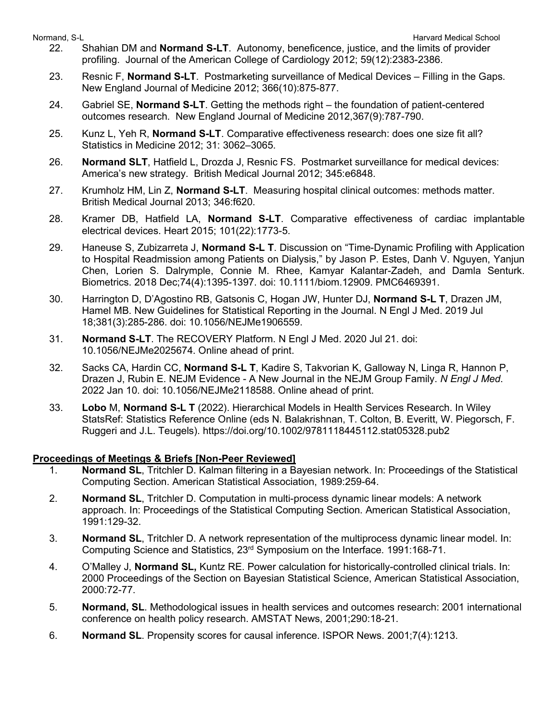- Normand, S-L **Normand, S-L** Harvard Medical School and School and School and School and School and School and School and School and School and School and School and School and School and School and School and School and Sc 22. Shahian DM and **Normand S-LT**. Autonomy, beneficence, justice, and the limits of provider profiling. Journal of the American College of Cardiology 2012; 59(12):2383-2386.
	- 23. Resnic F, **Normand S-LT**. Postmarketing surveillance of Medical Devices Filling in the Gaps. New England Journal of Medicine 2012; 366(10):875-877.
	- 24. Gabriel SE, **Normand S-LT**. Getting the methods right the foundation of patient-centered outcomes research. New England Journal of Medicine 2012,367(9):787-790.
	- 25. Kunz L, Yeh R, **Normand S-LT**. Comparative effectiveness research: does one size fit all? Statistics in Medicine 2012; 31: 3062–3065.
	- 26. **Normand SLT**, Hatfield L, Drozda J, Resnic FS. Postmarket surveillance for medical devices: America's new strategy. British Medical Journal 2012; 345:e6848.
	- 27. Krumholz HM, Lin Z, **Normand S-LT**. Measuring hospital clinical outcomes: methods matter. British Medical Journal 2013; 346:f620.
	- 28. Kramer DB, Hatfield LA, **Normand S-LT**. Comparative effectiveness of cardiac implantable electrical devices. Heart 2015; 101(22):1773-5.
	- 29. Haneuse S, Zubizarreta J, **Normand S-L T**. Discussion on "Time-Dynamic Profiling with Application to Hospital Readmission among Patients on Dialysis," by Jason P. Estes, Danh V. Nguyen, Yanjun Chen, Lorien S. Dalrymple, Connie M. Rhee, Kamyar Kalantar-Zadeh, and Damla Senturk. Biometrics. 2018 Dec;74(4):1395-1397. doi: 10.1111/biom.12909. PMC6469391.
	- 30. Harrington D, D'Agostino RB, Gatsonis C, Hogan JW, Hunter DJ, **Normand S-L T**, Drazen JM, Hamel MB. New Guidelines for Statistical Reporting in the Journal. N Engl J Med. 2019 Jul 18;381(3):285-286. doi: 10.1056/NEJMe1906559.
	- 31. **Normand S-LT**. The RECOVERY Platform. N Engl J Med. 2020 Jul 21. doi: 10.1056/NEJMe2025674. Online ahead of print.
	- 32. Sacks CA, Hardin CC, **Normand S-L T**, Kadire S, Takvorian K, Galloway N, Linga R, Hannon P, Drazen J, Rubin E. NEJM Evidence - A New Journal in the NEJM Group Family. *N Engl J Med*. 2022 Jan 10. doi: 10.1056/NEJMe2118588. Online ahead of print.
	- 33. **Lobo** M, **Normand S-L T** (2022). Hierarchical Models in Health Services Research. In Wiley StatsRef: Statistics Reference Online (eds N. Balakrishnan, T. Colton, B. Everitt, W. Piegorsch, F. Ruggeri and J.L. Teugels). https://doi.org/10.1002/9781118445112.stat05328.pub2

## **Proceedings of Meetings & Briefs [Non-Peer Reviewed]**

- 1. **Normand SL**, Tritchler D. Kalman filtering in a Bayesian network. In: Proceedings of the Statistical Computing Section. American Statistical Association, 1989:259-64.
- 2. **Normand SL**, Tritchler D. Computation in multi-process dynamic linear models: A network approach. In: Proceedings of the Statistical Computing Section. American Statistical Association, 1991:129-32.
- 3. **Normand SL**, Tritchler D. A network representation of the multiprocess dynamic linear model. In: Computing Science and Statistics, 23rd Symposium on the Interface. 1991:168-71.
- 4. O'Malley J, **Normand SL,** Kuntz RE. Power calculation for historically-controlled clinical trials. In: 2000 Proceedings of the Section on Bayesian Statistical Science, American Statistical Association, 2000:72-77.
- 5. **Normand, SL**. Methodological issues in health services and outcomes research: 2001 international conference on health policy research. AMSTAT News, 2001;290:18-21.
- 6. **Normand SL**. Propensity scores for causal inference. ISPOR News. 2001;7(4):1213.